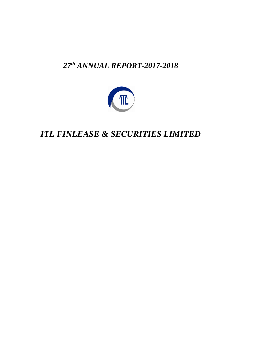*27th ANNUAL REPORT-2017-2018*



# *ITL FINLEASE & SECURITIES LIMITED*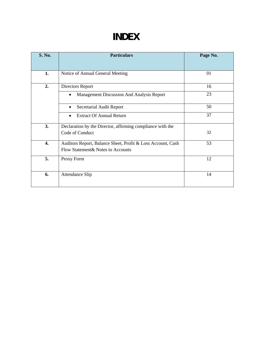# **INDEX**

| <b>S. No.</b> | <b>Particulars</b>                                          | Page No. |
|---------------|-------------------------------------------------------------|----------|
|               |                                                             |          |
| 1.            | Notice of Annual General Meeting                            | 01       |
| 2.            | <b>Directors Report</b>                                     | 16       |
|               | Management Discussion And Analysis Report<br>$\bullet$      | 23       |
|               | Secretarial Audit Report<br>$\bullet$                       | 50       |
|               | <b>Extract Of Annual Return</b><br>$\bullet$                | 37       |
| 3.            | Declaration by the Director, affirming compliance with the  |          |
|               | Code of Conduct                                             | 32       |
| 4.            | Auditors Report, Balance Sheet, Profit & Loss Account, Cash | 53       |
|               | Flow Statement & Notes to Accounts                          |          |
| 5.            | Proxy Form                                                  | 12       |
| 6.            | Attendance Slip                                             | 14       |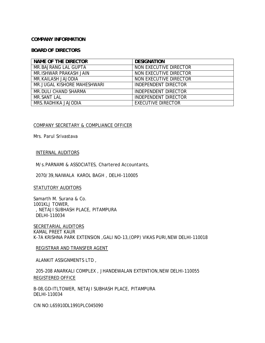#### **COMPANY INFORMATION**

## **BOARD OF DIRECTORS**

| <b>NAME OF THE DIRECTOR</b>  | <b>DESIGNATION</b>          |
|------------------------------|-----------------------------|
| <b>MR. BAJRANG LAL GUPTA</b> | NON EXECUTIVE DIRECTOR      |
| MR. ISHWAR PRAKASH JAIN      | NON EXECUTIVE DIRECTOR      |
| MR. KAILASH JAJODIA          | NON EXECUTIVE DIRECTOR      |
| MR. JUGAL KISHORE MAHESHWARI | INDEPENDENT DIRECTOR        |
| <b>MR.DULI CHAND SHARMA</b>  | INDEPENDENT DIRECTOR        |
| MR.SANT LAL                  | <b>INDEPENDENT DIRECTOR</b> |
| MRS. RADHIKA JAJODIA         | <b>EXECUTIVE DIRECTOR</b>   |

#### COMPANY SECRETARY & COMPLIANCE OFFICER

Mrs. Parul Srivastava

#### INTERNAL AUDITORS

M/s.PARNAMI & ASSOCIATES, Chartered Accountants,

2070/39,NAIWALA KAROL BAGH , DELHI-110005

## STATUTORY AUDITORS

Samarth M. Surana & Co. 1001KLJ TOWER, , NETAJI SUBHASH PLACE, PITAMPURA DELHI-110034

SECRETARIAL AUDITORS KAMAL PREET KAUR K-7A KRISHNA PARK EXTENSION ,GALI NO-13,(OPP) VIKAS PURI,NEW DELHI-110018

REGISTRAR AND TRANSFER AGENT

ALANKIT ASSIGNMENTS LTD ,

205-208 ANARKALI COMPLEX , JHANDEWALAN EXTENTION,NEW DELHI-110055 REGISTERED OFFICE

B-08,GD-ITLTOWER, NETAJI SUBHASH PLACE, PITAMPURA DELHI-110034

CIN NO:L65910DL1991PLC045090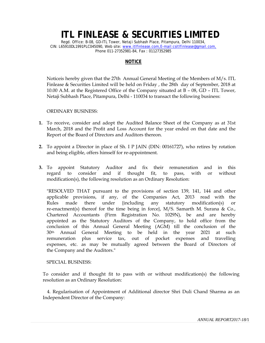# **ITL FINLEASE & SECURITIES LIMITED**

Regd. Office: B-08, GD-ITL Tower, Netaji Subhash Place, Pitampura, Delhi 110034, CIN: L65910DL1991PLC045090, Web site: www.itlfinlease.com,E-mail:csitlfinlease@gmail.com, Phone 011-27352981-84, Fax : 01127352985

## **NOTICE**

Noticeis hereby given that the 27th Annual General Meeting of the Members of M/s. ITL Finlease & Securities Limited will be held on Friday , the 28th day of September, 2018 at 10.00 A.M. at the Registered Office of the Company situated at B – 08, GD – ITL Tower, Netaji Subhash Place, Pitampura, Delhi - 110034 to transact the following business:

ORDINARY BUSINESS:

- **1.** To receive, consider and adopt the Audited Balance Sheet of the Company as at 31st March, 2018 and the Profit and Loss Account for the year ended on that date and the Report of the Board of Directors and Auditors thereon.
- **2.** To appoint a Director in place of Sh. I P JAIN (DIN: 00161727), who retires by rotation and being eligible, offers himself for re-appointment.
- **3.** To appoint Statutory Auditor and fix their remuneration and in this regard to consider and if thought fit, to pass, with or without modification(s), the following resolution as an Ordinary Resolution:

"RESOLVED THAT pursuant to the provisions of section 139, 141, 144 and other applicable provisions, if any, of the Companies Act, 2013 read with the Rules made there under {including any statutory modification(s) or re-enactment(s) thereof for the time being in force}, M/S. Samarth M. Surana & Co., Chartered Accountants (Firm Registration No. 1029N), be and are hereby appointed as the Statutory Auditors of the Company, to hold office from the conclusion of this Annual General Meeting (AGM) till the conclusion of the 30th Annual General Meeting to be held in the year 2021 at such remuneration plus service tax, out of pocket expenses and travelling expenses, etc. as may be mutually agreed between the Board of Directors of the Company and the Auditors."

## SPECIAL BUSINESS:

To consider and if thought fit to pass with or without modification(s) the following resolution as an Ordinary Resolution:

4. Regularisation of Appointment of Additional director Shri Duli Chand Sharma as an Independent Director of the Company: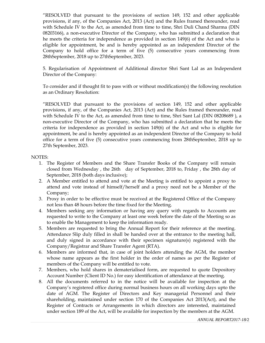"RESOLVED that pursuant to the provisions of section 149, 152 and other applicable provisions, if any, of the Companies Act, 2013 (Act) and the Rules framed thereunder, read with Schedule IV to the Act, as amended from time to time, Shri Duli Chand Sharma (DIN 08203166), a non-executive Director of the Company, who has submitted a declaration that he meets the criteria for independence as provided in section 149(6) of the Act and who is eligible for appointment, be and is hereby appointed as an independent Director of the Company to hold office for a term of five (5) consecutive years commencing from 28thSeptember, 2018 up to 27thSeptember, 2023.

5. Regularisation of Appointment of Additional director Shri Sant Lal as an Independent Director of the Company:

To consider and if thought fit to pass with or without modification(s) the following resolution as an Ordinary Resolution:

"RESOLVED that pursuant to the provisions of section 149, 152 and other applicable provisions, if any, of the Companies Act, 2013 (Act) and the Rules framed thereunder, read with Schedule IV to the Act, as amended from time to time, Shri Sant Lal (DIN 08208689), a non-executive Director of the Company, who has submitted a declaration that he meets the criteria for independence as provided in section 149(6) of the Act and who is eligible for appointment, be and is hereby appointed as an independent Director of the Company to hold office for a term of five (5) consecutive years commencing from 28thSeptember, 2018 up to 27th September, 2023.

## NOTES:

- 1. The Register of Members and the Share Transfer Books of the Company will remain closed from Wednesday , the 26th day of September, 2018 to, Friday , the 28th day of September, 2018 (both days inclusive);
- 2. A Member entitled to attend and vote at the Meeting is entitled to appoint a proxy to attend and vote instead of himself/herself and a proxy need not be a Member of the Company;
- 3. Proxy in order to be effective must be received at the Registered Office of the Company not less than 48 hours before the time fixed for the Meeting.
- 4. Members seeking any information or having any query with regards to Accounts are requested to write to the Company at least one week before the date of the Meeting so as to enable the Management to keep the information ready.
- 5. Members are requested to bring the Annual Report for their reference at the meeting. Attendance Slip duly filled in shall be handed over at the entrance to the meeting hall, and duly signed in accordance with their specimen signature(s) registered with the Company/Registrar and Share Transfer Agent (RTA).
- 6. Members are informed that, in case of joint holders attending the AGM, the member whose name appears as the first holder in the order of names as per the Register of members of the Company will be entitled to vote.
- 7. Members, who hold shares in dematerialised form, are requested to quote Depository Account Number (Client ID No.) for easy identification of attendance at the meeting.
- 8. All the documents referred to in the notice will be available for inspection at the Company's registered office during normal business hours on all working days upto the date of AGM. The Register of Directors and Key managerial Personnel and their shareholding, maintained under section 170 of the Companies Act 2013(Act), and the Register of Contracts or Arrangements in which directors are interested, maintained under section 189 of the Act, will be available for inspection by the members at the AGM.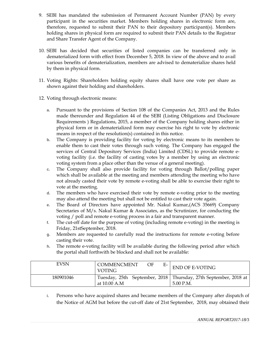- 9. SEBI has mandated the submission of Permanent Account Number (PAN) by every participant in the securities market. Members holding shares in electronic form are, therefore, requested to submit their PAN to their depository participant(s). Members holding shares in physical form are required to submit their PAN details to the Registrar and Share Transfer Agent of the Company.
- 10. SEBI has decided that securities of listed companies can be transferred only in dematerialized form with effect from December 5, 2018. In view of the above and to avail various benefits of dematerialization, members are advised to dematerialize shares held by them in physical form.
- 11. Voting Rights: Shareholders holding equity shares shall have one vote per share as shown against their holding and shareholders.
- 12. Voting through electronic means:
	- **a.** Pursuant to the provisions of Section 108 of the Companies Act, 2013 and the Rules made thereunder and Regulation 44 of the SEBI (Listing Obligations and Disclosure Requirements ) Regulations, 2015, a member of the Company holding shares either in physical form or in dematerialized form may exercise his right to vote by electronic means in respect of the resolution(s) contained in this notice.
	- **b.** The Company is providing facility for voting by electronic means to its members to enable them to cast their votes through such voting. The Company has engaged the services of Central Depository Services (India) Limited (CDSL) to provide remote evoting facility (i.e. the facility of casting votes by a member by using an electronic voting system from a place other than the venue of a general meeting).
	- **c.** The Company shall also provide facility for voting through Ballot/polling paper which shall be available at the meeting and members attending the meeting who have not already casted their vote by remote e-voting shall be able to exercise their right to vote at the meeting.
	- **d.** The members who have exercised their vote by remote e-voting prior to the meeting may also attend the meeting but shall not be entitled to cast their vote again.
	- **e.** The Board of Directors have appointed Mr. Nakul Kumar,(ACS 35669) Company Secretaries of M/s. Nakul Kumar & Associates, as the Scrutinizer, for conducting the voting / poll and remote e-voting process in a fair and transparent manner.
	- **f.** The cut-off date for the purpose of voting (including remote e-voting) in the meeting is Friday, 21stSeptember, 2018.
	- **g.** Members are requested to carefully read the instructions for remote e-voting before casting their vote.
	- **h.** The remote e-voting facility will be available during the following period after which the portal shall forthwith be blocked and shall not be available:

| <b>EVSN</b> | COMMENCMENT<br>VOTING | Е-<br>OF | <b>END OF E-VOTING</b>                                                         |
|-------------|-----------------------|----------|--------------------------------------------------------------------------------|
| 180901046   | at 10.00 A.M          |          | Tuesday, 25th September, 2018   Thursday, 27th September, 2018 at<br>5.00 P.M. |

**i.** Persons who have acquired shares and became members of the Company after dispatch of the Notice of AGM but before the cut-off date of 21st September, 2018, may obtained their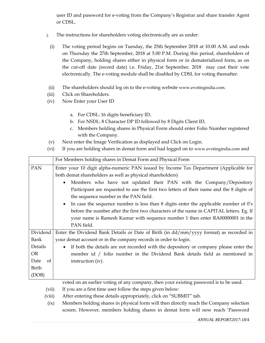user ID and password for e-voting from the Company's Registrar and share transfer Agent or CDSL.

- **j.** The instructions for shareholders voting electronically are as under:
	- (i) The voting period begins on Tuesday, the 25th September 2018 at 10.00 A.M. and ends on Thursday the 27th September, 2018 at 5.00 P.M. During this period, shareholders of the Company, holding shares either in physical form or in dematerialized form, as on the cut-off date (record date) i.e. Friday, 21st September, 2018 may cast their vote electronically. The e-voting module shall be disabled by CDSL for voting thereafter.
- (ii) The shareholders should log on to the e-voting website www.evotingindia.com.
- (iii) Click on Shareholders.
- (iv) Now Enter your User ID
	- a. For CDSL: 16 digits beneficiary ID,
	- b. For NSDL: 8 Character DP ID followed by 8 Digits Client ID,
	- c. Members holding shares in Physical Form should enter Folio Number registered with the Company.
- (v) Next enter the Image Verification as displayed and Click on Login.
- (vi) If you are holding shares in demat form and had logged on to www.evotingindia.com and

|            | For Members holding shares in Demat Form and Physical Form                                          |  |  |  |
|------------|-----------------------------------------------------------------------------------------------------|--|--|--|
| <b>PAN</b> | Enter your 10 digit alpha-numeric PAN issued by Income Tax Department (Applicable for               |  |  |  |
|            | both demat shareholders as well as physical shareholders)                                           |  |  |  |
|            | • Members who have not updated their PAN with the Company/Depository                                |  |  |  |
|            | Participant are requested to use the first two letters of their name and the 8 digits of            |  |  |  |
|            | the sequence number in the PAN field.                                                               |  |  |  |
|            | In case the sequence number is less than 8 digits enter the applicable number of $0's$<br>$\bullet$ |  |  |  |
|            | before the number after the first two characters of the name in CAPITAL letters. Eg. If             |  |  |  |
|            | your name is Ramesh Kumar with sequence number 1 then enter RA00000001 in the                       |  |  |  |
|            | PAN field.                                                                                          |  |  |  |
| Dividend   | Enter the Dividend Bank Details or Date of Birth (in $\frac{dd}{m}$ ) yyyy format) as recorded in   |  |  |  |
| Bank       | your demat account or in the company records in order to login.                                     |  |  |  |
| Details    | • If both the details are not recorded with the depository or company please enter the              |  |  |  |
| OR         | member id / folio number in the Dividend Bank details field as mentioned in                         |  |  |  |
| Date<br>of | instruction (iv).                                                                                   |  |  |  |
| Birth      |                                                                                                     |  |  |  |
| (DOB)      |                                                                                                     |  |  |  |
|            | voted on an earlier voting of any company, then your existing password is to be used.               |  |  |  |

(vii) If you are a first time user follow the steps given below:

- (viii) After entering these details appropriately, click on "SUBMIT" tab.
- (ix) Members holding shares in physical form will then directly reach the Company selection screen. However, members holding shares in demat form will now reach 'Password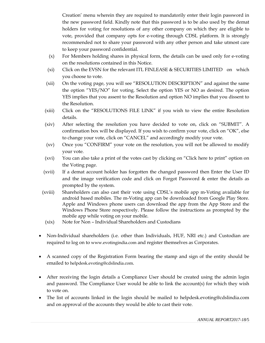Creation' menu wherein they are required to mandatorily enter their login password in the new password field. Kindly note that this password is to be also used by the demat holders for voting for resolutions of any other company on which they are eligible to vote, provided that company opts for e-voting through CDSL platform. It is strongly recommended not to share your password with any other person and take utmost care to keep your password confidential.

- (x) For Members holding shares in physical form, the details can be used only for e-voting on the resolutions contained in this Notice.
- (xi) Click on the EVSN for the relevant ITL FINLEASE & SECURITIES LIMITED on which you choose to vote.
- (xii) On the voting page, you will see "RESOLUTION DESCRIPTION" and against the same the option "YES/NO" for voting. Select the option YES or NO as desired. The option YES implies that you assent to the Resolution and option NO implies that you dissent to the Resolution.
- (xiii) Click on the "RESOLUTIONS FILE LINK" if you wish to view the entire Resolution details.
- (xiv) After selecting the resolution you have decided to vote on, click on "SUBMIT". A confirmation box will be displayed. If you wish to confirm your vote, click on "OK", else to change your vote, click on "CANCEL" and accordingly modify your vote.
- (xv) Once you "CONFIRM" your vote on the resolution, you will not be allowed to modify your vote.
- (xvi) You can also take a print of the votes cast by clicking on "Click here to print" option on the Voting page.
- (xvii) If a demat account holder has forgotten the changed password then Enter the User ID and the image verification code and click on Forgot Password & enter the details as prompted by the system.
- (xviii) Shareholders can also cast their vote using CDSL's mobile app m-Voting available for android based mobiles. The m-Voting app can be downloaded from Google Play Store. Apple and Windows phone users can download the app from the App Store and the Windows Phone Store respectively. Please follow the instructions as prompted by the mobile app while voting on your mobile.
	- (xix) Note for Non Individual Shareholders and Custodians
- Non-Individual shareholders (i.e. other than Individuals, HUF, NRI etc.) and Custodian are required to log on to www.evotingindia.com and register themselves as Corporates.
- A scanned copy of the Registration Form bearing the stamp and sign of the entity should be emailed to helpdesk.evoting@cdslindia.com.
- After receiving the login details a Compliance User should be created using the admin login and password. The Compliance User would be able to link the account(s) for which they wish to vote on.
- The list of accounts linked in the login should be mailed to helpdesk.evoting@cdslindia.com and on approval of the accounts they would be able to cast their vote.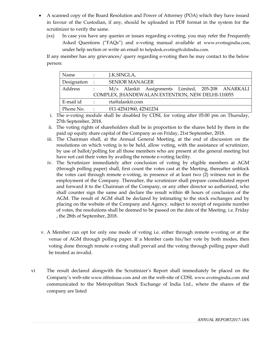- A scanned copy of the Board Resolution and Power of Attorney (POA) which they have issued in favour of the Custodian, if any, should be uploaded in PDF format in the system for the scrutinizer to verify the same.
	- (xx) In case you have any queries or issues regarding e-voting, you may refer the Frequently Asked Questions ("FAQs") and e-voting manual available at www.evotingindia.com, under help section or write an email to helpdesk.evoting@cdslindia.com.

If any member has any grievances/ query regarding e-voting then he may contact to the below person:

| Name          |                      | J.K.SINGLA,                                       |
|---------------|----------------------|---------------------------------------------------|
| Designation : |                      | <b>SENIOR MANAGER</b>                             |
| Address       |                      | M/s Alankit Assignments Limited, 205-208 ANARKALI |
|               |                      | COMPLEX, JHANDEWALAN EXTENTION, NEW DELHI-110055  |
| E-mail id     | $\ddot{\phantom{a}}$ | rta@alankit.com                                   |
| Phone No.     | $\mathbf{r}$         | 011-42541960, 42541234                            |
|               |                      |                                                   |

i. The e-voting module shall be disabled by CDSL for voting after 05:00 pm on Thursday, 27th September, 2018.

- ii. The voting rights of shareholders shall be in proportion to the shares held by them in the paid up equity share capital of the Company as on Friday, 21st September, 2018.
- iii. The Chairman shall, at the Annual General Meeting, at the end of discussion on the resolutions on which voting is to be held, allow voting, with the assistance of scrutinizer, by use of ballot/polling for all those members who are present at the general meeting but have not cast their votes by availing the remote e-voting facility.
- iv. The Scrutinizer immediately after conclusion of voting by eligible members at AGM (through polling paper) shall, first count the votes cast at the Meeting, thereafter unblock the votes cast through remote e-voting, in presence of at least two (2) witness not in the employment of the Company. Thereafter, the scrutinizer shall prepare consolidated report and forward it to the Chairman of the Company, or any other director so authorized, who shall counter sign the same and declare the result within 48 hours of conclusion of the AGM. The result of AGM shall be declared by intimating to the stock exchanges and by placing on the website of the Company and Agency. subject to receipt of requisite number of votes, the resolutions shall be deemed to be passed on the date of the Meeting. i.e. Friday , the 28th of September, 2018.
- v. A Member can opt for only one mode of voting i.e. either through remote e-voting or at the venue of AGM through polling paper. If a Member casts his/her vote by both modes, then voting done through remote e-voting shall prevail and the voting through polling paper shall be treated as invalid.
- vi The result declared alongwith the Scrutinizer's Report shall immediately be placed on the Company's web-site www.itlfinlease.com and on the web-site of CDSL www.evotingindia.com and communicated to the Metropolitan Stock Exchange of India Ltd., where the shares of the company are listed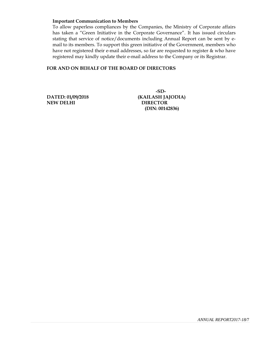#### **Important Communication to Members**

To allow paperless compliances by the Companies, the Ministry of Corporate affairs has taken a "Green Initiative in the Corporate Governance". It has issued circulars stating that service of notice/documents including Annual Report can be sent by email to its members. To support this green initiative of the Government, members who have not registered their e-mail addresses, so far are requested to register & who have registered may kindly update their e-mail address to the Company or its Registrar.

## **FOR AND ON BEHALF OF THE BOARD OF DIRECTORS**

**NEW DELHI DIRECTOR** 

 **-SD- DATED: 01/09/2018 (KAILASH JAJODIA) (DIN: 00142836)**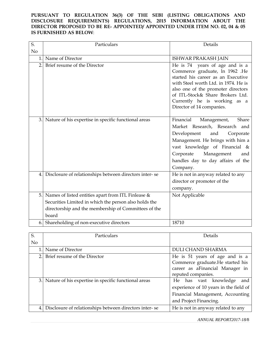## **PURSUANT TO REGULATION 36(3) OF THE SEBI (LISTING OBLIGATIONS AND DISCLOSURE REQUIREMENTS) REGULATIONS, 2015 INFORMATION ABOUT THE DIRECTOR PROPOSED TO BE RE- APPOINTED/ APPOINTED UNDER ITEM NO. 02, 04 & 05 IS FURNISHED AS BELOW**:

| S. | Particulars                                               | Details                                                                                                                                                                                                                                                                               |
|----|-----------------------------------------------------------|---------------------------------------------------------------------------------------------------------------------------------------------------------------------------------------------------------------------------------------------------------------------------------------|
| No |                                                           |                                                                                                                                                                                                                                                                                       |
| 1. | Name of Director                                          | <b>ISHWAR PRAKASH JAIN</b>                                                                                                                                                                                                                                                            |
| 2. | Brief resume of the Director                              | He is 74 years of age and is a<br>Commerce graduate, ln 1962 .He<br>started his career as an Executive<br>with Steel worth Ltd. in 1974. He is<br>also one of the promoter directors<br>of ITL-Stock& Share Brokers Ltd.<br>Currently he is working as a<br>Director of 14 companies. |
|    | 3. Nature of his expertise in specific functional areas   | Financial<br>Management,<br>Share<br>Market Research, Research and<br>Development<br>and<br>Corporate<br>Management. He brings with him a<br>vast knowledge of Financial &<br>Management<br>Corporate<br>and<br>handles day to day affairs of the<br>Company.                         |
|    | 4. Disclosure of relationships between directors inter-se | He is not in anyway related to any<br>director or promoter of the<br>company.                                                                                                                                                                                                         |
|    | 5. Names of listed entities apart from ITL Finlease &     | Not Applicable                                                                                                                                                                                                                                                                        |
|    | Securities Limited in which the person also holds the     |                                                                                                                                                                                                                                                                                       |
|    | directorship and the membership of Committees of the      |                                                                                                                                                                                                                                                                                       |
|    | board                                                     |                                                                                                                                                                                                                                                                                       |
|    | 6. Shareholding of non-executive directors                | 18710                                                                                                                                                                                                                                                                                 |

| S.             | Particulars                                             | Details                                                                                                                              |  |  |
|----------------|---------------------------------------------------------|--------------------------------------------------------------------------------------------------------------------------------------|--|--|
| N <sub>o</sub> |                                                         |                                                                                                                                      |  |  |
|                | Name of Director                                        | <b>DULI CHAND SHARMA</b>                                                                                                             |  |  |
|                | Brief resume of the Director                            | He is 51 years of age and is a<br>Commerce graduate.He started his<br>career as aFinancial Manager in<br>reputed companies.          |  |  |
|                | 3. Nature of his expertise in specific functional areas | He has vast knowledge<br>and<br>experience of 10 years in the field of<br>Financial Management, Accounting<br>and Project Financing. |  |  |
| 4.             | Disclosure of relationships between directors inter-se  | He is not in anyway related to any                                                                                                   |  |  |

*ANNUAL REPORT2017-18/*8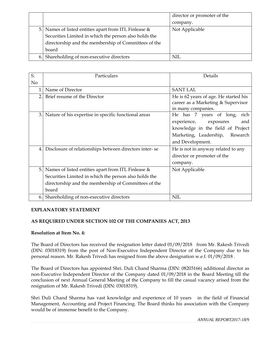|                                                       | director or promoter of the |
|-------------------------------------------------------|-----------------------------|
|                                                       | company.                    |
| 5. Names of listed entities apart from ITL Finlease & | Not Applicable              |
| Securities Limited in which the person also holds the |                             |
| directorship and the membership of Committees of the  |                             |
| board                                                 |                             |
| 6. Shareholding of non-executive directors            | NII.                        |

| S.  | Particulars                                                                                                                                                                  | Details                                                                                                                                                           |
|-----|------------------------------------------------------------------------------------------------------------------------------------------------------------------------------|-------------------------------------------------------------------------------------------------------------------------------------------------------------------|
| No  |                                                                                                                                                                              |                                                                                                                                                                   |
|     | Name of Director                                                                                                                                                             | <b>SANT LAL</b>                                                                                                                                                   |
| 2.  | Brief resume of the Director                                                                                                                                                 | He is 62 years of age. He started his<br>career as a Marketing & Supervisor<br>in many companies.                                                                 |
| 3.1 | Nature of his expertise in specific functional areas                                                                                                                         | He has 7 years of long,<br>rich<br>experience,<br>exposures<br>and<br>knowledge in the field of Project<br>Marketing, Leadership,<br>Research<br>and Development. |
| 4.1 | Disclosure of relationships between directors inter-se                                                                                                                       | He is not in anyway related to any<br>director or promoter of the<br>company.                                                                                     |
| 5.  | Names of listed entities apart from ITL Finlease &<br>Securities Limited in which the person also holds the<br>directorship and the membership of Committees of the<br>board | Not Applicable                                                                                                                                                    |
| 6.  | Shareholding of non-executive directors                                                                                                                                      | <b>NIL</b>                                                                                                                                                        |

## **EXPLANATORY STATEMENT**

## **AS REQUIRED UNDER SECTION 102 OF THE COMPANIES ACT, 2013**

## **Resolution at Item No. 4:**

The Board of Directors has received the resignation letter dated 01/09/2018 from Mr. Rakesh Trivedi (DIN: 03018319) from the post of Non-Executive Independent Director of the Company due to his personal reason. Mr. Rakesh Trivedi has resigned from the above designation w.e.f. 01/09/2018 .

The Board of Directors has appointed Shri. Duli Chand Sharma (DIN: 08203166) additional director as non-Executive Independent Director of the Company dated 01/09/2018 in the Board Meeting till the conclusion of next Annual General Meeting of the Company to fill the casual vacancy arised from the resignation of Mr. Rakesh Trivedi (DIN: 03018319).

Shri Duli Chand Sharma has vast knowledge and experience of 10 years in the field of Financial Management, Accounting and Project Financing. The Board thinks his association with the Company would be of immense benefit to the Company.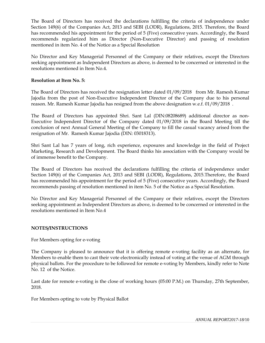The Board of Directors has received the declarations fulfilling the criteria of independence under Section 149(6) of the Companies Act, 2013 and SEBI (LODR), Regulations, 2015. Therefore, the Board has recommended his appointment for the period of 5 (Five) consecutive years. Accordingly, the Board recommends regularized him as Director (Non-Executive Director) and passing of resolution mentioned in item No. 4 of the Notice as a Special Resolution

No Director and Key Managerial Personnel of the Company or their relatives, except the Directors seeking appointment as Independent Directors as above, is deemed to be concerned or interested in the resolutions mentioned in Item No.4.

## **Resolution at Item No. 5:**

The Board of Directors has received the resignation letter dated 01/09/2018 from Mr. Ramesh Kumar Jajodia from the post of Non-Executive Independent Director of the Company due to his personal reason. Mr. Ramesh Kumar Jajodia has resigned from the above designation w.e.f. 01/09/2018 .

The Board of Directors has appointed Shri. Sant Lal (DIN:08208689) additional director as non-Executive Independent Director of the Company dated 01/09/2018 in the Board Meeting till the conclusion of next Annual General Meeting of the Company to fill the casual vacancy arised from the resignation of Mr. Ramesh Kumar Jajodia (DIN: 03018313).

Shri Sant Lal has 7 years of long, rich experience, exposures and knowledge in the field of Project Marketing, Research and Development. The Board thinks his association with the Company would be of immense benefit to the Company.

The Board of Directors has received the declarations fulfilling the criteria of independence under Section 149(6) of the Companies Act, 2013 and SEBI (LODR), Regulations, 2015.Therefore, the Board has recommended his appointment for the period of 5 (Five) consecutive years. Accordingly, the Board recommends passing of resolution mentioned in item No. 5 of the Notice as a Special Resolution.

No Director and Key Managerial Personnel of the Company or their relatives, except the Directors seeking appointment as Independent Directors as above, is deemed to be concerned or interested in the resolutions mentioned in Item No.4

## **NOTES/INSTRUCTIONS**

For Members opting for e-voting

The Company is pleased to announce that it is offering remote e-voting facility as an alternate, for Members to enable them to cast their vote electronically instead of voting at the venue of AGM through physical ballots. For the procedure to be followed for remote e-voting by Members, kindly refer to Note No. 12 of the Notice.

Last date for remote e-voting is the close of working hours (05:00 P.M.) on Thursday, 27th September, 2018.

For Members opting to vote by Physical Ballot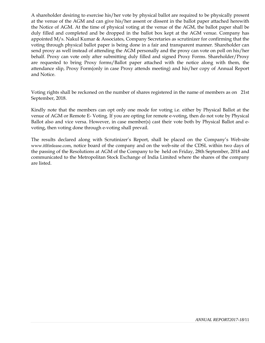A shareholder desiring to exercise his/her vote by physical ballot are required to be physically present at the venue of the AGM and can give his/her assent or dissent in the ballot paper attached herewith the Notice of AGM. At the time of physical voting at the venue of the AGM, the ballot paper shall be duly filled and completed and be dropped in the ballot box kept at the AGM venue. Company has appointed M/s. Nakul Kumar & Associates, Company Secretaries as scrutinizer for confirming that the voting through physical ballot paper is being done in a fair and transparent manner. Shareholder can send proxy as well instead of attending the AGM personally and the proxy can vote on poll on his/her behalf. Proxy can vote only after submitting duly filled and signed Proxy Forms. Shareholder/Proxy are requested to bring Proxy forms/Ballot paper attached with the notice along with them, the attendance slip, Proxy Form(only in case Proxy attends meeting) and his/her copy of Annual Report and Notice.

Voting rights shall be reckoned on the number of shares registered in the name of members as on 21st September, 2018.

Kindly note that the members can opt only one mode for voting i.e. either by Physical Ballot at the venue of AGM or Remote E- Voting. If you are opting for remote e-voting, then do not vote by Physical Ballot also and vice versa. However, in case member(s) cast their vote both by Physical Ballot and evoting, then voting done through e-voting shall prevail.

The results declared along with Scrutinizer's Report, shall be placed on the Company's Web-site www.itlfinlease.com, notice board of the company and on the web-site of the CDSL within two days of the passing of the Resolutions at AGM of the Company to be held on Friday, 28th September, 2018 and communicated to the Metropolitan Stock Exchange of India Limited where the shares of the company are listed.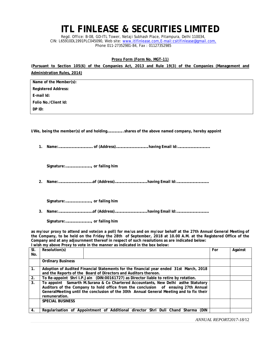# **ITL FINLEASE & SECURITIES LIMITED**

Regd. Office: B-08, GD-ITL Tower, Netaji Subhash Place, Pitampura, Delhi 110034, CIN: L65910DL1991PLC045090, Web site: www.itlfinlease.com,E-mail:csitlfinlease@gmail.com, Phone 011-27352981-84, Fax : 01127352985

#### **Proxy Form (Form No. MGT-11)**

**(Pursuant to Section 105(6) of the Companies Act, 2013 and Rule 19(3) of the Companies (Management and Administration Rules, 2014)** 

| DP ID:                     |  |
|----------------------------|--|
| Folio No./Client Id:       |  |
| E-mail Id:                 |  |
| <b>Registered Address:</b> |  |
| Name of the Member(s):     |  |

**I/We, being the member(s) of and holding……………..shares of the above named company, hereby appoint** 

**1. Name:……………………………… of (Address)…………………………….having Email Id:…………………………….** 

**Signature:………………………, or failing him** 

**2. Name:………………………………of (Address)…………………………….having Email Id:…………………………….** 

**Signature:………………………, or failing him** 

**3. Name:………………………………of (Address)…………………………….having Email Id:…………………………….** 

**Signature:………………………, or failing him** 

**as my/our proxy to attend and vote(on a poll) for me/us and on my/our behalf at the 27th Annual General Meeting of the Company, to be held on the Friday the 28th of September, 2018 at 10.00 A.M. at the Registered Office of the Company and at any adjournment thereof in respect of such resolutions as are indicated below: I wish my above Proxy to vote in the manner as indicated in the box below:** 

| SI. | Resolution(s)                                                                           | For | Against |
|-----|-----------------------------------------------------------------------------------------|-----|---------|
| No. |                                                                                         |     |         |
|     | <b>Ordinary Business</b>                                                                |     |         |
| 1.  | Adoption of Audited Financial Statements for the financial year ended 31st March, 2018  |     |         |
|     | and the Reports of the Board of Directors and Auditors thereon.                         |     |         |
| 2.  | To Re-appoint Shri I.P.Jain (DIN:00161727) as Director liable to retire by rotation.    |     |         |
| 3.  | To appoint Samarth M.Surana & Co Chartered Accountants, New Delhi asthe Statutory       |     |         |
|     | Auditors of the Company to hold office from the conclusion of ensuing 27th Annual       |     |         |
|     | GeneralMeeting until the conclusion of the 30th Annual General Meeting and to fix their |     |         |
|     | remuneration.                                                                           |     |         |
|     | <b>SPECIAL BUSINESS</b>                                                                 |     |         |
|     |                                                                                         |     |         |
| 4.  | Regularisation of Appointment of Additional director Shri Duli Chand Sharma<br>(DIN     |     |         |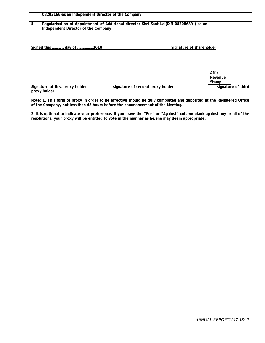|    | 08203166) as an Independent Director of the Company                                                                           |  |
|----|-------------------------------------------------------------------------------------------------------------------------------|--|
| 5. | Regularisation of Appointment of Additional director Shri Sant Lal(DIN 08208689) as an<br>Independent Director of the Company |  |

**Signed this ………….day of …………….2018 Signature of shareholder** 

**proxy holder** 

Signature of first proxy holder signature of second proxy holder signature of third

**Affix Revenue Stamp** 

**Note: 1. This form of proxy in order to be effective should be duly completed and deposited at the Registered Office of the Company, not less than 48 hours before the commencement of the Meeting.** 

**2. It is optional to indicate your preference. If you leave the "For" or "Against" column blank against any or all of the resolutions, your proxy will be entitled to vote in the manner as he/she may deem appropriate.**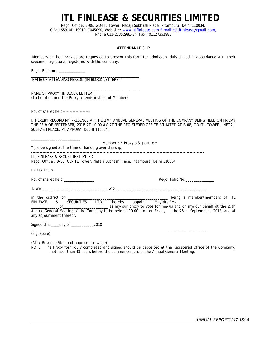# **ITL FINLEASE & SECURITIES LIMITED**

Regd. Office: B-08, GD-ITL Tower, Netaji Subhash Place, Pitampura, Delhi 110034, CIN: L65910DL1991PLC045090, Web site: www.itlfinlease.com,E-mail:csitlfinlease@gmail.com, Phone 011-27352981-84, Fax : 01127352985

#### **ATTENDANCE SLIP**

 Members or their proxies are requested to present this form for admission, duly signed in accordance with their specimen signatures registered with the company.

Regd. Folio no.

NAME OF ATTENDING PERSON (IN BLOCK LETTERS) \*

NAME OF PROXY (IN BLOCK LETTER) (To be filled in if the Proxy attends instead of Member)

\_\_\_\_\_\_\_\_\_\_\_\_\_\_\_\_\_\_\_\_\_\_\_\_\_\_\_\_\_\_\_\_\_\_\_\_\_\_\_\_\_\_\_\_\_\_\_\_\_\_\_\_\_

\_\_\_\_\_\_\_\_\_\_\_\_\_\_\_\_\_\_\_\_\_\_\_\_\_\_\_\_\_\_\_\_\_\_\_\_\_\_\_\_\_\_\_\_\_\_\_\_\_\_\_\_\_\_

No. of shares held-------------------

I, HEREBY RECORD MY PRESENCE AT THE 27th ANNUAL GENERAL MEETING OF THE COMPANY BEING HELD ON FRIDAY THE 28th OF SEPTEMBER, 2018 AT 10.00 AM AT THE REGISTERED OFFICE SITUATED AT B-08, GD-ITL TOWER, NETAJI SUBHASH PLACE, PITAMPURA, DELHI 110034.

| * (To be signed at the time of handing over this slip)                                                               |      | Member's / Proxy's Signature *                                                                                                                                                                                                                  |
|----------------------------------------------------------------------------------------------------------------------|------|-------------------------------------------------------------------------------------------------------------------------------------------------------------------------------------------------------------------------------------------------|
| ITL FINLEASE & SECURITIES LIMITED<br>Regd. Office: B-08, GD-ITL Tower, Netaji Subhash Place, Pitampura, Delhi 110034 |      |                                                                                                                                                                                                                                                 |
| <b>PROXY FORM</b>                                                                                                    |      |                                                                                                                                                                                                                                                 |
| No. of shares held                                                                                                   |      | Regd. Folio No.                                                                                                                                                                                                                                 |
| 1/W <sub>e</sub>                                                                                                     | .S/o |                                                                                                                                                                                                                                                 |
| FINLEASE & SECURITIES LTD. hereby appoint Mr./Mrs./Ms.<br>any adjournment thereof.                                   |      | being a member/members of ITL<br>of __________________________ as my/our proxy to vote for me/us and on my/our behalf at the 27th<br>Annual General Meeting of the Company to be held at 10.00 a.m. on Friday, the 28th September, 2018, and at |
|                                                                                                                      |      |                                                                                                                                                                                                                                                 |

(Signature)

(Affix Revenue Stamp of appropriate value)

NOTE: The Proxy form duly completed and signed should be deposited at the Registered Office of the Company, not later than 48 hours before the commencement of the Annual General Meeting.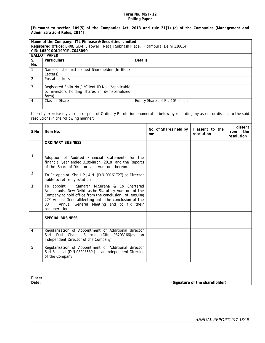#### **Form No. MGT- 12 Polling Paper**

#### *[Pursuant to section 109(5) of the Companies Act, 2013 and rule 21(1) (c) of the Companies (Management and Administration) Rules, 2014]*

| Name of the Company: ITL Finlease & Securities Limited<br>Registered Office: B-08, GD-ITL Tower, Netaji Subhash Place, Pitampura, Delhi 110034.<br>CIN: L65910DL1991PLC045090 |                                                                                                                                                                                                                                                                                                            |                |                                |                                |                                           |  |
|-------------------------------------------------------------------------------------------------------------------------------------------------------------------------------|------------------------------------------------------------------------------------------------------------------------------------------------------------------------------------------------------------------------------------------------------------------------------------------------------------|----------------|--------------------------------|--------------------------------|-------------------------------------------|--|
|                                                                                                                                                                               | <b>BALLOT PAPER</b>                                                                                                                                                                                                                                                                                        |                |                                |                                |                                           |  |
| $\overline{\mathsf{S}}$ .<br>No.                                                                                                                                              | <b>Particulars</b>                                                                                                                                                                                                                                                                                         | <b>Details</b> |                                |                                |                                           |  |
| 1                                                                                                                                                                             | Name of the first named Shareholder (In Block<br>Letters)                                                                                                                                                                                                                                                  |                |                                |                                |                                           |  |
| $\overline{2}$                                                                                                                                                                | Postal address                                                                                                                                                                                                                                                                                             |                |                                |                                |                                           |  |
| 3                                                                                                                                                                             | Registered Folio No./ *Client ID No. (*applicable<br>to investors holding shares in dematerialized<br>form)                                                                                                                                                                                                |                |                                |                                |                                           |  |
| 4                                                                                                                                                                             | <b>Class of Share</b>                                                                                                                                                                                                                                                                                      |                | Equity Shares of Rs. 10/- each |                                |                                           |  |
|                                                                                                                                                                               | I hereby exercise my vote in respect of Ordinary Resolution enumerated below by recording my assent or dissent to the said<br>resolutions in the following manner:                                                                                                                                         |                |                                |                                |                                           |  |
| S No                                                                                                                                                                          | Item No.                                                                                                                                                                                                                                                                                                   |                | No. of Shares held by<br>me    | I assent to the<br>resolution  | dissent<br>L<br>the<br>from<br>resolution |  |
|                                                                                                                                                                               | <b>ORDINARY BUSINESS</b>                                                                                                                                                                                                                                                                                   |                |                                |                                |                                           |  |
| 1                                                                                                                                                                             | Adoption of Audited Financial Statements for the<br>financial year ended 31stMarch, 2018 and the Reports<br>of the Board of Directors and Auditors thereon.                                                                                                                                                |                |                                |                                |                                           |  |
| $\overline{2}$                                                                                                                                                                | To Re-appoint Shri I.P.JAIN (DIN:00161727) as Director<br>liable to retire by rotation                                                                                                                                                                                                                     |                |                                |                                |                                           |  |
| 3                                                                                                                                                                             | Samarth M.Surana & Co Chartered<br>To appoint<br>Accountants, New Delhi asthe Statutory Auditors of the<br>Company to hold office from the conclusion of ensuing<br>27th Annual GeneralMeeting until the conclusion of the<br>30 <sup>th</sup><br>Annual General Meeting and to fix their<br>remuneration. |                |                                |                                |                                           |  |
|                                                                                                                                                                               | <b>SPECIAL BUSINESS</b>                                                                                                                                                                                                                                                                                    |                |                                |                                |                                           |  |
| 4                                                                                                                                                                             | Regularisation of Appointment of Additional director<br>Duli Chand Sharma<br>(DIN<br>08203166)as<br>Shri<br>Independent Director of the Company                                                                                                                                                            | an             |                                |                                |                                           |  |
| 5                                                                                                                                                                             | Regularisation of Appointment of Additional director<br>Shri Sant Lal (DIN 08208689) as an Independent Director<br>of the Company                                                                                                                                                                          |                |                                |                                |                                           |  |
|                                                                                                                                                                               |                                                                                                                                                                                                                                                                                                            |                |                                |                                |                                           |  |
| Place:<br>Date:                                                                                                                                                               |                                                                                                                                                                                                                                                                                                            |                |                                | (Signature of the shareholder) |                                           |  |
|                                                                                                                                                                               |                                                                                                                                                                                                                                                                                                            |                |                                |                                |                                           |  |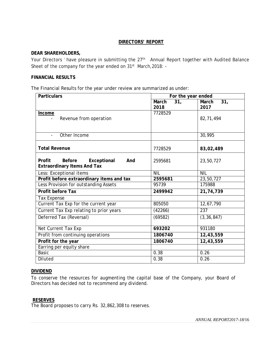## **DIRECTORS' REPORT**

## **DEAR SHAREHOLDERS,**

Your Directors ' have pleasure in submitting the 27<sup>th</sup> Annual Report together with Audited Balance Sheet of the company for the year ended on 31<sup>st</sup> March, 2018: -

## **FINANCIAL RESULTS**

The Financial Results for the year under review are summarized as under:

| <b>Particulars</b>                            | For the year ended       |                          |
|-----------------------------------------------|--------------------------|--------------------------|
|                                               | March<br>31 <sub>1</sub> | March<br>31 <sub>1</sub> |
|                                               | 2018                     | 2017                     |
| Income                                        | 7728529                  |                          |
| Revenue from operation                        |                          | 82,71,494                |
|                                               |                          |                          |
| Other Income                                  |                          | 30,995                   |
|                                               |                          |                          |
| <b>Total Revenue</b>                          | 7728529                  | 83,02,489                |
| Profit<br><b>Before</b><br>Exceptional<br>And | 2595681                  | 23,50,727                |
| <b>Extraordinary Items And Tax</b>            |                          |                          |
| Less: Exceptional items                       | <b>NIL</b>               | <b>NIL</b>               |
| Profit before extraordinary items and tax     | 2595681                  | 23,50,727                |
| Less Provision for outstanding Assets         | 95739                    | 175988                   |
| <b>Profit before Tax</b>                      | 2499942                  | 21,74,739                |
| <b>Tax Expense</b>                            |                          |                          |
| Current Tax Exp for the current year          | 805050                   | 12,67,790                |
| Current Tax Exp relating to prior years       | (42266)                  | 237                      |
| Deferred Tax (Reversal)                       | (69582)                  | (3, 36, 847)             |
|                                               |                          |                          |
| Net Current Tax Exp                           | 693202                   | 931180                   |
| Profit from continuing operations             | 1806740                  | 12,43,559                |
| Profit for the year                           | 1806740                  | 12,43,559                |
| Earring per equity share                      |                          |                          |
| <b>Basic</b>                                  | 0.38                     | 0.26                     |
| <b>Diluted</b>                                | 0.38                     | 0.26                     |

## **DIVIDEND**

To conserve the resources for augmenting the capital base of the Company, your Board of Directors has decided not to recommend any dividend.

## **RESERVES**

The Board proposes to carry Rs. 32,862,308 to reserves.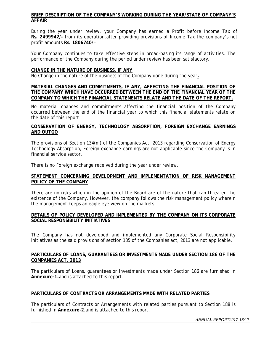## **BRIEF DESCRIPTION OF THE COMPANY'S WORKING DURING THE YEAR/STATE OF COMPANY'S AFFAIR**

During the year under review, your Company has earned a Profit before Income Tax of **Rs. 2499942/-** from its operation,after providing provisions of Income Tax the company's net profit amounts **Rs. 1806740**/-

Your Company continues to take effective steps in broad-basing its range of activities. The performance of the Company during the period under review has been satisfactory.

## **CHANGE IN THE NATURE OF BUSINESS, IF ANY**

No Change in the nature of the business of the Company done during the year**.**

**MATERIAL CHANGES AND COMMITMENTS, IF ANY, AFFECTING THE FINANCIAL POSITION OF THE COMPANY WHICH HAVE OCCURRED BETWEEN THE END OF THE FINANCIAL YEAR OF THE COMPANY TO WHICH THE FINANCIAL STATEMENTS RELATE AND THE DATE OF THE REPORT.**

No material changes and commitments affecting the financial position of the Company occurred between the end of the financial year to which this financial statements relate on the date of this report

## **CONSERVATION OF ENERGY, TECHNOLOGY ABSORPTION, FOREIGN EXCHANGE EARNINGS AND OUTGO**

The provisions of Section 134(m) of the Companies Act, 2013 regarding Conservation of Energy Technology Absorption, Foreign exchange earnings are not applicable since the Company is in financial service sector.

There is no Foreign exchange received during the year under review.

## **STATEMENT CONCERNING DEVELOPMENT AND IMPLEMENTATION OF RISK MANAGEMENT POLICY OF THE COMPANY**

There are no risks which in the opinion of the Board are of the nature that can threaten the existence of the Company. However, the company follows the risk management policy wherein the management keeps an eagle eye view on the markets.

## **DETAILS OF POLICY DEVELOPED AND IMPLEMENTED BY THE COMPANY ON ITS CORPORATE SOCIAL RESPONSIBILITY INITIATIVES**

The Company has not developed and implemented any Corporate Social Responsibility initiatives as the said provisions of section 135 of the Companies act, 2013 are not applicable.

## **PARTICULARS OF LOANS, GUARANTEES OR INVESTMENTS MADE UNDER SECTION 186 OF THE COMPANIES ACT, 2013**

The particulars of Loans, guarantees or investments made under Section 186 are furnished in **Annexure-1.**and is attached to this report.

## **PARTICULARS OF CONTRACTS OR ARRANGEMENTS MADE WITH RELATED PARTIES**

The particulars of Contracts or Arrangements with related parties pursuant to Section 188 is furnished in **Annexure-2**.and is attached to this report.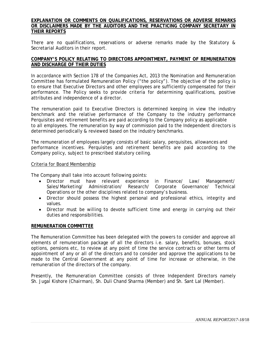## **EXPLANATION OR COMMENTS ON QUALIFICATIONS, RESERVATIONS OR ADVERSE REMARKS OR DISCLAIMERS MADE BY THE AUDITORS AND THE PRACTICING COMPANY SECRETARY IN THEIR REPORTS**

There are no qualifications, reservations or adverse remarks made by the Statutory & Secretarial Auditors in their report.

## **COMPANY'S POLICY RELATING TO DIRECTORS APPOINTMENT, PAYMENT OF REMUNERATION AND DISCHARGE OF THEIR DUTIES**

In accordance with Section 178 of the Companies Act, 2013 the Nomination and Remuneration Committee has formulated Remuneration Policy ("the policy"). The objective of the policy is to ensure that Executive Directors and other employees are sufficiently compensated for their performance. The Policy seeks to provide criteria for determining qualifications, positive attributes and independence of a director.

The remuneration paid to Executive Directors is determined keeping in view the industry benchmark and the relative performance of the Company to the industry performance Perquisites and retirement benefits are paid according to the Company policy as applicable to all employees. The remuneration by way of commission paid to the Independent directors is determined periodically & reviewed based on the industry benchmarks.

The remuneration of employees largely consists of basic salary, perquisites, allowances and performance incentives. Perquisites and retirement benefits are paid according to the Company policy, subject to prescribed statutory ceiling.

## Criteria for Board Membership

The Company shall take into account following points:

- Director must have relevant experience in Finance/ Law/ Management/ Sales/Marketing/ Administration/ Research/ Corporate Governance/ Technical Operations or the other disciplines related to company's business.
- Director should possess the highest personal and professional ethics, integrity and values.
- Director must be willing to devote sufficient time and energy in carrying out their duties and responsibilities.

#### **REMUNERATION COMMITTEE**

The Remuneration Committee has been delegated with the powers to consider and approve all elements of remuneration package of all the directors i.e. salary, benefits, bonuses, stock options, pensions etc, to review at any point of time the service contracts or other terms of appointment of any or all of the directors and to consider and approve the applications to be made to the Central Government at any point of time for increase or otherwise, in the remuneration of the directors of the company.

 Presently, the Remuneration Committee consists of three Independent Directors namely Sh. Jugal Kishore (Chairman), Sh. Duli Chand Sharma (Member) and Sh. Sant Lal (Member).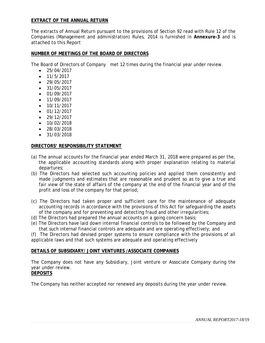## **EXTRACT OF THE ANNUAL RETURN**

The extracts of Annual Return pursuant to the provisions of Section 92 read with Rule 12 of the Companies (Management and administration) Rules, 2014 is furnished in **Annexure-3** and is attached to this Report

## **NUMBER OF MEETINGS OF THE BOARD OF DIRECTORS**

The Board of Directors of Company met 12 times during the financial year under review.

- $25/04/2017$
- 11/5/2017
- $29/05/2017$
- $\bullet$  31/05/2017
- $\bullet$  01/09/2017
- $\bullet$  11/09/2017
- $\bullet$  10/11/2017
- $\bullet$  01/12/2017
- $\bullet$  29/12/2017
- $\bullet$  10/02/2018
- $-28/03/2018$
- $\bullet$  31/03/2018

## **DIRECTORS' RESPONSIBILITY STATEMENT**

- (a) The annual accounts for the financial year ended March 31, 2018 were prepared as per the, the applicable accounting standards along with proper explanation relating to material departures;
- (b) The Directors had selected such accounting policies and applied them consistently and made judgments and estimates that are reasonable and prudent so as to give a true and fair view of the state of affairs of the company at the end of the financial year and of the profit and loss of the company for that period;
- (c) The Directors had taken proper and sufficient care for the maintenance of adequate accounting records in accordance with the provisions of this Act for safeguarding the assets of the company and for preventing and detecting fraud and other irregularities;
- (d) The Directors had prepared the annual accounts on a going concern basis;
- (e) The Directors have laid down internal financial controls to be followed by the Company and that such internal financial controls are adequate and are operating effectively; and

(f) The Directors had devised proper systems to ensure compliance with the provisions of all applicable laws and that such systems are adequate and operating effectively

## **DETAILS OF SUBSIDIARY/ JOINT VENTURES /ASSOCIATE COMPANIES**

The Company does not have any Subsidiary, Joint venture or Associate Company during the year under review.

## **DEPOSITS**

The Company has neither accepted nor renewed any deposits during the year under review.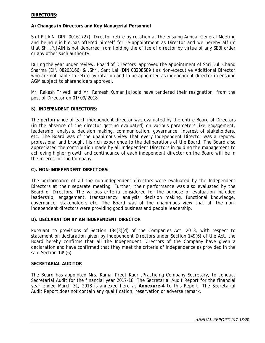## **DIRECTORS:**

## **A) Changes in Directors and Key Managerial Personnel**

Sh.I.P.JAIN (DIN: 00161727), Director retire by rotation at the ensuing Annual General Meeting and being eligible,has offered himself for re-appointment as Director and we hereby affirm that Sh.I.P.JAIN is not debarred from holding the office of director by virtue of any SEBI order or any other such authority.

During the year under review, Board of Directors approved the appointment of Shri Duli Chand Sharma (DIN 08203166) & ,Shri. Sant Lal (DIN 08208689 ) as Non-executive Additional Director who are not liable to retire by rotation and to be appointed as independent director in ensuing AGM subject to shareholders approval.

Mr. Rakesh Trivedi and Mr. Ramesh Kumar Jajodia have tendered their resignation from the post of Director on 01/09/2018

## B). **INDEPENDENT DIRECTORS:**

The performance of each independent director was evaluated by the entire Board of Directors (in the absence of the director getting evaluated) on various parameters like engagement, leadership, analysis, decision making, communication, governance, interest of stakeholders, etc. The Board was of the unanimous view that every Independent Director was a reputed professional and brought his rich experience to the deliberations of the Board. The Board also appreciated the contribution made by all Independent Directors in guiding the management to achieving higher growth and continuance of each independent director on the Board will be in the interest of the Company.

#### **C). NON-INDEPENDENT DIRECTORS:**

The performance of all the non-independent directors were evaluated by the Independent Directors at their separate meeting. Further, their performance was also evaluated by the Board of Directors. The various criteria considered for the purpose of evaluation included leadership, engagement, transparency, analysis, decision making, functional knowledge, governance, stakeholders etc. The Board was of the unanimous view that all the nonindependent directors were providing good business and people leadership.

## **D). DECLARATION BY AN INDEPENDENT DIRECTOR**

Pursuant to provisions of Section 134(3)(d) of the Companies Act, 2013, with respect to statement on declaration given by Independent Directors under Section 149(6) of the Act, the Board hereby confirms that all the Independent Directors of the Company have given a declaration and have confirmed that they meet the criteria of independence as provided in the said Section 149(6).

#### **SECRETARIAL AUDITOR**

The Board has appointed Mrs. Kamal Preet Kaur ,Practicing Company Secretary, to conduct Secretarial Audit for the financial year 2017-18. The Secretarial Audit Report for the financial year ended March 31, 2018 is annexed here as **Annexure-4** to this Report. The Secretarial Audit Report does not contain any qualification, reservation or adverse remark.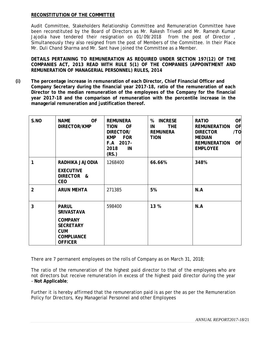## **RECONSTITUTION OF THE COMMITTEE**

Audit Committee, Stakeholders Relationship Committee and Remuneration Committee have been reconstituted by the Board of Directors as Mr. Rakesh Trivedi and Mr. Ramesh Kumar Jajodia have tendered their resignation on 01/09/2018 from the post of Director , Simultaneously they also resigned from the post of Members of the Committee. In their Place Mr. Duli Chand Sharma and Mr. Sant have joined the Committee as a Member.

**DETAILS PERTAINING TO REMUNERATION AS REQUIRED UNDER SECTION 197(12) OF THE COMPANIES ACT, 2013 READ WITH RULE 5(1) OF THE COMPANIES (APPOINTMENT AND REMUNERATION OF MANAGERIAL PERSONNEL) RULES, 2014** 

**(i) The percentage increase in remuneration of each Director, Chief Financial Officer and Company Secretary during the financial year 2017-18, ratio of the remuneration of each Director to the median remuneration of the employees of the Company for the financial year 2017-18 and the comparison of remuneration with the percentile increase in the managerial remuneration and justification thereof.** 

| S.NO           | <b>OF</b><br><b>NAME</b><br><b>DIRECTOR/KMP</b>                                         | <b>REMUNERA</b><br><b>OF</b><br><b>TION</b><br>DIRECTOR/<br><b>FOR</b><br><b>KMP</b><br>$2017 -$<br>F.A<br>IN<br>2018<br>(RS.) | %<br><b>INCRESE</b><br><b>THE</b><br>IN<br><b>REMUNERA</b><br><b>TION</b> | OF<br><b>RATIO</b><br>OF<br><b>REMUNERATION</b><br><b>DIRECTOR</b><br>/TO<br><b>MEDIAN</b><br><b>REMUNERATION</b><br><b>OF</b><br><b>EMPLOYEE</b> |
|----------------|-----------------------------------------------------------------------------------------|--------------------------------------------------------------------------------------------------------------------------------|---------------------------------------------------------------------------|---------------------------------------------------------------------------------------------------------------------------------------------------|
| 1              | RADHIKA JAJODIA                                                                         | 1268400                                                                                                                        | 66.66%                                                                    | 348%                                                                                                                                              |
|                | <b>EXECUTIVE</b><br><b>DIRECTOR</b><br>- &<br><b>CEO</b>                                |                                                                                                                                |                                                                           |                                                                                                                                                   |
| $\overline{2}$ | <b>ARUN MEHTA</b>                                                                       | 271385                                                                                                                         | 5%                                                                        | N.A                                                                                                                                               |
| 3              | <b>PARUL</b><br><b>SRIVASTAVA</b>                                                       | 598400                                                                                                                         | 13 %                                                                      | N.A                                                                                                                                               |
|                | <b>COMPANY</b><br><b>SECRETARY</b><br><b>CUM</b><br><b>COMPLIANCE</b><br><b>OFFICER</b> |                                                                                                                                |                                                                           |                                                                                                                                                   |

There are 7 permanent employees on the rolls of Company as on March 31, 2018;

The ratio of the remuneration of the highest paid director to that of the employees who are not directors but receive remuneration in excess of the highest paid director during the year – **Not Applicable**;

Further it is hereby affirmed that the remuneration paid is as per the as per the Remuneration Policy for Directors, Key Managerial Personnel and other Employees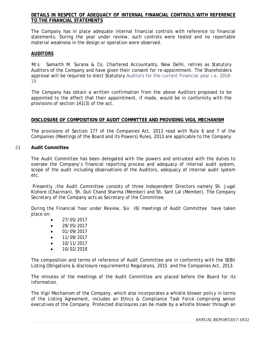## **DETAILS IN RESPECT OF ADEQUACY OF INTERNAL FINANCIAL CONTROLS WITH REFERENCE TO THE FINANCIAL STATEMENTS**

The Company has in place adequate internal financial controls with reference to financial statements. During the year under review, such controls were tested and no reportable material weakness in the design or operation were observed.

## **AUDITORS**

 M/s. Samarth M. Surana & Co, Chartered Accountants, New Delhi, retires as Statutory Auditors of the Company and have given their consent for re-appointment. The Shareholders approval will be required to elect Statutory Auditors for the current Financial year i.e. 2018- 19.

 The Company has obtain a written confirmation from the above Auditors proposed to be appointed to the effect that their appointment, if made, would be in conformity with the provisions of section 141(3) of the act.

## **DISCLOSURE OF COMPOSITION OF AUDIT COMMITTEE AND PROVIDING VIGIL MECHANISM**

The provisions of Section 177 of the Companies Act, 2013 read with Rule 6 and 7 of the Companies (Meetings of the Board and its Powers) Rules, 2013 are applicable to the Company.

(i) **Audit Committee** 

The Audit Committee has been delegated with the powers and entrusted with the duties to oversee the Company's financial reporting process and adequacy of internal audit system, scope of the audit including observations of the Auditors, adequacy of internal audit system etc.

 Presently ,the Audit Committee consists of three Independent Directors namely Sh. Jugal Kishore (Chairman), Sh. Duli Chand Sharma (Member) and Sh. Sant Lal (Member). The Company Secretary of the Company acts as Secretary of the Committee.

During the Financial Year under Review, Six (6) meetings of Audit Committee have taken place on:

- $\bullet$  27/05/2017
- $\bullet$  29/05/2017
- $\bullet$  01/09/2017
- $\bullet$  11/09/2017
- $\bullet$  10/11/2017
- $\bullet$  10/02/2018

The composition and terms of reference of Audit Committee are in conformity with the SEBI( Listing Obligations & disclosure requirements) Regulatons, 2015 and the Companies Act, 2013.

The minutes of the meetings of the Audit Committee are placed before the Board for its information.

The Vigil Mechanism of the Company, which also incorporates a whistle blower policy in terms of the Listing Agreement, includes an Ethics & Compliance Task Force comprising senior executives of the Company. Protected disclosures can be made by a whistle blower through an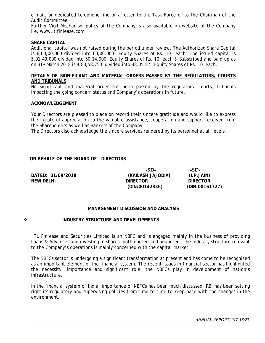e-mail, or dedicated telephone line or a letter to the Task Force or to the Chairman of the Audit Committee.

Further Vigil Mechanism policy of the Company is also available on website of the Company i.e. www.itlfinlease.com

## **SHARE CAPITAL**

Additional capital was not raised during the period under review. The Authorized Share Capital is 6,00,00,000 divided into 60,00,000 Equity Shares of Rs. 10 each. The issued capital is 5,01,49,000 divided into 50,14,900 Equity Shares of Rs. 10 each.& Subscribed and paid up as on 31st March 2018 is 4,80,58,750 divided into 48,05,875 Equity Shares of Rs. 10 each.

#### **DETAILS OF SIGNIFICANT AND MATERIAL ORDERS PASSED BY THE REGULATORS, COURTS AND TRIBUNALS**

No significant and material order has been passed by the regulators, courts, tribunals impacting the going concern status and Company's operations in future.

#### **ACKNOWLEDGEMENT**

Your Directors are pleased to place on record their sincere gratitude and would like to express their grateful appreciation to the valuable assistance, cooperation and support received from the Shareholders as well as Bankers of the Company.

The Directors also acknowledge the sincere services rendered by its personnel at all levels.

#### **ON BEHALF OF THE BOARD OF DIRECTORS**

**DATED: 01/09/2018 (KAILASH JAJODIA) (I.P.JAIN) NEW DELHI DIRECTOR DIRECTOR** 

 **-SD- -SD-(DIN:00142836) (DIN:00161727)**

## **MANAGEMENT DISCUSSION AND ANALYSIS**

#### **INDUSTRY STRUCTURE AND DEVELOPMENTS**

 ITL Finlease and Securities Limited is an NBFC and is engaged mainly in the business of providing Loans & Advances and investing in shares, both quoted and unquoted. The industry structure relevant to the Company's operations is mainly concerned with the capital market.

The NBFCs sector is undergoing a significant transformation at present and has come to be recognized as an important element of the financial system. The recent issues in financial sector has highlighted the necessity, importance and significant role, the NBFCs play in development of nation's infrastructure.

In the financial system of India, importance of NBFCs has been much discussed. RBI has been setting right its regulatory and supervising policies from time to time to keep pace with the changes in the environment.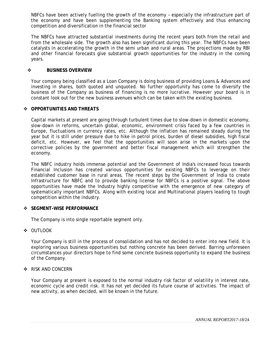NBFCs have been actively fuelling the growth of the economy – especially the infrastructure part of the economy and have been supplementing the Banking system effectively and thus enhancing competition and diversification in the financial sector

The NBFCs have attracted substantial investments during the recent years both from the retail and from the wholesale side. The growth also has been significant during this year. The NBFCs have been catalysts in accelerating the growth in the semi urban and rural areas. The projections made by RBI and other financial forecasts give substantial growth opportunities for the industry in the coming years.

## **BUSINESS OVERVIEW**

Your company being classified as a Loan Company is doing business of providing Loans & Advances and investing in shares, both quoted and unquoted. No further opportunity has come to diversify the business of the Company as business of financing is no more lucrative. However your board is in constant look out for the new business avenues which can be taken with the existing business.

## **OPPORTUNITIES AND THREATS**

Capital markets at present are going through turbulent times due to slow-down in domestic economy, slow-down in reforms, uncertain global, economic, environment crisis faced by a few countries in Europe, fluctuations in currency rates, etc. Although the inflation has remained steady during the year but it is still under pressure due to hike in petrol prices, burden of diesel subsidies, high fiscal deficit, etc. However, we feel that the opportunities will soon arise in the markets upon the corrective policies by the government and better fiscal management which will strengthen the economy.

The NBFC industry holds immense potential and the Government of India's increased focus towards Financial Inclusion has created various opportunities for existing NBFCs to leverage on their established customer base in rural areas. The recent steps by the Government of India to create Infrastructure for NBFC and to provide banking license for NBFCs is a positive signal. The above opportunities have made the Industry highly competitive with the emergence of new category of systematically important NBFCs. Along with existing local and Multinational players leading to tough competition within the industry.

## **SEGMENT-WISE PERFORMANCE**

The Company is into single reportable segment only.

## **❖ OUTLOOK**

Your Company is still in the process of consolidation and has not decided to enter into new field. It is exploring various business opportunities but nothing concrete has been derived. Barring unforeseen circumstances your directors hope to find some concrete business opportunity to expand the business of the Company.

## ❖ RISK AND CONCERN

Your Company at present is exposed to the normal industry risk factor of volatility in interest rate, economic cycle and credit risk. It has not yet decided its future course of activities. The impact of new activity, as when decided, will be known in the future.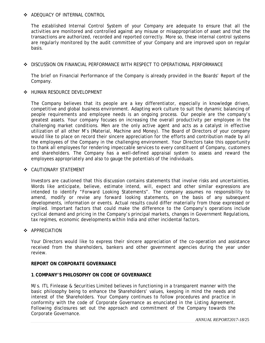## **ADEQUACY OF INTERNAL CONTROL**

The established Internal Control System of your Company are adequate to ensure that all the activities are monitored and controlled against any misuse or misappropriation of asset and that the transactions are authorized, recorded and reported correctly. More so, these internal control systems are regularly monitored by the audit committee of your Company and are improved upon on regular basis.

## DISCUSSION ON FINANCIAL PERFORMANCE WITH RESPECT TO OPERATIONAL PERFORMANCE

The brief on Financial Performance of the Company is already provided in the Boards' Report of the Company.

 $\div$  HUMAN RESOURCE DEVELOPMENT

The Company believes that its people are a key differentiator, especially in knowledge driven, competitive and global business environment. Adapting work culture to suit the dynamic balancing of people requirements and employee needs is an ongoing process. Our people are the company's greatest assets. Your company focuses on increasing the overall productivity per employee in the challenging market conditions. Men are the only active agent and acts as a catalyst in effective utilization of all other M's (Material, Machine and Money). The Board of Directors of your company would like to place on record their sincere appreciation for the efforts and contribution made by all the employees of the Company in the challenging environment. Your Directors take this opportunity to thank all employees for rendering impeccable services to every constituent of Company, customers and shareholders. The Company has a well-defined appraisal system to assess and reward the employees appropriately and also to gauge the potentials of the individuals.

## **❖** CAUTIONARY STATEMENT

Investors are cautioned that this discussion contains statements that involve risks and uncertainties. Words like anticipate, believe, estimate intend, will, expect and other similar expressions are intended to identify "Forward Looking Statements". The company assumes no responsibility to amend, modify or revise any forward looking statements, on the basis of any subsequent developments, information or events. Actual results could differ materially from those expressed or implied. Important factors that could make the difference to the Company's operations include cyclical demand and pricing in the Company's principal markets, changes in Government Regulations, tax regimes, economic developments within India and other incidental factors.

## ❖ APPRECIATION

Your Directors would like to express their sincere appreciation of the co-operation and assistance received from the shareholders, bankers and other government agencies during the year under review.

## **REPORT ON CORPORATE GOVERNANCE**

## **1**.**COMPANY'S PHILOSOPHY ON CODE OF GOVERNANCE**

M/s. ITL Finlease & Securities Limited believes in functioning in a transparent manner with the basic philosophy being to enhance the Shareholders' values, keeping in mind the needs and interest of the Shareholders. Your Company continues to follow procedures and practice in conformity with the code of Corporate Governance as enunciated in the Listing Agreement. Following disclosures set out the approach and commitment of the Company towards the Corporate Governance.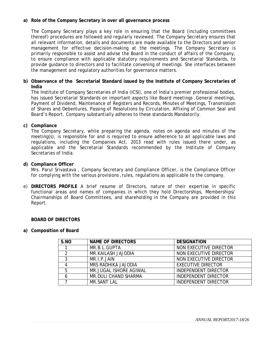## **a) Role of the Company Secretary in over all governance process**

The Company Secretary plays a key role in ensuring that the Board (including committees thereof) procedures are followed and regularly reviewed. The Company Secretary ensures that all relevant information, details and documents are made available to the Directors and senior management for effective decision-making at the meetings. The Company Secretary is primarily responsible to assist and advise the Board in the conduct of affairs of the Company, to ensure compliance with applicable statutory requirements and Secretarial Standards, to provide guidance to directors and to facilitate convening of meetings. She interfaces between the management and regulatory authorities for governance matters.

## **b) Observance of the Secretarial Standard issued by the Institute of Company Secretaries of India**

The Institute of Company Secretaries of India (ICSI), one of India's premier professional bodies, has issued Secretarial Standards on important aspects like Board meetings , General meetings, Payment of Dividend, Maintenance of Registers and Records, Minutes of Meetings, Transmission of Shares and Debentures, Passing of Resolutions by Circulation, Affixing of Common Seal and Board's Report. Company substantially adheres to these standards Mandatorily.

**c) Compliance** 

The Company Secretary, while preparing the agenda, notes on agenda and minutes of the meeting(s), is responsible for and is required to ensure adherence to all applicable laws and regulations, including the Companies Act, 2013 read with rules issued there under, as applicable and the Secretarial Standards recommended by the Institute of Company Secretaries of India.

**d) Compliance Officer** 

Mrs. Parul Srivastava , Company Secretary and Compliance Officer, is the Compliance Officer for complying with the various provisions , rules, regulations as applicable to the company.

e) **DIRECTORS PROFILE** A brief resume of Directors, nature of their expertise in specific functional areas and names of companies in which they hold Directorships, Memberships/ Chairmanships of Board Committees, and shareholding in the Company are provided in this Report.

## **BOARD OF DIRECTORS**

## **a) Composition of Board**

| S.NO | <b>NAME OF DIRECTORS</b> | <b>DESIGNATION</b>          |
|------|--------------------------|-----------------------------|
|      | MR.B.L.GUPTA             | NON EXECUTIVE DIRECTOR      |
|      | MR.KAILASH JAJODIA       | NON EXECUTIVE DIRECTOR      |
| ર    | MR.I.P.JAIN              | NON EXECUTIVE DIRECTOR      |
|      | MRS RADHIKA JAJODIA      | <b>EXECUTIVE DIRECTOR</b>   |
| 5    | MR.JUGAL ISHORE AGIWAL   | <b>INDEPENDENT DIRECTOR</b> |
|      | MR. DULI CHAND SHARMA    | INDEPENDENT DIRECTOR        |
|      | MR. SANT LAL             | INDEPENDENT DIRECTOR        |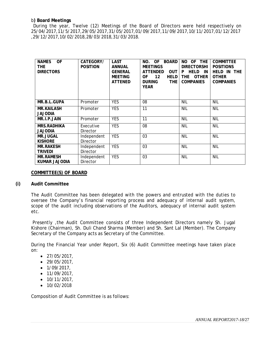## b**) Board Meetings**

 During the year, Twelve (12) Meetings of the Board of Directors were held respectively on 25/04/2017,11/5/2017,29/05/2017,31/05/2017,01/09/2017,11/09/2017,10/11/2017,01/12/2017 ,29/12/2017,10/02/2018,28/03/2018,31/03/2018.

| <b>OF</b><br><b>NAMES</b><br><b>THE</b><br><b>DIRECTORS</b> | CATEGORY/<br><b>POSITION</b> | <b>LAST</b><br><b>ANNUAL</b><br><b>GENERAL</b><br><b>MEETING</b><br><b>ATTENED</b> | <b>BOARD</b><br>0F<br>NO.<br><b>MEETINGS</b><br><b>OUT</b><br><b>ATTENDED</b><br><b>HELD</b><br>0F<br>12<br><b>THE</b><br><b>DURING</b><br><b>YEAR</b> | <b>THE</b><br>OF.<br>NO.<br><b>DIRECTORSHI</b><br>P HELD<br>- IN<br>THE OTHER<br><b>COMPANIES</b> | <b>COMMITTEE</b><br><b>POSITIONS</b><br><b>THE</b><br>HELD IN<br><b>OTHER</b><br><b>COMPANIES</b> |
|-------------------------------------------------------------|------------------------------|------------------------------------------------------------------------------------|--------------------------------------------------------------------------------------------------------------------------------------------------------|---------------------------------------------------------------------------------------------------|---------------------------------------------------------------------------------------------------|
| MR.B.L.GUPA                                                 | Promoter                     | <b>YES</b>                                                                         | 08                                                                                                                                                     | <b>NIL</b>                                                                                        | <b>NIL</b>                                                                                        |
| <b>MR.KAILASH</b><br><b>AIOOLAL</b>                         | Promoter                     | <b>YES</b>                                                                         | 11                                                                                                                                                     | <b>NIL</b>                                                                                        | <b>NIL</b>                                                                                        |
| MR.I.P.JAIN                                                 | Promoter                     | <b>YES</b>                                                                         | 11                                                                                                                                                     | <b>NIL</b>                                                                                        | <b>NIL</b>                                                                                        |
| <b>MRS.RADHIKA</b><br><b>AIOOLAL</b>                        | Executive<br>Director        | <b>YES</b>                                                                         | 08                                                                                                                                                     | <b>NIL</b>                                                                                        | <b>NIL</b>                                                                                        |
| <b>MR.JUGAL</b><br><b>KISHORE</b>                           | Independent<br>Director      | <b>YES</b>                                                                         | 03                                                                                                                                                     | <b>NIL</b>                                                                                        | <b>NIL</b>                                                                                        |
| <b>MR.RAKESH</b><br><b>TRIVEDI</b>                          | Independent<br>Director      | <b>YES</b>                                                                         | 03                                                                                                                                                     | <b>NIL</b>                                                                                        | <b>NIL</b>                                                                                        |
| <b>MR.RAMESH</b><br><b>KUMAR JAJODIA</b>                    | Independent<br>Director      | <b>YES</b>                                                                         | 03                                                                                                                                                     | <b>NIL</b>                                                                                        | <b>NIL</b>                                                                                        |

## **COMMITTEE(S) OF BOARD**

## **(i) Audit Committee**

The Audit Committee has been delegated with the powers and entrusted with the duties to oversee the Company's financial reporting process and adequacy of internal audit system, scope of the audit including observations of the Auditors, adequacy of internal audit system etc.

 Presently ,the Audit Committee consists of three Independent Directors namely Sh. Jugal Kishore (Chairman), Sh. Duli Chand Sharma (Member) and Sh. Sant Lal (Member). The Company Secretary of the Company acts as Secretary of the Committee.

During the Financial Year under Report, Six (6) Audit Committee meetings have taken place on:

- $\bullet$  27/05/2017,
- $\bullet$  29/05/2017,
- $\bullet$  1/09/2017,
- $\bullet$  11/09/2017,
- $\bullet$  10/11/2017,
- 10/02/2018

Composition of Audit Committee is as follows: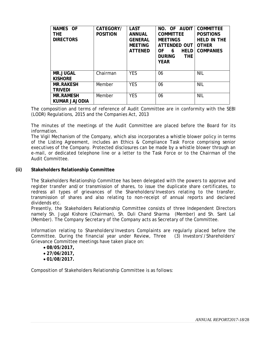| NAMES OF<br><b>THE</b><br><b>DIRECTORS</b> | CATEGORY/<br><b>POSITION</b> | <b>LAST</b><br><b>ANNUAL</b><br><b>GENERAL</b><br><b>MEETING</b><br><b>ATTENED</b> | NO. OF AUDIT<br><b>COMMITTEE</b><br><b>MEETINGS</b><br><b>ATTENDED OUT</b><br><b>HELD</b><br>ΟF<br>6<br><b>DURING</b><br><b>THE</b><br><b>YEAR</b> | <b>COMMITTEE</b><br><b>POSITIONS</b><br><b>HELD IN THE</b><br><b>OTHER</b><br><b>COMPANIES</b> |
|--------------------------------------------|------------------------------|------------------------------------------------------------------------------------|----------------------------------------------------------------------------------------------------------------------------------------------------|------------------------------------------------------------------------------------------------|
| <b>MR.JUGAL</b><br><b>KISHORE</b>          | Chairman                     | <b>YES</b>                                                                         | 06                                                                                                                                                 | <b>NIL</b>                                                                                     |
| <b>MR.RAKESH</b><br><b>TRIVEDI</b>         | Member                       | <b>YES</b>                                                                         | 06                                                                                                                                                 | <b>NIL</b>                                                                                     |
| <b>MR.RAMESH</b><br><b>KUMAR JAJODIA</b>   | Member                       | <b>YES</b>                                                                         | 06                                                                                                                                                 | <b>NIL</b>                                                                                     |

The composition and terms of reference of Audit Committee are in conformity with the SEBI (LODR) Regulations, 2015 and the Companies Act, 2013

The minutes of the meetings of the Audit Committee are placed before the Board for its information.

The Vigil Mechanism of the Company, which also incorporates a whistle blower policy in terms of the Listing Agreement, includes an Ethics & Compliance Task Force comprising senior executives of the Company. Protected disclosures can be made by a whistle blower through an e-mail, or dedicated telephone line or a letter to the Task Force or to the Chairman of the Audit Committee.

## **(ii) Stakeholders Relationship Committee**

The Stakeholders Relationship Committee has been delegated with the powers to approve and register transfer and/or transmission of shares, to issue the duplicate share certificates, to redress all types of grievances of the Shareholders/Investors relating to the transfer, transmission of shares and also relating to non-receipt of annual reports and declared dividends etc.

Presently, the Stakeholders Relationship Committee consists of three Independent Directors namely Sh. Jugal Kishore (Chairman), Sh. Duli Chand Sharma (Member) and Sh. Sant Lal (Member). The Company Secretary of the Company acts as Secretary of the Committee.

Information relating to Shareholders/Investors Complaints are regularly placed before the Committee. During the financial year under Review, Three (3) Investors'/Shareholders' Grievance Committee meetings have taken place on:

- **08/05/2017,**
- **27/06/2017,**
- **01/08/2017.**

Composition of Stakeholders Relationship Committee is as follows: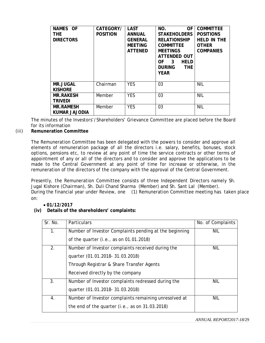| NAMES OF<br><b>THE</b><br><b>DIRECTORS</b> | CATEGORY/<br><b>POSITION</b> | <b>LAST</b><br><b>ANNUAL</b><br><b>GENERAL</b><br><b>MEETING</b><br><b>ATTENED</b> | NO.<br><b>OF</b><br><b>STAKEHOLDERS</b><br><b>RELATIONSHIP</b><br><b>COMMITTEE</b><br><b>MEETINGS</b><br>ATTENDED OUT<br>3<br><b>HELD</b><br>ΩF<br><b>DURING</b><br><b>THE</b><br><b>YEAR</b> | <b>COMMITTEE</b><br><b>POSITIONS</b><br><b>HELD IN THE</b><br><b>OTHER</b><br><b>COMPANIES</b> |
|--------------------------------------------|------------------------------|------------------------------------------------------------------------------------|-----------------------------------------------------------------------------------------------------------------------------------------------------------------------------------------------|------------------------------------------------------------------------------------------------|
| <b>MR.JUGAL</b><br><b>KISHORE</b>          | Chairman                     | <b>YES</b>                                                                         | 03                                                                                                                                                                                            | <b>NIL</b>                                                                                     |
| <b>MR.RAKESH</b><br><b>TRIVEDI</b>         | Member                       | <b>YES</b>                                                                         | 03                                                                                                                                                                                            | <b>NIL</b>                                                                                     |
| <b>MR.RAMESH</b><br><b>KUMAR JAJODIA</b>   | Member                       | <b>YES</b>                                                                         | 03                                                                                                                                                                                            | <b>NIL</b>                                                                                     |

The minutes of the Investors'/Shareholders' Grievance Committee are placed before the Board for its information

## (iii) **Remuneration Committee**

 The Remuneration Committee has been delegated with the powers to consider and approve all elements of remuneration package of all the directors i.e. salary, benefits, bonuses, stock options, pensions etc, to review at any point of time the service contracts or other terms of appointment of any or all of the directors and to consider and approve the applications to be made to the Central Government at any point of time for increase or otherwise, in the remuneration of the directors of the company with the approval of the Central Government.

Presently, the Remuneration Committee consists of three Independent Directors namely Sh. Jugal Kishore (Chairman), Sh. Duli Chand Sharma (Member) and Sh. Sant Lal (Member). During the financial year under Review, one (1) Remuneration Committee meeting has taken place on:

## **01/12/2017**

## **(iv) Details of the shareholders' complaints:**

| Sr. No.        | <b>Particulars</b>                                     | No. of Complaints |
|----------------|--------------------------------------------------------|-------------------|
| 1.             | Number of Investor Complaints pending at the beginning | NIL               |
|                | of the quarter (i.e., as on $01.01.2018$ )             |                   |
| 2.             | Number of Investor complaints received during the      | <b>NIL</b>        |
|                | quarter (01.01.2018- 31.03.2018)                       |                   |
|                | Through Registrar & Share Transfer Agents              |                   |
|                | Received directly by the company                       |                   |
| 3 <sub>1</sub> | Number of Investor complaints redressed during the     | NIL               |
|                | quarter (01.01.2018- 31.03.2018)                       |                   |
| 4.             | Number of Investor complaints remaining unresolved at  | <b>NIL</b>        |
|                | the end of the quarter $(i.e., as on 31.03.2018)$      |                   |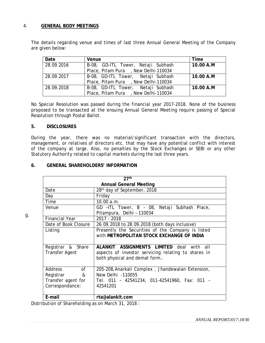## 4. **GENERAL BODY MEETINGS**

The details regarding venue and times of last three Annual General Meeting of the Company are given below:

| Date                | Venue                                | Time      |
|---------------------|--------------------------------------|-----------|
| $\sqrt{28.09.2016}$ | B-08, GD-ITL Tower, Netaji Subhash   | 10.00 A.M |
|                     | Place, Pitam Pura , New Delhi-110034 |           |
| 28.09.2017          | B-08, GD-ITL Tower, Netaji Subhash   | 10.00 A.M |
|                     | Place, Pitam Pura , New Delhi-110034 |           |
| 28.09.2018          | B-08, GD-ITL Tower, Netaji Subhash   | 10.00 A.M |
|                     | Place, Pitam Pura , New Delhi-110034 |           |

No Special Resolution was passed during the financial year 2017-2018. None of the business proposed to be transacted at the ensuing Annual General Meeting require passing of Special Resolution through Postal Ballot.

#### **5. DISCLOSURES**

During the year, there was no material/significant transaction with the directors, management, or relatives of directors etc. that may have any potential conflict with interest of the company at large. Also, no penalties by the Stock Exchanges or SEBI or any other Statutory Authority related to capital markets during the last three years.

## **6. GENERAL SHAREHOLDERS' INFORMATION**

|                       | 27 <sup>th</sup>                                    |  |  |
|-----------------------|-----------------------------------------------------|--|--|
|                       | <b>Annual General Meeting</b>                       |  |  |
| Date                  | 28 <sup>th</sup> day of September, 2018             |  |  |
| Day                   | Friday                                              |  |  |
| Time                  | 10.00 a.m.                                          |  |  |
| Venue                 | GD - ITL Tower, B - 08, Netaji Subhash Place,       |  |  |
|                       | Pitampura, Delhi - 110034                           |  |  |
| <b>Financial Year</b> | 2017 - 2018                                         |  |  |
| Date of Book Closure  | 26.09.2018 to 28.09.2018 (both days inclusive)      |  |  |
| Listing               | Presently the Securities of the Company is listed   |  |  |
|                       | with METROPOLITAN STOCK EXCHANGE OF INDIA           |  |  |
|                       |                                                     |  |  |
| Registrar & Share     | ALANKIT ASSIGNMENTS LIMITED deal with<br>all        |  |  |
| <b>Transfer Agent</b> | aspects of investor servicing relating to shares in |  |  |
|                       | both physical and demat form                        |  |  |
|                       |                                                     |  |  |
| 0f<br>Address         | 205-208, Anarkali Complex, Jhandewalan Extension,   |  |  |
| Registrar<br>&        | New Delhi -110055                                   |  |  |
| Transfer agent for    | Tel. 011 - 42541234, 011-42541960, Fax: 011 -       |  |  |
| Correspondance:       | 42541201                                            |  |  |
|                       |                                                     |  |  |
| E-mail                | rta@alankit.com                                     |  |  |

Distribution of Shareholding as on March 31, 2018 :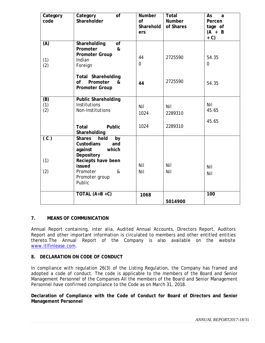| Category<br>code  | $\overline{of}$<br>Category<br>Shareholder                                           | Number<br>of<br>Sharehold<br>ers | <b>Total</b><br>Number<br>of Shares | As<br>a<br>Percen<br>tage of<br>$(A + B)$<br>$+ C$ |
|-------------------|--------------------------------------------------------------------------------------|----------------------------------|-------------------------------------|----------------------------------------------------|
| (A)<br>(1)<br>(2) | Shareholding<br>of<br>Promoter<br>&<br><b>Promoter Group</b><br>Indian<br>Foreign    | 44<br>$\overline{0}$             | 2725590                             | 54.35<br>$\Omega$                                  |
|                   | <b>Total Shareholding</b><br>Promoter<br><sub>of</sub><br>&<br><b>Promoter Group</b> | 44                               | 2725590                             | 54.35                                              |
| (B)<br>(1)<br>(2) | <b>Public Shareholding</b><br>Institutions<br>Non-Institutions                       | <b>Nil</b><br>1024               | Nil<br>2289310                      | <b>Nil</b><br>45.65                                |
|                   | Total<br>Public<br>Shareholding                                                      | 1024                             | 2289310                             | 45.65                                              |
| $\overline{C}$    | <b>Shares</b><br>held<br>by<br>Custodians<br>and<br>against<br>which<br>Depository   |                                  |                                     |                                                    |
| (1)               | Reciepts have been<br>issued                                                         | <b>Nil</b>                       | Nil                                 | Nil                                                |
| (2)               | Promoter<br>$\&$<br>Promoter group<br>Public                                         | Nil                              | Nil                                 | Nil                                                |
|                   | TOTAL $(A+B+C)$                                                                      | 1068                             | 5014900                             | 100                                                |
|                   |                                                                                      |                                  |                                     |                                                    |

## **7. MEANS OF COMMUNICATION**

Annual Report containing, inter alia, Audited Annual Accounts, Directors Report, Auditors Report and other important information is circulated to members and other entitled entities thereto.The Annual Report of the Company is also available on the website www.itlfinlease.com.

## **8. DECLARATION ON CODE OF CONDUCT**

In compliance with regulation 26(3) of the Listing Regulation, the Company has framed and adopted a code of conduct. The code is applicable to the members of the Board and Senior Management Personnel of the Companies All the members of the Board and Senior Management Personnel have confirmed compliance to the Code as on March 31, 2018.

**Declaration of Compliance with the Code of Conduct for Board of Directors and Senior Management Personnel**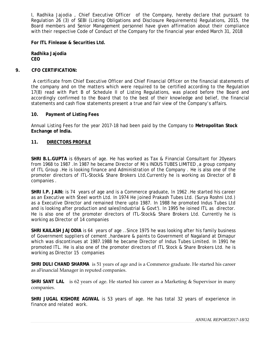I, Radhika Jajodia , Chief Executive Officer of the Company, hereby declare that pursuant to Regulation 26 (3) of SEBI (Listing Obligations and Disclosure Requirements) Regulations, 2015, the Board members and Senior Management personnel have given affirmation about their compliance with their respective Code of Conduct of the Company for the financial year ended March 31, 2018

**For ITL Finlease & Securities Ltd.** 

**Radhika Jajodia CEO** 

## **9. CFO CERTIFICATION:**

A certificate from Chief Executive Officer and Chief Financial Officer on the financial statements of the company and on the matters which were required to be certified according to the Regulation 17(8) read with Part B of Schedule II of Listing Regulations, was placed before the Board and accordingly confirmed to the Board that to the best of their knowledge and belief, the financial statements and cash flow statements present a true and fair view of the Company's affairs.

## **10. Payment of Listing Fees**

Annual Listing Fees for the year 2017-18 had been paid by the Company to **Metropolitan Stock Exchange of India.** 

## **11. DIRECTORS PROFILE**

**SHRI B.L.GUPTA** is 69years of age. He has worked as Tax & Financial Consultant for 20years from 1968 to 1987 .In 1987 he became Director of M/s INDUS TUBES LIMITED ,a group company of ITL Group .He is looking finance and Administration of the Company . He is also one of the promoter directors of ITL-Stock& Share Brokers Ltd.Currently he is working as Director of 8 companies .

**SHRI l.P. JAIN:** is 74 years of age and is a Commerce graduate, ln 1962 .He started his career as an Executive with Steel worth Ltd. In 1974 He joined Prakash Tubes Ltd. (Surya Roshni Ltd.) as a Executive Director and remained there upto 1987. In 1988 he promoted Indus Tubes Ltd and is looking after production and sales(lndustrial & Govt'). ln 1995 he ioined ITL as director. He is also one of the promoter directors of ITL-Stock& Share Brokers Ltd. Currently he is working as Director of 14 companies

**SHRI KAILASH JAJODIA** is 64 years of age ..Since 1975 he was looking after his family business of Government suppliers of cement ,hardware & paints to Government of Nagaland at Dimapur which was discontinues at 1987.1988 he became Director of Indus Tubes Limited. In 1991 he promoted lTL. He is also one of the promoter directors of ITL Stock & Share Brokers Ltd. he is working as Director 15 companies

**SHRI DULI CHAND SHARMA** is 51 years of age and is a Commerce graduate. He started his career as aFinancial Manager in reputed companies.

**SHRI SANT LAL** is 62 years of age. He started his career as a Marketing & Supervisor in many companies.

**SHRI JUGAL KISHORE AGIWAL** is 53 years of age. He has total 32 years of experience in finance and related work.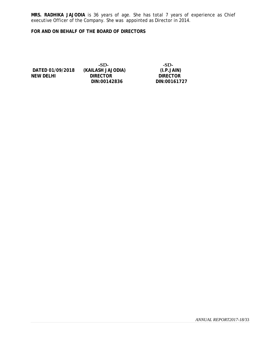**MRS. RADHIKA JAJODIA** is 36 years of age. She has total 7 years of experience as Chief executive Officer of the Company. She was appointed as Director in 2014.

## **FOR AND ON BEHALF OF THE BOARD OF DIRECTORS**

 **DATED 01/09/2018 (KAILASH JAJODIA) (I.P.JAIN) NEW DELHI DIRECTOR DIRECTOR** 

 **-SD- -SD-**

 **DIN:00142836 DIN:00161727**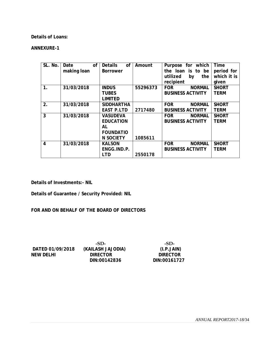# **Details of Loans:**

# **ANNEXURE-1**

| SL. No.          | Date        | <b>Details</b><br><b>of</b><br>of | Amount   | Purpose for which           | Time         |
|------------------|-------------|-----------------------------------|----------|-----------------------------|--------------|
|                  | making loan | <b>Borrower</b>                   |          | the loan is to be           | period for   |
|                  |             |                                   |          | utilized<br>by<br>the       | which it is  |
|                  |             |                                   |          | recipient                   | given        |
| 1.               | 31/03/2018  | <b>INDUS</b>                      | 55296373 | <b>FOR</b><br><b>NORMAL</b> | <b>SHORT</b> |
|                  |             | <b>TUBES</b>                      |          | <b>BUSINESS ACTIVITY</b>    | <b>TERM</b>  |
|                  |             | <b>LIMITED</b>                    |          |                             |              |
| 2.               | 31/03/2018  | <b>SIDDHARTHA</b>                 |          | <b>FOR</b><br><b>NORMAL</b> | <b>SHORT</b> |
|                  |             | <b>EAST P.LTD</b>                 | 2717480  | <b>BUSINESS ACTIVITY</b>    | <b>TERM</b>  |
| 3                | 31/03/2018  | <b>VASUDEVA</b>                   |          | <b>FOR</b><br><b>NORMAL</b> | <b>SHORT</b> |
|                  |             | <b>EDUCATION</b>                  |          | <b>BUSINESS ACTIVITY</b>    | <b>TERM</b>  |
|                  |             | AL                                |          |                             |              |
|                  |             | <b>FOUNDATIO</b>                  |          |                             |              |
|                  |             | <b>N SOCIETY</b>                  | 1085611  |                             |              |
| $\boldsymbol{4}$ | 31/03/2018  | <b>KALSON</b>                     |          | <b>FOR</b><br><b>NORMAL</b> | <b>SHORT</b> |
|                  |             | ENGG.IND.P.                       |          | <b>BUSINESS ACTIVITY</b>    | <b>TERM</b>  |
|                  |             | LTD                               | 2550178  |                             |              |

**Details of Investments:- NIL** 

**Details of Guarantee / Security Provided: NIL** 

# **FOR AND ON BEHALF OF THE BOARD OF DIRECTORS**

 **DATED 01/09/2018 (KAILASH JAJODIA) (I.P.JAIN)** 

 **-SD- -SD- NEW DELHI DIRECTOR**<br>DIN:00142836 DIN:00161727  **DIN:00142836 DIN:00161727**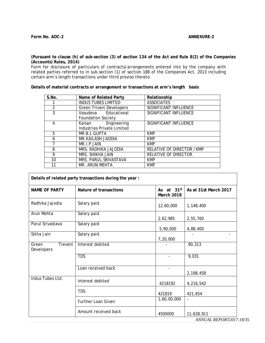**(Pursuant to clause (h) of sub-section (3) of section 134 of the Act and Rule 8(2) of the Companies (Accounts) Rules, 2014)** 

Form for disclosure of particulars of contracts/arrangements entered into by the company with related parties referred to in sub-section (1) of section 188 of the Companies Act, 2013 including certain arm's length transactions under third proviso thereto.

| Details of material contracts or arrangement or transactions at arm's length basis |  |  |
|------------------------------------------------------------------------------------|--|--|
|------------------------------------------------------------------------------------|--|--|

| S.No.          | Name of Related Party           | Relationship               |
|----------------|---------------------------------|----------------------------|
|                | <b>INDUS TUBES LIMITED</b>      | <b>ASSOCIATES</b>          |
| $\overline{2}$ | <b>Green Triveni Developers</b> | SIGNIFICANT INFLUENCE      |
| 3              | Vasudeva Educational            | SIGNIFICANT INFLUENCE      |
|                | <b>Foundation Society</b>       |                            |
| 4              | Kalsan Engineering              | SIGNIFICANT INFLUENCE      |
|                | Industries Private Limited      |                            |
| 5              | MR B.L GUPTA                    | <b>KMP</b>                 |
| 6              | MR.KAILASH JAODIA               | <b>KMP</b>                 |
|                | MR.I.P JAIN                     | <b>KMP</b>                 |
| 8              | MRS. RADHIKA JAJODIA            | RELATIVE OF DIRECTOR / KMP |
| 9              | MRS. SHIKHA JAIN                | RELATIVE OF DIRECTOR       |
| 10             | MRS. PARUL SRIVASTAVA           | <b>KMP</b>                 |
| 11             | <b>MR. ARUN MEHTA</b>           | <b>KMP</b>                 |

|                                                | Details of related party transactions during the year : |                          |                         |  |
|------------------------------------------------|---------------------------------------------------------|--------------------------|-------------------------|--|
| <b>NAME OF PARTY</b><br>Nature of transactions |                                                         | As at 31st<br>March 2018 | As at 31st March 2017   |  |
| Radhika Jajodia                                | Salary paid                                             | 12,60,000                | 1,148,400               |  |
| Arun Mehta                                     | Salary paid                                             | 2,62,985                 | 2,55,760                |  |
| Parul Srivastava                               | Salary paid                                             | 5,90,000                 | 4,88,400                |  |
| Sikha Jain                                     | Salary paid                                             | 7,20,000                 |                         |  |
| Treveni<br>Green<br>Developers                 | Interest debited                                        |                          | 90,313                  |  |
|                                                | <b>TDS</b>                                              |                          | 9,031                   |  |
|                                                | Loan received back                                      |                          | 2,198,458               |  |
| Indus Tubes Ltd.                               | Interest debited                                        | 4218192                  | 4,216,542               |  |
|                                                | <b>TDS</b>                                              | 421819                   | 421,654                 |  |
|                                                | Further Loan Given                                      | 1,60,00,000              |                         |  |
|                                                | Amount received back                                    | 4500000                  | 11,628,911              |  |
|                                                |                                                         |                          | ANNUAL REPORT2017-18/35 |  |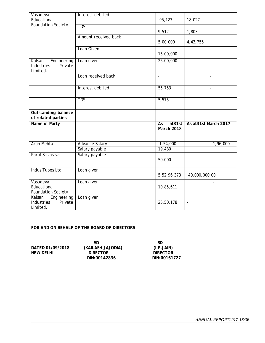| Vasudeva<br>Educational                                    | Interest debited     | 95,123                            | 18,027                |
|------------------------------------------------------------|----------------------|-----------------------------------|-----------------------|
| <b>Foundation Society</b>                                  | <b>TDS</b>           | 9,512                             | 1,803                 |
|                                                            | Amount received back | 5,00,000                          | 4,43,755              |
|                                                            | Loan Given           | 15,00,000                         |                       |
| Engineering<br>Kalsan<br>Private<br>Industries<br>Limited. | Loan given           | 25,00,000                         | $\blacksquare$        |
|                                                            | Loan received back   | $\blacksquare$                    | $\blacksquare$        |
|                                                            | Interest debited     | 55,753                            |                       |
|                                                            | <b>TDS</b>           | 5,575                             |                       |
| Outstanding balance<br>of related parties                  |                      |                                   |                       |
| Name of Party                                              |                      | at31st<br>As<br><b>March 2018</b> | As at 31st March 2017 |
| <b>Arun Mehta</b>                                          | Advance Salary       | 1,54,000                          | 1,96,000              |
|                                                            | Salary payable       | 19,480                            |                       |
| Parul Srivastva                                            | Salary payable       | 50,000                            |                       |
| Indus Tubes Ltd.                                           | Loan given           | 5,52,96,373                       | 40,000,000.00         |
| Vasudeva<br>Educational<br><b>Foundation Society</b>       | Loan given           | 10,85,611                         |                       |
| Engineering<br>Kalsan<br>Industries<br>Private<br>Limited. | Loan given           | 25,50,178                         |                       |

#### **FOR AND ON BEHALF OF THE BOARD OF DIRECTORS**

**DATED 01/09/2018 (KAILASH JAJODIA) (I.P.JAIN) NEW DELHI DIRECTOR DIRECTOR** 

 **-SD- -SD- DIN:00142836 DIN:00161727**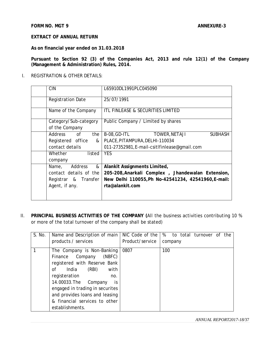### **FORM NO. MGT 9 ANNEXURE-3**

# **EXTRACT OF ANNUAL RETURN**

**As on financial year ended on 31.03.2018** 

**Pursuant to Section 92 (3) of the Companies Act, 2013 and rule 12(1) of the Company (Management & Administration) Rules, 2014.** 

I. REGISTRATION & OTHER DETAILS:

| <b>CIN</b>               | L65910DL1991PLC045090                               |  |  |  |
|--------------------------|-----------------------------------------------------|--|--|--|
| <b>Registration Date</b> | 25/07/1991                                          |  |  |  |
| Name of the Company      | ITL FINLEASE & SECURITIES LIMITED                   |  |  |  |
| Category/Sub-category    | Public Company / Limited by shares                  |  |  |  |
| of the Company           |                                                     |  |  |  |
| Address of<br>the        | B-08, GD-ITL<br>TOWER, NETAJI<br><b>SUBHASH</b>     |  |  |  |
| Registered office<br>&   | PLACE, PITAMPURA, DELHI-110034                      |  |  |  |
| contact details          | 011-27352981, E-mail-csitIfinlease@gmail.com        |  |  |  |
| listed<br>Whether        | <b>YES</b>                                          |  |  |  |
| company                  |                                                     |  |  |  |
| &<br>Address<br>Name,    | Alankit Assignments Limited,                        |  |  |  |
| contact details of the   | 205-208, Anarkali Complex, Jhandewalan Extension,   |  |  |  |
| Registrar & Transfer     | New Delhi 110055, Ph No-42541234, 42541960, E-mail: |  |  |  |
| Agent, if any.           | rta@alankit.com                                     |  |  |  |
|                          |                                                     |  |  |  |
|                          |                                                     |  |  |  |

II. **PRINCIPAL BUSINESS ACTIVITIES OF THE COMPANY (**All the business activities contributing 10 % or more of the total turnover of the company shall be stated)

| S. No.       | Name and Description of main                                                                                                                                                                                                                                                                                 | NIC Code of the | %<br>total<br>turnover of<br>to<br>the |
|--------------|--------------------------------------------------------------------------------------------------------------------------------------------------------------------------------------------------------------------------------------------------------------------------------------------------------------|-----------------|----------------------------------------|
|              | products / services                                                                                                                                                                                                                                                                                          | Product/service | company                                |
| $\mathbf{1}$ | The Company is Non-Banking<br>(NBFC)<br>Company<br>Finance<br>registered with Reserve Bank<br>India<br>(RBI)<br>οf<br>with<br>registeration<br>no.<br>14.00033.The<br>Company<br>is<br>engaged in trading in securites<br>and provides loans and leasing<br>& financial services to other<br>establishments. | 0807            | 100                                    |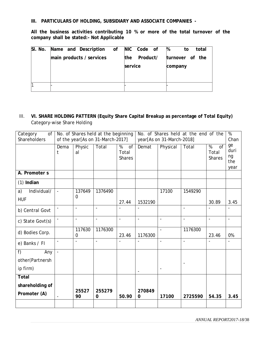**III. PARTICULARS OF HOLDING, SUBSIDIARY AND ASSOCIATE COMPANIES -**

**All the business activities contributing 10 % or more of the total turnover of the company shall be stated:- Not Applicable**

| SI. No. Name and Description of | NIC Code of     | $\%$<br>total<br>to |  |
|---------------------------------|-----------------|---------------------|--|
| main products / services        | Product/<br>the | turnover of the     |  |
|                                 | service         | company             |  |
|                                 |                 |                     |  |
|                                 |                 |                     |  |
|                                 |                 |                     |  |

III. **VI. SHARE HOLDING PATTERN (Equity Share Capital Breakup as percentage of Total Equity)** Category-wise Share Holding

| of<br>Category<br><b>Shareholders</b> |                          |                          | No. of Shares held at the beginning<br>of the year[As on 31-March-2017] |                                                            | No. of Shares held at the end of the<br>year[As on 31-March-2018] |                          |                          |                                                              | $\frac{0}{0}$<br>Chan           |
|---------------------------------------|--------------------------|--------------------------|-------------------------------------------------------------------------|------------------------------------------------------------|-------------------------------------------------------------------|--------------------------|--------------------------|--------------------------------------------------------------|---------------------------------|
|                                       | Dema<br>t                | Physic<br>al             | Total                                                                   | $\overline{\%}$<br><sub>of</sub><br>Total<br><b>Shares</b> | Demat                                                             | Physical                 | Total                    | $\overline{\%}$<br>$\overline{of}$<br>Total<br><b>Shares</b> | ge<br>duri<br>ng<br>the<br>year |
| A. Promoter s                         |                          |                          |                                                                         |                                                            |                                                                   |                          |                          |                                                              |                                 |
| $(1)$ Indian                          |                          |                          |                                                                         |                                                            |                                                                   |                          |                          |                                                              |                                 |
| Individual/<br>a)                     | $\frac{1}{2}$            | 137649<br>0              | 1376490                                                                 |                                                            |                                                                   | 17100                    | 1549290                  |                                                              |                                 |
| <b>HUF</b>                            |                          |                          |                                                                         | 27.44                                                      | 1532190                                                           |                          |                          | 30.89                                                        | 3.45                            |
| b) Central Govt                       |                          | $\blacksquare$           | $\overline{a}$                                                          |                                                            |                                                                   |                          | $\blacksquare$           |                                                              |                                 |
| c) State Govt(s)                      |                          | $\overline{\phantom{a}}$ | $\overline{\phantom{a}}$                                                | $\overline{\phantom{m}}$                                   | $\overline{\phantom{a}}$                                          | $\blacksquare$           | $\overline{\phantom{a}}$ | $\frac{1}{2}$                                                | $\overline{\phantom{a}}$        |
| d) Bodies Corp.                       |                          | 117630<br>0              | 1176300                                                                 | 23.46                                                      | 1176300                                                           |                          | 1176300                  | 23.46                                                        | 0%                              |
| e) Banks / FI                         | $\overline{\phantom{a}}$ | $\blacksquare$           | $\blacksquare$                                                          | $\overline{a}$                                             | L.                                                                | $\overline{\phantom{a}}$ | $\blacksquare$           |                                                              | $\overline{\phantom{a}}$        |
| f)<br>Any                             | $\overline{\phantom{a}}$ |                          |                                                                         |                                                            |                                                                   |                          |                          |                                                              |                                 |
| other(Partnersh                       |                          |                          |                                                                         |                                                            |                                                                   |                          |                          |                                                              |                                 |
| ip firm)                              |                          |                          |                                                                         |                                                            | $\overline{\phantom{a}}$                                          |                          |                          |                                                              |                                 |
| <b>Total</b>                          |                          |                          |                                                                         |                                                            |                                                                   |                          |                          |                                                              |                                 |
| shareholding of<br>Promoter (A)       |                          | 25527<br>90              | 255279<br>0                                                             | 50.90                                                      | 270849<br>$\mathbf 0$                                             | 17100                    | 2725590                  | 54.35                                                        | 3.45                            |
|                                       |                          |                          |                                                                         |                                                            |                                                                   |                          |                          |                                                              |                                 |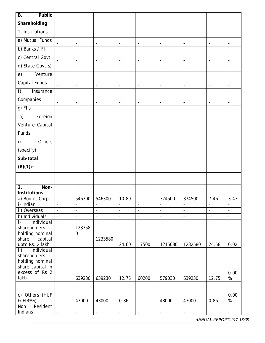| Public<br><b>B.</b>                  |                              |                                    |                          |                              |                                            |                                    |                                        |                          |                                      |
|--------------------------------------|------------------------------|------------------------------------|--------------------------|------------------------------|--------------------------------------------|------------------------------------|----------------------------------------|--------------------------|--------------------------------------|
| Shareholding                         |                              |                                    |                          |                              |                                            |                                    |                                        |                          |                                      |
| 1. Institutions                      |                              |                                    |                          |                              |                                            |                                    |                                        |                          |                                      |
| a) Mutual Funds                      |                              |                                    | $\overline{\phantom{m}}$ | $\overline{\phantom{a}}$     | $\overline{\phantom{a}}$                   | $\overline{\phantom{a}}$           | $\overline{a}$                         |                          | $\overline{\phantom{0}}$             |
| b) Banks / FI                        |                              | $\overline{a}$                     | $\overline{\phantom{m}}$ | $\qquad \qquad \blacksquare$ | $\overline{\phantom{a}}$                   |                                    | $\overline{a}$                         |                          | ÷,                                   |
| c) Central Govt                      |                              | $\overline{\phantom{a}}$           | $\overline{\phantom{m}}$ | $\overline{a}$               | $\overline{\phantom{a}}$                   | $\blacksquare$                     | $\overline{\phantom{a}}$               | $\blacksquare$           | $\overline{\phantom{a}}$             |
| d) State Govt(s)                     |                              |                                    |                          | $\overline{a}$               | $\overline{a}$                             |                                    |                                        |                          | $\overline{a}$                       |
| Venture<br>e)                        |                              |                                    |                          |                              |                                            |                                    |                                        |                          |                                      |
| Capital Funds                        |                              | $\overline{\phantom{a}}$           | $\overline{\phantom{a}}$ | $\overline{a}$               | $\overline{\phantom{a}}$                   | $\overline{\phantom{a}}$           | $\overline{\phantom{a}}$               | $\overline{\phantom{a}}$ | $\overline{a}$                       |
| f)<br>Insurance                      |                              |                                    |                          |                              |                                            |                                    |                                        |                          |                                      |
| Companies                            |                              | $\overline{\phantom{a}}$           | $\overline{\phantom{a}}$ | $\overline{a}$               | $\overline{\phantom{a}}$                   |                                    | $\overline{\phantom{a}}$               |                          | $\overline{\phantom{a}}$             |
| $g)$ FIIs                            |                              |                                    |                          | $\blacksquare$               | $\overline{\phantom{a}}$                   |                                    | $\qquad \qquad -$                      |                          | $\overline{\phantom{0}}$             |
| Foreign<br>h)                        |                              |                                    |                          |                              |                                            |                                    |                                        |                          |                                      |
| Venture Capital                      |                              |                                    |                          |                              |                                            |                                    |                                        |                          |                                      |
| Funds                                |                              |                                    |                          |                              |                                            |                                    |                                        |                          |                                      |
| Others<br>i)                         |                              |                                    |                          |                              |                                            |                                    |                                        |                          |                                      |
| (specify)                            |                              |                                    |                          |                              |                                            |                                    |                                        |                          |                                      |
| Sub-total                            |                              |                                    |                          |                              |                                            |                                    |                                        |                          |                                      |
| $(B)(1)$ :-                          |                              |                                    |                          |                              |                                            |                                    |                                        |                          |                                      |
|                                      |                              |                                    |                          |                              |                                            |                                    |                                        |                          |                                      |
| Non-<br>2.                           |                              |                                    |                          |                              |                                            |                                    |                                        |                          |                                      |
| Institutions                         |                              |                                    | 546300                   | 10.89                        |                                            |                                    |                                        | 7.46                     |                                      |
| a) Bodies Corp.<br>i) Indian         | $\overline{\phantom{a}}$     | 546300<br>$\overline{\phantom{a}}$ | $\overline{\phantom{a}}$ | $\overline{\phantom{a}}$     | $\overline{a}$<br>$\overline{\phantom{0}}$ | 374500<br>$\overline{\phantom{a}}$ | 374500<br>$\qquad \qquad \blacksquare$ | $\overline{\phantom{a}}$ | 3.43<br>$\qquad \qquad \blacksquare$ |
| ii) Overseas                         | $\overline{\phantom{a}}$     | $\qquad \qquad -$                  | $\overline{\phantom{a}}$ | $\overline{\phantom{a}}$     | $\qquad \qquad \blacksquare$               | $\overline{\phantom{a}}$           | $\overline{a}$                         | $\overline{\phantom{a}}$ | $\overline{\phantom{a}}$             |
| b) Individuals                       | $\overline{\phantom{a}}$     | $\overline{\phantom{m}}$           | $\overline{a}$           | $\overline{\phantom{m}}$     | $\overline{\phantom{m}}$                   | $\overline{\phantom{a}}$           | $\overline{\phantom{a}}$               | $\qquad \qquad -$        | $\overline{\phantom{a}}$             |
| i)<br>Individual<br>shareholders     |                              | 123358                             |                          |                              |                                            |                                    |                                        |                          |                                      |
| holding nominal                      |                              | 0                                  |                          |                              |                                            |                                    |                                        |                          |                                      |
| share<br>capital                     |                              |                                    | 1233580                  |                              |                                            |                                    |                                        |                          |                                      |
| upto Rs. 2 lakh<br>ii)<br>Individual |                              |                                    |                          | 24.60                        | 17500                                      | 1215080                            | 1232580                                | 24.58                    | 0.02                                 |
| shareholders                         |                              |                                    |                          |                              |                                            |                                    |                                        |                          |                                      |
| holding nominal<br>share capital in  |                              |                                    |                          |                              |                                            |                                    |                                        |                          |                                      |
| excess of Rs 2                       |                              |                                    |                          |                              |                                            |                                    |                                        |                          | 0.00                                 |
| lakh                                 |                              | 639230                             | 639230                   | 12.75                        | 60200                                      | 579030                             | 639230                                 | 12.75                    | $\%$                                 |
|                                      |                              |                                    |                          |                              |                                            |                                    |                                        |                          |                                      |
| c) Others (HUF                       |                              |                                    |                          |                              |                                            |                                    |                                        |                          | 0.00                                 |
| & FIRMS)<br>Resident                 | $\overline{\phantom{a}}$     | 43000                              | 43000                    | 0.86                         | $\qquad \qquad \blacksquare$               | 43000                              | 43000                                  | 0.86                     | $\%$                                 |
| Non<br>Indians                       | $\qquad \qquad \blacksquare$ | $\qquad \qquad \blacksquare$       | $\overline{\phantom{a}}$ | $\overline{\phantom{a}}$     | $\qquad \qquad \blacksquare$               | $\blacksquare$                     | $\qquad \qquad \blacksquare$           | $\overline{\phantom{a}}$ | $\overline{\phantom{a}}$             |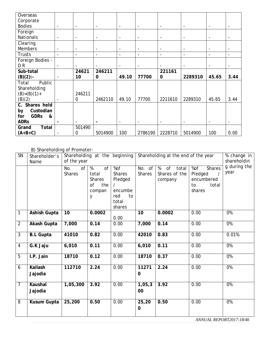| Overseas                |                          |                |                          |                          |                          |                          |                          |                          |                          |
|-------------------------|--------------------------|----------------|--------------------------|--------------------------|--------------------------|--------------------------|--------------------------|--------------------------|--------------------------|
| Corporate               |                          |                |                          |                          |                          |                          |                          |                          |                          |
| <b>Bodies</b>           | $\overline{\phantom{a}}$ | $\overline{a}$ | $\overline{\phantom{a}}$ | $\overline{\phantom{a}}$ | $\overline{\phantom{a}}$ | $\overline{\phantom{a}}$ | $\overline{\phantom{a}}$ | $\overline{\phantom{a}}$ | $\overline{\phantom{a}}$ |
| Foreign                 |                          |                |                          |                          |                          |                          |                          |                          |                          |
| <b>Nationals</b>        | $\overline{\phantom{a}}$ | $\overline{a}$ | $\blacksquare$           | $\overline{\phantom{a}}$ | $\overline{\phantom{a}}$ | $\overline{\phantom{a}}$ | $\overline{\phantom{a}}$ | $\overline{\phantom{a}}$ | $\overline{\phantom{a}}$ |
| Clearing                |                          |                |                          |                          |                          |                          |                          |                          |                          |
| <b>Members</b>          | $\overline{\phantom{a}}$ | -              | $\overline{\phantom{a}}$ | $\overline{\phantom{a}}$ | ٠                        | $\overline{\phantom{a}}$ | $\overline{\phantom{0}}$ | $\overline{\phantom{a}}$ | $\overline{\phantom{a}}$ |
| <b>Trusts</b>           |                          | $\overline{a}$ | $\overline{a}$           | $\blacksquare$           | $\blacksquare$           | $\overline{\phantom{a}}$ | $\overline{a}$           | $\overline{\phantom{a}}$ | $\blacksquare$           |
| Foreign Bodies -        |                          |                |                          |                          |                          |                          |                          |                          |                          |
| D R                     | $\overline{\phantom{a}}$ |                | $\overline{\phantom{a}}$ | $\overline{\phantom{a}}$ | ۰                        |                          | $\blacksquare$           | $\overline{\phantom{a}}$ | $\overline{\phantom{a}}$ |
| Sub-total               |                          | 24621          | 246211                   |                          |                          | 221161                   |                          |                          |                          |
| $(B)(2)$ :-             | $\overline{\phantom{a}}$ | 10             | $\mathbf 0$              | 49.10                    | 77700                    | $\mathbf 0$              | 2289310                  | 45.65                    | 3.44                     |
|                         |                          |                |                          |                          |                          |                          |                          |                          |                          |
| Public<br>Total         |                          |                |                          |                          |                          |                          |                          |                          |                          |
| Shareholding            |                          |                |                          |                          |                          |                          |                          |                          |                          |
| $(B)=(B)(1)+$           |                          | 246211         |                          |                          |                          |                          |                          |                          |                          |
| (B)(2)                  |                          | 0              | 2462110                  | 49.10                    | 77700                    | 2211610                  | 2289310                  | 45.65                    | 3.44                     |
| C. Shares held          |                          |                |                          |                          |                          |                          |                          |                          |                          |
| Custodian<br>by         |                          |                |                          |                          |                          |                          |                          |                          |                          |
| <b>GDRs</b><br>&<br>for |                          |                |                          |                          |                          |                          |                          |                          |                          |
| <b>ADRs</b>             |                          |                | $\overline{\phantom{a}}$ | $\overline{\phantom{a}}$ | $\overline{\phantom{a}}$ | $\overline{\phantom{a}}$ | $\blacksquare$           | $\overline{\phantom{a}}$ | $\overline{\phantom{a}}$ |
| Total<br>Grand          |                          | 501490         |                          |                          |                          |                          |                          |                          |                          |

B) Shareholding of Promoter-

| $\overline{\text{SN}}$ | Shareholder's<br>Name | Shareholding at the beginning<br>of the year |                                                               |                                                                            | Shareholding at the end of the year | % change in<br>shareholdin                   |                                                                 |                      |
|------------------------|-----------------------|----------------------------------------------|---------------------------------------------------------------|----------------------------------------------------------------------------|-------------------------------------|----------------------------------------------|-----------------------------------------------------------------|----------------------|
|                        |                       | No.<br><sub>of</sub><br><b>Shares</b>        | %<br>of<br>total<br><b>Shares</b><br>0f<br>the<br>compan<br>y | %of<br><b>Shares</b><br>Pledged<br>encumbe<br>red<br>to<br>total<br>shares | No. of<br>Shares                    | %<br>of<br>total<br>Shares of the<br>company | Shares<br>%of<br>Pledged<br>encumbered<br>total<br>to<br>shares | g during the<br>year |
| $\mathbf{1}$           | <b>Ashish Gupta</b>   | 10                                           | 0.0002                                                        | 0.00                                                                       | 10                                  | 0.0002                                       | 0.00                                                            | 0%                   |
| $\overline{2}$         | Akash Gupta           | 7,000                                        | 0.14                                                          | 0.00                                                                       | 7,000                               | 0.14                                         | 0.00                                                            | 0%                   |
| $\mathfrak{Z}$         | <b>B.L Gupta</b>      | 41010                                        | 0.82                                                          | 0.00                                                                       | 42010                               | 0.83                                         | 0.00                                                            | 0.01%                |
| $\overline{4}$         | G.K Jaju              | 6,010                                        | 0.11                                                          | 0.00                                                                       | 6,010                               | 0.11                                         | 0.00                                                            | 0%                   |
| $\overline{5}$         | I.P. Jain             | 18710                                        | 0.12                                                          | 0.00                                                                       | 18710                               | 0.37                                         | 0.00                                                            | $0\%$                |
| 6                      | Kailash<br>Jajodia    | 112710                                       | 2.24                                                          | 0.00                                                                       | 11271<br>0                          | 2.24                                         | 0.00                                                            | $0\%$                |
| $\overline{7}$         | Kaushal<br>Jajodia    | 1,05,300                                     | 3.92                                                          | 0.00                                                                       | 1,05,3<br>00                        | 3.92                                         | 0.00                                                            | 0%                   |
| 8                      | Kusum Gupta           | 25,200                                       | 0.50                                                          | 0.00                                                                       | 25,20<br>$\mathbf 0$                | 0.50                                         | 0.00                                                            | 0%                   |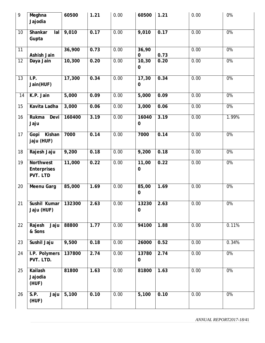| 9  | Meghna<br>Jajodia                    | 60500  | 1.21 | 0.00 | 60500                | 1.21 | 0.00 | 0%    |
|----|--------------------------------------|--------|------|------|----------------------|------|------|-------|
| 10 | Shankar<br>lal<br>Gupta              | 9,010  | 0.17 | 0.00 | 9,010                | 0.17 | 0.00 | $0\%$ |
| 11 | Ashish Jain                          | 36,900 | 0.73 | 0.00 | 36,90<br>0           | 0.73 | 0.00 | 0%    |
| 12 | Daya Jain                            | 10,300 | 0.20 | 0.00 | 10,30<br>$\mathbf 0$ | 0.20 | 0.00 | $0\%$ |
| 13 | I.P.<br>Jain(HUF)                    | 17,300 | 0.34 | 0.00 | 17,30<br>$\mathbf 0$ | 0.34 | 0.00 | 0%    |
| 14 | K.P. Jain                            | 5,000  | 0.09 | 0.00 | 5,000                | 0.09 | 0.00 | 0%    |
| 15 | Kavita Ladha                         | 3,000  | 0.06 | 0.00 | 3,000                | 0.06 | 0.00 | 0%    |
| 16 | Rukma<br>Devi<br>Jaju                | 160400 | 3.19 | 0.00 | 16040<br>$\mathbf 0$ | 3.19 | 0.00 | 1.99% |
| 17 | Kishan<br>Gopi<br>jaju (HUF)         | 7000   | 0.14 | 0.00 | 7000                 | 0.14 | 0.00 | 0%    |
| 18 | Rajesh Jaju                          | 9,200  | 0.18 | 0.00 | 9,200                | 0.18 | 0.00 | 0%    |
| 19 | Northwest<br>Enterprises<br>PVT. LTD | 11,000 | 0.22 | 0.00 | 11,00<br>$\mathbf 0$ | 0.22 | 0.00 | 0%    |
| 20 | Meenu Garg                           | 85,000 | 1.69 | 0.00 | 85,00<br>$\mathbf 0$ | 1.69 | 0.00 | $0\%$ |
| 21 | Sushil Kumar<br>Jaju (HUF)           | 132300 | 2.63 | 0.00 | 13230<br>$\mathbf 0$ | 2.63 | 0.00 | 0%    |
| 22 | Jaju<br>Rajesh<br>& Sons             | 88800  | 1.77 | 0.00 | 94100                | 1.88 | 0.00 | 0.11% |
| 23 | Sushil Jaju                          | 9,500  | 0.18 | 0.00 | 26000                | 0.52 | 0.00 | 0.34% |
| 24 | I.P. Polymers<br>PVT. LTD.           | 137800 | 2.74 | 0.00 | 13780<br>$\mathbf 0$ | 2.74 | 0.00 | $0\%$ |
| 25 | Kailash<br>Jajodia<br>(HUF)          | 81800  | 1.63 | 0.00 | 81800                | 1.63 | 0.00 | 0%    |
| 26 | S.P.<br>Jaju<br>(HUF)                | 5,100  | 0.10 | 0.00 | 5,100                | 0.10 | 0.00 | 0%    |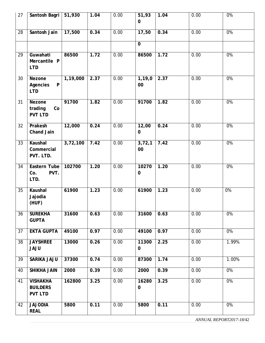| 27              | Santosh Bagri                                           | 51,930   | 1.04 | 0.00 | 51,93<br>$\mathbf 0$ | 1.04 | 0.00 | 0%    |
|-----------------|---------------------------------------------------------|----------|------|------|----------------------|------|------|-------|
| $\overline{28}$ | Santosh Jain                                            | 17,500   | 0.34 | 0.00 | 17,50                | 0.34 | 0.00 | $0\%$ |
|                 |                                                         |          |      |      | $\mathbf 0$          |      |      |       |
| 29              | Guwahati<br>Mercantile P<br><b>LTD</b>                  | 86500    | 1.72 | 0.00 | 86500                | 1.72 | 0.00 | 0%    |
| 30              | <b>Nezone</b><br>$\mathsf{P}$<br>Agencies<br><b>LTD</b> | 1,19,000 | 2.37 | 0.00 | 1,19,0<br>00         | 2.37 | 0.00 | $0\%$ |
| 31              | Nezone<br>trading<br>Co<br><b>PVT LTD</b>               | 91700    | 1.82 | 0.00 | 91700                | 1.82 | 0.00 | 0%    |
| 32              | Prakesh<br><b>Chand Jain</b>                            | 12,000   | 0.24 | 0.00 | 12,00<br>$\pmb{0}$   | 0.24 | 0.00 | $0\%$ |
| 33              | Kaushal<br>Commercial<br>PVT. LTD.                      | 3,72,100 | 7.42 | 0.00 | 3,72,1<br>00         | 7.42 | 0.00 | 0%    |
| 34              | Eastern Tube<br>PVT.<br>Co.<br>LTD.                     | 102700   | 1.20 | 0.00 | 10270<br>$\pmb{0}$   | 1.20 | 0.00 | 0%    |
| 35              | Kaushal<br>Jajodia<br>(HUF)                             | 61900    | 1.23 | 0.00 | 61900                | 1.23 | 0.00 | 0%    |
| 36              | <b>SUREKHA</b><br><b>GUPTA</b>                          | 31600    | 0.63 | 0.00 | 31600                | 0.63 | 0.00 | 0%    |
| 37              | <b>EKTA GUPTA</b>                                       | 49100    | 0.97 | 0.00 | 49100                | 0.97 | 0.00 | 0%    |
| 38              | <b>JAYSHREE</b><br><b>JAJU</b>                          | 13000    | 0.26 | 0.00 | 11300<br>$\pmb{0}$   | 2.25 | 0.00 | 1.99% |
| 39              | <b>SARIKA JAJU</b>                                      | 37300    | 0.74 | 0.00 | 87300                | 1.74 | 0.00 | 1.00% |
| 40              | <b>SHIKHA JAIN</b>                                      | 2000     | 0.39 | 0.00 | 2000                 | 0.39 | 0.00 | 0%    |
| 41              | <b>VISHAKHA</b><br><b>BUILDERS</b><br><b>PVT LTD</b>    | 162800   | 3.25 | 0.00 | 16280<br>$\pmb{0}$   | 3.25 | 0.00 | 0%    |
| 42              | <b>AIODLAL</b><br><b>REAL</b>                           | 5800     | 0.11 | 0.00 | 5800                 | 0.11 | 0.00 | 0%    |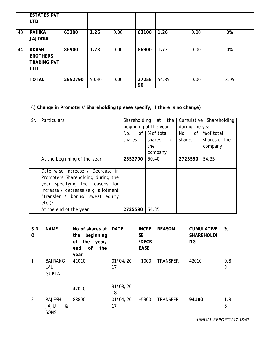|    | <b>ESTATES PVT</b> |         |       |      |       |       |      |      |
|----|--------------------|---------|-------|------|-------|-------|------|------|
|    | <b>LTD</b>         |         |       |      |       |       |      |      |
|    |                    |         |       |      |       |       |      |      |
| 43 | <b>RAHIKA</b>      | 63100   | 1.26  | 0.00 | 63100 | 1.26  | 0.00 | 0%   |
|    | <b>AIOOLAL</b>     |         |       |      |       |       |      |      |
|    |                    |         |       |      |       |       |      |      |
| 44 | <b>AKASH</b>       | 86900   | 1.73  | 0.00 | 86900 | 1.73  | 0.00 | 0%   |
|    | <b>BROTHERS</b>    |         |       |      |       |       |      |      |
|    | <b>TRADING PVT</b> |         |       |      |       |       |      |      |
|    | <b>LTD</b>         |         |       |      |       |       |      |      |
|    |                    |         |       |      |       |       |      |      |
|    | <b>TOTAL</b>       | 2552790 | 50.40 | 0.00 | 27255 | 54.35 | 0.00 | 3.95 |
|    |                    |         |       |      | 90    |       |      |      |

# C) **Change in Promoters' Shareholding (please specify, if there is no change)**

| <b>SN</b> | <b>Particulars</b>                  |                        | Shareholding at the   |                 | Cumulative Shareholding |  |
|-----------|-------------------------------------|------------------------|-----------------------|-----------------|-------------------------|--|
|           |                                     |                        | beginning of the year | during the year |                         |  |
|           |                                     | of <sub>1</sub><br>No. | % of total            | $No.$ of        | % of total              |  |
|           |                                     | shares                 | shares of             | shares          | shares of the           |  |
|           |                                     |                        | the                   |                 | company                 |  |
|           |                                     |                        | company               |                 |                         |  |
|           | At the beginning of the year        | 2552790                | 50.40                 | 2725590         | 54.35                   |  |
|           |                                     |                        |                       |                 |                         |  |
|           | Date wise Increase / Decrease in    |                        |                       |                 |                         |  |
|           | Promoters Shareholding during the   |                        |                       |                 |                         |  |
|           | year specifying the reasons for     |                        |                       |                 |                         |  |
|           | increase / decrease (e.g. allotment |                        |                       |                 |                         |  |
|           | /transfer / bonus/ sweat equity     |                        |                       |                 |                         |  |
|           | $etc.$ ):                           |                        |                       |                 |                         |  |
|           | At the end of the year              | 2725590                | 54.35                 |                 |                         |  |

| S.N | <b>NAME</b>      | No of shares at         | <b>DATE</b> | <b>INCRE</b> | <b>REASON</b>   | <b>CUMULATIVE</b> | %   |
|-----|------------------|-------------------------|-------------|--------------|-----------------|-------------------|-----|
| O   |                  | beginning<br>the        |             | <b>SE</b>    |                 | <b>SHAREHOLDI</b> |     |
|     |                  | the year/<br>0f         |             | /DECR        |                 | <b>NG</b>         |     |
|     |                  | <b>of</b><br>the<br>end |             | <b>EASE</b>  |                 |                   |     |
|     |                  | year                    |             |              |                 |                   |     |
|     | <b>BAJRANG</b>   | 41010                   | 01/04/20    | $+1000$      | <b>TRANSFER</b> | 42010             | 0.8 |
|     | <b>LAL</b>       |                         | 17          |              |                 |                   | 3   |
|     | <b>GUPTA</b>     |                         |             |              |                 |                   |     |
|     |                  |                         |             |              |                 |                   |     |
|     |                  | 42010                   | 31/03/20    |              |                 |                   |     |
|     |                  |                         | 18          |              |                 |                   |     |
| 2   | <b>RAJESH</b>    | 88800                   | 01/04/20    | $+5300$      | <b>TRANSFER</b> | 94100             | 1.8 |
|     | <b>JAJU</b><br>& |                         | 17          |              |                 |                   | 8   |
|     | SONS             |                         |             |              |                 |                   |     |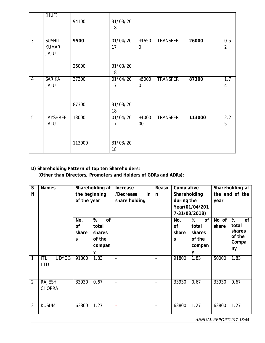|                | (HUF)                         | 94100  | 31/03/20       |                        |                 |        |                       |
|----------------|-------------------------------|--------|----------------|------------------------|-----------------|--------|-----------------------|
|                |                               |        | 18             |                        |                 |        |                       |
| $\mathbf{3}$   | <b>SUSHIL</b><br><b>KUMAR</b> | 9500   | 01/04/20<br>17 | $+1650$<br>$\mathbf 0$ | <b>TRANSFER</b> | 26000  | 0.5<br>$\overline{2}$ |
|                | <b>JAJU</b>                   |        |                |                        |                 |        |                       |
|                |                               | 26000  | 31/03/20<br>18 |                        |                 |        |                       |
|                |                               |        |                |                        |                 |        |                       |
| $\overline{4}$ | <b>SARIKA</b>                 | 37300  | 01/04/20       | $+5000$                | <b>TRANSFER</b> | 87300  | 1.7                   |
|                | <b>JAJU</b>                   |        | 17             | $\mathbf 0$            |                 |        | $\overline{4}$        |
|                |                               |        |                |                        |                 |        |                       |
|                |                               | 87300  | 31/03/20       |                        |                 |        |                       |
|                |                               |        | 18             |                        |                 |        |                       |
| $\overline{5}$ | <b>JAYSHREE</b>               | 13000  | 01/04/20       | $+1000$                | <b>TRANSFER</b> | 113000 | 2.2                   |
|                | <b>ULAL</b>                   |        | 17             | $00\,$                 |                 |        | 5                     |
|                |                               |        |                |                        |                 |        |                       |
|                |                               | 113000 | 31/03/20       |                        |                 |        |                       |
|                |                               |        | 18             |                        |                 |        |                       |

# **D) Shareholding Pattern of top ten Shareholders:**

 **(Other than Directors, Promoters and Holders of GDRs and ADRs):** 

| S              | <b>Names</b>                             |             | Shareholding at | Increase       |    | Reaso          | Cumulative   |                |                | Shareholding at |
|----------------|------------------------------------------|-------------|-----------------|----------------|----|----------------|--------------|----------------|----------------|-----------------|
| N              |                                          |             | the beginning   | /Decrease      | in | $\mathsf{n}$   | Shareholding |                | the end of the |                 |
|                |                                          | of the year |                 | share holding  |    |                | during the   |                | year           |                 |
|                |                                          |             |                 |                |    |                |              | Year(01/04/201 |                |                 |
|                |                                          |             |                 |                |    |                |              | 7-31/03/2018)  |                |                 |
|                |                                          | No.         | %<br>of         |                |    |                | No.          | %<br>of        | No of          | %<br>of         |
|                |                                          | of          | total           |                |    |                | of           | total          | share          | total           |
|                |                                          | share       | shares          |                |    |                | share        | shares         |                | shares          |
|                |                                          | S           | of the          |                |    |                | S            | of the         |                | of the          |
|                |                                          |             | compan          |                |    |                |              | compan         |                | Compa           |
|                |                                          |             | y               |                |    |                |              | y              |                | ny              |
| 1              | <b>UDYOG</b><br><b>ITL</b><br><b>LTD</b> | 91800       | 1.83            | $\overline{a}$ |    |                | 91800        | 1.83           | 50000          | 1.83            |
|                |                                          |             |                 |                |    |                |              |                |                |                 |
|                |                                          |             |                 |                |    |                |              |                |                |                 |
| $\overline{2}$ | <b>RAJESH</b>                            | 33930       | 0.67            |                |    | $\blacksquare$ | 33930        | 0.67           | 33930          | 0.67            |
|                | <b>CHOPRA</b>                            |             |                 |                |    |                |              |                |                |                 |
|                |                                          |             |                 |                |    |                |              |                |                |                 |
|                |                                          |             |                 |                |    |                |              |                |                |                 |
| 3              | <b>KUSUM</b>                             | 63800       | 1.27            | ۰              |    |                | 63800        | 1.27           | 63800          | 1.27            |
|                |                                          |             |                 |                |    |                |              |                |                |                 |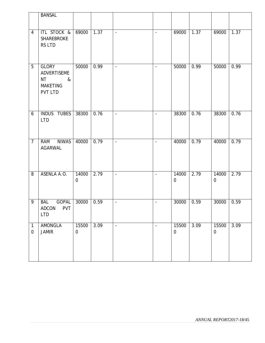|                                  | <b>BANSAL</b>                                                        |                           |                   |                          |                          |                           |      |                           |      |
|----------------------------------|----------------------------------------------------------------------|---------------------------|-------------------|--------------------------|--------------------------|---------------------------|------|---------------------------|------|
| $\overline{4}$                   | ITL STOCK &<br>SHAREBROKE<br>RS LTD                                  | 69000                     | 1.37              | $\overline{\phantom{a}}$ | $\overline{\phantom{a}}$ | 69000                     | 1.37 | 69000                     | 1.37 |
| 5                                | <b>GLORY</b><br>ADVERTISEME<br>NT<br>&<br><b>MAKETING</b><br>PVT LTD | 50000                     | 0.99              | $\overline{\phantom{a}}$ | $\overline{\phantom{a}}$ | 50000                     | 0.99 | 50000                     | 0.99 |
| 6                                | <b>INDUS TUBES</b><br><b>LTD</b>                                     | 38300                     | 0.76              | $\overline{\phantom{a}}$ | $\overline{\phantom{a}}$ | 38300                     | 0.76 | 38300                     | 0.76 |
| $\overline{7}$                   | <b>NIWAS</b><br>RAM<br><b>AGARWAL</b>                                | 40000                     | 0.79              | $\overline{\phantom{a}}$ | $\overline{\phantom{a}}$ | 40000                     | 0.79 | 40000                     | 0.79 |
| $\overline{8}$                   | ASENLA A.O.                                                          | 14000<br>0                | 2.79              | $\blacksquare$           | $\blacksquare$           | 14000<br>$\boldsymbol{0}$ | 2.79 | 14000<br>$\boldsymbol{0}$ | 2.79 |
| 9                                | <b>GOPAL</b><br>BAL<br>ADCON<br>PVT<br><b>LTD</b>                    | 30000                     | 0.59              | $\overline{\phantom{a}}$ | $\overline{\phantom{a}}$ | 30000                     | 0.59 | 30000                     | 0.59 |
| $\mathbf{1}$<br>$\boldsymbol{0}$ | <b>AMONGLA</b><br><b>JAMIR</b>                                       | 15500<br>$\boldsymbol{0}$ | $\overline{3.09}$ | $\overline{\phantom{a}}$ | $\overline{\phantom{a}}$ | 15500<br>$\boldsymbol{0}$ | 3.09 | 15500<br>$\boldsymbol{0}$ | 3.09 |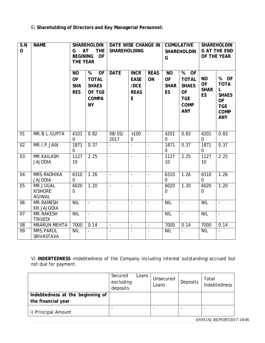E) **Shareholding of Directors and Key Managerial Personnel:** 

| S.N<br>$\mathbf{O}$ | <b>NAME</b>                                 | G.<br><b>BEGINING</b><br><b>THE YEAR</b>           | <b>SHAREHOLDIN</b><br><b>AT</b><br><b>THE</b><br><b>OF</b>                            | DATE WISE CHANGE IN<br><b>CUMULATIVE</b><br><b>SHAREHOLDING</b><br><b>SHAREHOLDIN</b><br>G |                                                        |                          |                                             | <b>SHAREHOLDIN</b><br><b>G AT THE END</b><br>OF THE YEAR                                               |                                             |                                                                                                            |
|---------------------|---------------------------------------------|----------------------------------------------------|---------------------------------------------------------------------------------------|--------------------------------------------------------------------------------------------|--------------------------------------------------------|--------------------------|---------------------------------------------|--------------------------------------------------------------------------------------------------------|---------------------------------------------|------------------------------------------------------------------------------------------------------------|
|                     |                                             | <b>NO</b><br><b>OF</b><br><b>SHA</b><br><b>RES</b> | %<br><b>OF</b><br><b>TOTAL</b><br><b>SHAES</b><br>OF TGE<br><b>COMPA</b><br><b>NY</b> | <b>DATE</b>                                                                                | <b>INCR</b><br><b>EASE</b><br>/DCE<br><b>REAS</b><br>E | <b>REAS</b><br>ON        | <b>NO</b><br><b>OF</b><br><b>SHAR</b><br>ES | %<br><b>OF</b><br><b>TOTAL</b><br><b>SHAES</b><br><b>OF</b><br><b>TGE</b><br><b>COMP</b><br><b>ANY</b> | <b>NO</b><br><b>OF</b><br><b>SHAR</b><br>ES | %<br><b>OF</b><br><b>TOTA</b><br>L<br><b>SHAES</b><br><b>OF</b><br><b>TGE</b><br><b>COMP</b><br><b>ANY</b> |
| 01                  | MR.B.L.GUPTA                                | 4101<br>$\mathbf 0$                                | 0.82                                                                                  | 08/05/<br>2017                                                                             | $+100$<br>0                                            | $\blacksquare$           | 4201<br>$\overline{0}$                      | 0.83                                                                                                   | 4201<br>$\overline{0}$                      | 0.83                                                                                                       |
| $\overline{02}$     | MR.I.P.JAIN                                 | 1871<br>$\Omega$                                   | 0.37                                                                                  | $\blacksquare$                                                                             | $\overline{\phantom{a}}$                               | $\blacksquare$           | 1871<br>$\Omega$                            | 0.37                                                                                                   | 1871<br>$\overline{0}$                      | 0.37                                                                                                       |
| 03                  | MR.KAILASH<br><b>JAJODIA</b>                | 1127<br>10                                         | 2.25                                                                                  | $\mathbf{r}$                                                                               | $\mathcal{L}$                                          | $\sim$                   | 1127<br>10                                  | 2.25                                                                                                   | 1127<br>10                                  | 2.25                                                                                                       |
| 04                  | <b>MRS.RADHIKA</b><br><b>JAJODIA</b>        | 6310<br>$\Omega$                                   | 1.26                                                                                  | $\blacksquare$                                                                             | $\overline{\phantom{a}}$                               | $\blacksquare$           | 6310<br>$\overline{0}$                      | 1.26                                                                                                   | 6310<br>$\overline{0}$                      | 1.26                                                                                                       |
| 05                  | MR.JUGAL<br><b>KISHORE</b><br><b>AGIWAL</b> | 6020<br>$\Omega$                                   | 1.20                                                                                  | $\overline{\phantom{a}}$                                                                   | $\sim$                                                 | $\blacksquare$           | 6020<br>$\mathbf 0$                         | 1.20                                                                                                   | 6020<br>$\overline{0}$                      | 1.20                                                                                                       |
| 06                  | MR.RAMESH<br><b>KR.JAJODIA</b>              | <b>NIL</b>                                         | $\blacksquare$                                                                        | $\overline{\phantom{a}}$                                                                   | $\blacksquare$                                         | $\blacksquare$           | <b>NIL</b>                                  | $\blacksquare$                                                                                         | <b>NIL</b>                                  | $\blacksquare$                                                                                             |
| 07                  | MR.RAKESH<br><b>TRIVEDI</b>                 | <b>NIL</b>                                         | $\sim$                                                                                | $\overline{a}$                                                                             | $\overline{\phantom{a}}$                               | $\overline{\phantom{a}}$ | <b>NIL</b>                                  | $\sim$                                                                                                 | <b>NIL</b>                                  | $\overline{\phantom{a}}$                                                                                   |
| 08                  | <b>MRARUN MEHTA</b>                         | 7000                                               | 0.14                                                                                  | $\mathbb{L}^+$                                                                             | $\blacksquare$                                         | $\mathbf{L}$             | 7000                                        | 0.14                                                                                                   | 7000                                        | 0.14                                                                                                       |
| 09                  | MRS.PARUL<br>SRIVASTAVA                     | <b>NIL</b>                                         | $\overline{\phantom{a}}$                                                              |                                                                                            |                                                        | $\frac{1}{2}$            | <b>NIL</b>                                  | $\overline{a}$                                                                                         | <b>NIL</b>                                  |                                                                                                            |

V) **INDEBTEDNESS -**Indebtedness of the Company including interest outstanding/accrued but not due for payment.

|                                  | Secured<br>excluding<br>deposits | Loans | Unsecured<br>Loans | Deposits | Total<br>Indebtedness |
|----------------------------------|----------------------------------|-------|--------------------|----------|-----------------------|
| Indebtedness at the beginning of |                                  |       |                    |          |                       |
| the financial year               |                                  |       |                    |          |                       |
| i) Principal Amount              |                                  |       |                    |          |                       |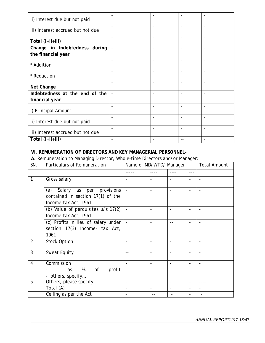| ii) Interest due but not paid     | ۰                        |                |                          |                          |
|-----------------------------------|--------------------------|----------------|--------------------------|--------------------------|
| iii) Interest accrued but not due | $\blacksquare$           | ۰              | ۰                        |                          |
| Total (i+ii+iii)                  | $\overline{\phantom{a}}$ | ۰              | ۰                        |                          |
| Change in Indebtedness during     | $\overline{a}$           | ۰              | $\overline{\phantom{a}}$ | $\overline{\phantom{0}}$ |
| the financial year                |                          |                |                          |                          |
| * Addition                        | $\overline{\phantom{0}}$ | ۰              | ۰                        |                          |
| * Reduction                       | $\overline{\phantom{a}}$ |                | ۰                        |                          |
| Net Change                        | $\overline{\phantom{a}}$ | $\blacksquare$ | $\blacksquare$           | $\overline{\phantom{0}}$ |
| Indebtedness at the end of the    | $\overline{a}$           | ۰              | ۰                        |                          |
| financial year                    |                          |                |                          |                          |
| i) Principal Amount               | $\overline{\phantom{a}}$ | ۰              | ۰                        |                          |
| ii) Interest due but not paid     | $\overline{\phantom{0}}$ | $\blacksquare$ | $\overline{\phantom{a}}$ | $\overline{\phantom{a}}$ |
| iii) Interest accrued but not due | $\overline{a}$           | ۰              | ۰                        |                          |
| Total (i+ii+iii)                  | $\overline{\phantom{a}}$ |                |                          |                          |

# **VI. REMUNERATION OF DIRECTORS AND KEY MANAGERIAL PERSONNEL-**

**A.** Remuneration to Managing Director, Whole-time Directors and/or Manager:

| SN.            | Particulars of Remuneration                                          | Name of MD/WTD/ Manager  |                |                |     | <b>Total Amount</b>      |
|----------------|----------------------------------------------------------------------|--------------------------|----------------|----------------|-----|--------------------------|
|                |                                                                      |                          |                | ----           | --- |                          |
|                | Gross salary                                                         |                          |                |                |     |                          |
|                | Salary as per provisions<br>(a)<br>contained in section 17(1) of the |                          |                |                |     |                          |
|                | Income-tax Act, 1961                                                 |                          |                |                |     |                          |
|                | (b) Value of perquisites u/s 17(2)                                   |                          |                |                |     |                          |
|                | Income-tax Act, 1961                                                 |                          |                |                |     |                          |
|                | (c) Profits in lieu of salary under                                  |                          |                |                |     |                          |
|                | section 17(3) Income- tax Act,                                       |                          |                |                |     |                          |
|                | 1961                                                                 |                          |                |                |     |                          |
| $\overline{2}$ | <b>Stock Option</b>                                                  |                          |                |                |     | $\overline{\phantom{a}}$ |
| $\mathfrak{Z}$ | Sweat Equity                                                         |                          | $\blacksquare$ |                |     | $\blacksquare$           |
| 4              | Commission                                                           |                          |                |                |     |                          |
|                | profit<br>%<br>of<br>as                                              |                          |                |                |     |                          |
|                | - others, specify                                                    |                          |                |                |     |                          |
| 5              | Others, please specify                                               | $\overline{\phantom{a}}$ | $\blacksquare$ | $\blacksquare$ |     |                          |
|                | Total (A)                                                            |                          |                |                |     |                          |
|                | Ceiling as per the Act                                               |                          |                |                |     |                          |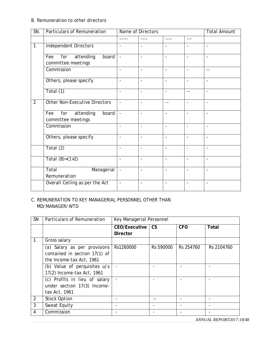# B. Remuneration to other directors

| SN.            | Particulars of Remuneration                            |                          | Name of Directors        |                          |                          | <b>Total Amount</b>      |
|----------------|--------------------------------------------------------|--------------------------|--------------------------|--------------------------|--------------------------|--------------------------|
|                |                                                        | $- - - - -$              | ----                     | $- - - -$                | $---$                    |                          |
| 1              | <b>Independent Directors</b>                           |                          | $\overline{a}$           | $\overline{\phantom{a}}$ | $\blacksquare$           | $\overline{\phantom{a}}$ |
|                | attending<br>for<br>board<br>Fee<br>committee meetings | $\overline{a}$           | $\blacksquare$           | $\overline{\phantom{a}}$ | $\mathbf{r}$             | $\overline{\phantom{a}}$ |
|                | Commission                                             | $\overline{a}$           | $\blacksquare$           | $\overline{\phantom{a}}$ | $\sim$                   | $-$                      |
|                | Others, please specify                                 | $\overline{a}$           | $\blacksquare$           | $\overline{\phantom{a}}$ | $\sim$                   | $\overline{a}$           |
|                | Total $(1)$                                            | $\overline{a}$           | $\overline{\phantom{a}}$ | $\blacksquare$           | $-$                      | $\blacksquare$           |
| $\overline{2}$ | <b>Other Non-Executive Directors</b>                   | $\overline{\phantom{a}}$ | $\overline{\phantom{a}}$ | $- -$                    | $\blacksquare$           | $\blacksquare$           |
|                | attending<br>board<br>for<br>Fee<br>committee meetings | $\overline{a}$           | $\sim$                   | $\overline{\phantom{a}}$ | $\sim$                   | $\overline{\phantom{a}}$ |
|                | Commission                                             | $\overline{\phantom{a}}$ | $\blacksquare$           | $\qquad \qquad -$        | $\blacksquare$           |                          |
|                | Others, please specify                                 | $\overline{\phantom{0}}$ | $\overline{\phantom{a}}$ | $\overline{\phantom{a}}$ | $\blacksquare$           | $\blacksquare$           |
|                | Total $(2)$                                            | $\blacksquare$           | $\overline{\phantom{a}}$ | $\overline{\phantom{a}}$ | $\blacksquare$           | $\blacksquare$           |
|                | Total $(B)=(1+2)$                                      | $\overline{\phantom{a}}$ | $\blacksquare$           | $\overline{\phantom{a}}$ | $\blacksquare$           | $\blacksquare$           |
|                | Total<br>Managerial<br>Remuneration                    | $\overline{\phantom{a}}$ | $\blacksquare$           | $\overline{\phantom{a}}$ | $\overline{\phantom{a}}$ | $\overline{\phantom{a}}$ |
|                | Overall Ceiling as per the Act                         | $\overline{a}$           | $\blacksquare$           | $\overline{\phantom{a}}$ | $\blacksquare$           | $\overline{\phantom{a}}$ |

# C. REMUNERATION TO KEY MANAGERIAL PERSONNEL OTHER THAN MD/MANAGER/WTD

| SN             | Particulars of Remuneration   | Key Managerial Personnel |                 |            |            |  |
|----------------|-------------------------------|--------------------------|-----------------|------------|------------|--|
|                |                               | CEO/Executive            | CS <sub>1</sub> | <b>CFO</b> | Total      |  |
|                |                               | <b>Director</b>          |                 |            |            |  |
|                | Gross salary                  |                          |                 |            |            |  |
|                | (a) Salary as per provisions  | Rs1260000                | Rs 590000       | Rs 254760  | Rs 2104760 |  |
|                | contained in section 17(1) of |                          |                 |            |            |  |
|                | the Income-tax Act, 1961      |                          |                 |            |            |  |
|                | (b) Value of perquisites u/s  |                          |                 |            |            |  |
|                | 17(2) Income-tax Act, 1961    |                          |                 |            |            |  |
|                | (c) Profits in lieu of salary |                          |                 |            |            |  |
|                | under section 17(3) Income-   |                          |                 |            |            |  |
|                | tax Act, 1961                 |                          |                 |            |            |  |
| $\overline{2}$ | <b>Stock Option</b>           |                          |                 |            |            |  |
| 3              | Sweat Equity                  |                          |                 |            |            |  |
| 4              | Commission                    | ۰                        |                 |            |            |  |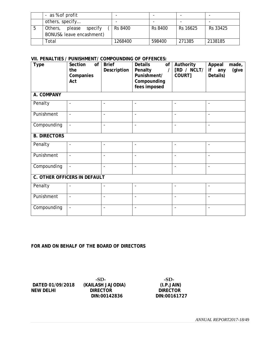| - as % of profit                                      |         |         |          |          |
|-------------------------------------------------------|---------|---------|----------|----------|
| others, specify                                       |         |         |          |          |
| please specify<br>Others,<br>BONUS& leave encashment) | Rs 8400 | Rs 8400 | Rs 16625 | Rs 33425 |
| Total                                                 | 1268400 | 598400  | 271385   | 2138185  |

# **VII. PENALTIES / PUNISHMENT/ COMPOUNDING OF OFFENCES:**

| <b>Type</b>         | Section<br>of<br>the<br>Companies<br>Act | <b>Brief</b><br>Description | <b>Details</b><br>of<br>Penalty<br>$\prime$<br>Punishment/<br>Compounding<br>fees imposed | Authority<br>[RD / NCLT/<br>COURT] | Appeal<br>made,<br>(give<br>if<br>any<br>Details) |  |  |  |
|---------------------|------------------------------------------|-----------------------------|-------------------------------------------------------------------------------------------|------------------------------------|---------------------------------------------------|--|--|--|
| A. COMPANY          |                                          |                             |                                                                                           |                                    |                                                   |  |  |  |
| Penalty             | $\overline{\phantom{a}}$                 | $\overline{\phantom{a}}$    | $\overline{\phantom{a}}$                                                                  | $\overline{\phantom{a}}$           | $\overline{\phantom{a}}$                          |  |  |  |
| Punishment          | $\sim$                                   | $\blacksquare$              | $\sim$                                                                                    | $\overline{a}$                     | $\blacksquare$                                    |  |  |  |
| Compounding         | $\sim$                                   | $\blacksquare$              | $\overline{\phantom{a}}$                                                                  | $\overline{a}$                     | $\overline{\phantom{a}}$                          |  |  |  |
| <b>B. DIRECTORS</b> |                                          |                             |                                                                                           |                                    |                                                   |  |  |  |
| Penalty             | $\overline{\phantom{a}}$                 | $\blacksquare$              | $\overline{\phantom{a}}$                                                                  | $\overline{\phantom{a}}$           | $\overline{\phantom{a}}$                          |  |  |  |
| Punishment          | $\sim$                                   | $\blacksquare$              | $\blacksquare$                                                                            | $\overline{a}$                     | $\blacksquare$                                    |  |  |  |
| Compounding         | $\overline{a}$                           | $\blacksquare$              | $\blacksquare$                                                                            | $\overline{a}$                     | $\overline{\phantom{a}}$                          |  |  |  |
|                     | <b>C. OTHER OFFICERS IN DEFAULT</b>      |                             |                                                                                           |                                    |                                                   |  |  |  |
| Penalty             | $\overline{\phantom{a}}$                 | $\overline{\phantom{a}}$    | $\blacksquare$                                                                            | $\overline{\phantom{a}}$           | $\overline{\phantom{a}}$                          |  |  |  |
| Punishment          | $\sim$                                   | $\blacksquare$              | $\blacksquare$                                                                            | $\overline{a}$                     | $\blacksquare$                                    |  |  |  |
| Compounding         | $\blacksquare$                           | $\blacksquare$              | $\overline{\phantom{a}}$                                                                  | $\overline{a}$                     | $\blacksquare$                                    |  |  |  |

# **FOR AND ON BEHALF OF THE BOARD OF DIRECTORS**

 **DATED 01/09/2018 (KAILASH JAJODIA) (I.P.JAIN)** 

 **-SD- -SD-**  NEW DELHI DIRECTOR DIRECTOR DIRECTOR DIRECTOR DIRECTOR DIRECTOR DIRECTOR DIN:00161727  **DIN:00142836 DIN:00161727**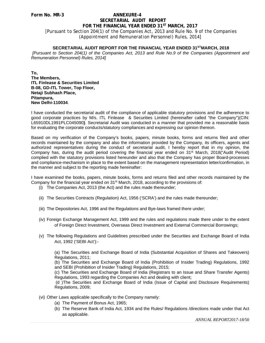#### Form No. MR-3 **ANNEXURE-4 SECRETARIAL AUDIT REPORT**  FOR THE FINANCIAL YEAR ENDED 31<sup>ST</sup> MARCH, 2017

 *[Pursuant to Section 204(1) of the Companies Act, 2013 and Rule No. 9 of the Companies (Appointment and Remuneration Personnel) Rules, 2014]* 

#### **SECRETARIAL AUDIT REPORT FOR THE FINANCIAL YEAR ENDED 31STMARCH, 2018**

 *[Pursuant to Section 204(1) of the Companies Act, 2013 and Rule No.9 of the Companies (Appointment and Remuneration Personnel) Rules, 2014]* 

**To, The Members, ITL Finlease & Securities Limited B-08, GD-ITL Tower, Top Floor, Netaji Subhash Place, Pitampura, New Delhi-110034**.

I have conducted the secretarial audit of the compliance of applicable statutory provisions and the adherence to good corporate practices by M/s. ITL Finlease & Securities Limited (hereinafter called "the Company")(CIN: L65910DL1991PLC045090**)**. Secretarial Audit was conducted in a manner that provided me a reasonable basis for evaluating the corporate conducts/statutory compliances and expressing our opinion thereon.

Based on my verification of the Company's books, papers, minute books, forms and returns filed and other records maintained by the company and also the information provided by the Company, its officers, agents and authorized representatives during the conduct of secretarial audit, I hereby report that in my opinion, the Company has, during the audit period covering the financial year ended on 31<sup>st</sup> March, 2018("Audit Period) complied with the statutory provisions listed hereunder and also that the Company has proper Board-processes and compliance-mechanism in place to the extent based on the management representation letter/confirmation, in the manner and subject to the reporting made hereinafter:

I have examined the books, papers, minute books, forms and returns filed and other records maintained by the Company for the financial year ended on 31<sup>st</sup> March, 2018, according to the provisions of:

- (i) The Companies Act, 2013 (the Act) and the rules made thereunder;
- (ii) The Securities Contracts (Regulation) Act, 1956 ('SCRA') and the rules made thereunder;
- (iii) The Depositories Act, 1996 and the Regulations and Bye-laws framed there under;
- (iv) Foreign Exchange Management Act, 1999 and the rules and regulations made there under to the extent of Foreign Direct Investment, Overseas Direct Investment and External Commercial Borrowings;
- (v) The following Regulations and Guidelines prescribed under the Securities and Exchange Board of India Act, 1992 ('SEBI Act'):-

(a) The Securities and Exchange Board of India (Substantial Acquisition of Shares and Takeovers) Regulations, 2011;

(b) The Securities and Exchange Board of India (Prohibition of Insider Trading) Regulations, 1992 and SEBI (Prohibition of Insider Trading) Regulations, 2015;

(c) The Securities and Exchange Board of India (Registrars to an Issue and Share Transfer Agents) Regulations, 1993 regarding the Companies Act and dealing with client;

 (d )The Securities and Exchange Board of India (Issue of Capital and Disclosure Requirements) Regulations, 2009;

- (vi) Other Laws applicable specifically to the Company namely:
	- (a) The Payment of Bonus Act, 1965;
	- (b) The Reserve Bank of India Act, 1934 and the Rules/ Regulations /directions made under that Act as applicable.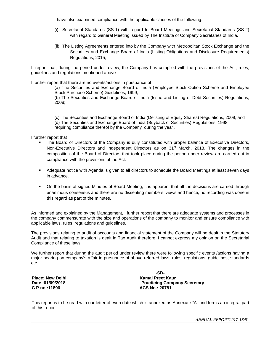I have also examined compliance with the applicable clauses of the following:

- (i) Secretarial Standards (SS-1) with regard to Board Meetings and Secretarial Standards (SS-2) with regard to General Meeting issued by The Institute of Company Secretaries of India.
- (ii) The Listing Agreements entered into by the Company with Metropolitan Stock Exchange and the Securities and Exchange Board of India (Listing Obligations and Disclosure Requirements) Regulations, 2015;

I, report that, during the period under review, the Company has complied with the provisions of the Act, rules, guidelines and regulations mentioned above.

I further report that there are no events/actions in pursuance of

(a) The Securities and Exchange Board of India (Employee Stock Option Scheme and Employee Stock Purchase Scheme) Guidelines, 1999;

(b) The Securities and Exchange Board of India (Issue and Listing of Debt Securities) Regulations, 2008;

(c) The Securities and Exchange Board of India (Delisting of Equity Shares) Regulations, 2009; and (d) The Securities and Exchange Board of India (Buyback of Securities) Regulations, 1998; requiring compliance thereof by the Company during the year .

I further report that

- The Board of Directors of the Company is duly constituted with proper balance of Executive Directors, Non-Executive Directors and Independent Directors as on  $31<sup>st</sup>$  March, 2018. The changes in the composition of the Board of Directors that took place during the period under review are carried out in compliance with the provisions of the Act.
- Adequate notice with Agenda is given to all directors to schedule the Board Meetings at least seven days in advance.
- On the basis of signed Minutes of Board Meeting, it is apparent that all the decisions are carried through unanimous consensus and there are no dissenting members' views and hence, no recording was done in this regard as part of the minutes.

As informed and explained by the Management, I further report that there are adequate systems and processes in the company commensurate with the size and operations of the company to monitor and ensure compliance with applicable laws, rules, regulations and guidelines.

The provisions relating to audit of accounts and financial statement of the Company will be dealt in the Statutory Audit and that relating to taxation is dealt in Tax Audit therefore, I cannot express my opinion on the Secretarial Compliance of these laws.

We further report that during the audit period under review there were following specific events /actions having a major bearing on company's affair in pursuance of above referred laws, rules, regulations, guidelines, standards etc.

**C P no.:11896 ACS No.: 20781** 

**-SD-Place: New Delhi Kamal Preet Kaur Contract Automobile Report Associates Date :01/09/2018 Practicing Company Secretary** 

This report is to be read with our letter of even date which is annexed as Annexure "A" and forms an integral part of this report.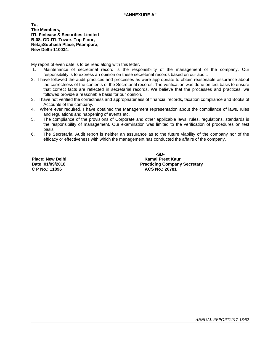**To, The Members, ITL Finlease & Securities Limited B-08, GD-ITL Tower, Top Floor, NetajiSubhash Place, Pitampura, New Delhi-110034**.

My report of even date is to be read along with this letter.

- 1. Maintenance of secretarial record is the responsibility of the management of the company. Our responsibility is to express an opinion on these secretarial records based on our audit.
- 2. I have followed the audit practices and processes as were appropriate to obtain reasonable assurance about the correctness of the contents of the Secretarial records. The verification was done on test basis to ensure that correct facts are reflected in secretarial records. We believe that the processes and practices, we followed provide a reasonable basis for our opinion.
- 3. I have not verified the correctness and appropriateness of financial records, taxation compliance and Books of Accounts of the company.
- 4. Where ever required, I have obtained the Management representation about the compliance of laws, rules and regulations and happening of events etc.
- 5. The compliance of the provisions of Corporate and other applicable laws, rules, regulations, standards is the responsibility of management. Our examination was limited to the verification of procedures on test basis.
- 6. The Secretarial Audit report is neither an assurance as to the future viability of the company nor of the efficacy or effectiveness with which the management has conducted the affairs of the company.

 **-SD-**Place: New Delhi **New York Communist Place: New York Communist Place: New York Communist Preet Kaur Practicing Communist Preet Kaur Practicing Communist Preet Kaur Practicing Communist Preet Kaur Practicing Communist Pract Practicing Company Secretary C P No.: 11896 C P No.: 20781**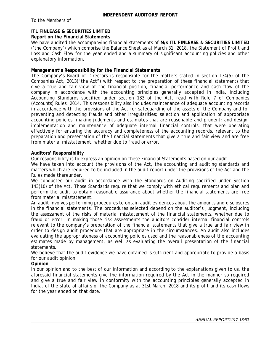To the Members of

# **ITL FINLEASE & SECURITIES LIMITED**

### **Report on the Financial Statements**

We have audited the accompanying financial statements of **M/s ITL FINLEASE & SECURITIES LIMITED**  ('the Company') which comprise the Balance Sheet as at March 31, 2018, the Statement of Profit and Loss and Cash Flow for the year ended and a summary of significant accounting policies and other explanatory information.

# **Management's Responsibility for the Financial Statements**

The Company's Board of Directors is responsible for the matters stated in section 134(5) of the Companies Act, 2013("the Act") with respect to the preparation of these financial statements that give a true and fair view of the financial position, financial performance and cash flow of the company in accordance with the accounting principles generally accepted in India, including Accounting Standards specified under section 133 of the Act, read with Rule 7 of Companies (Accounts) Rules, 2014. This responsibility also includes maintenance of adequate accounting records in accordance with the provisions of the Act for safeguarding of the assets of the Company and for preventing and detecting frauds and other irregularities; selection and application of appropriate accounting policies; making judgments and estimates that are reasonable and prudent; and design. implementation and maintenance of adequate internal financial controls, that were operating effectively for ensuring the accuracy and completeness of the accounting records, relevant to the preparation and presentation of the financial statements that give a true and fair view and are free from material misstatement, whether due to fraud or error.

# **Auditors' Responsibility**

Our responsibility is to express an opinion on these Financial Statements based on our audit.

We have taken into account the provisions of the Act, the accounting and auditing standards and matters which are required to be included in the audit report under the provisions of the Act and the Rules made thereunder.

We conducted our audit in accordance with the Standards on Auditing specified under Section 143(10) of the Act. Those Standards require that we comply with ethical requirements and plan and perform the audit to obtain reasonable assurance about whether the financial statements are free from material misstatement.

An audit involves performing procedures to obtain audit evidences about the amounts and disclosures in the financial statements. The procedures selected depend on the auditor's judgment, including the assessment of the risks of material misstatement of the financial statements, whether due to fraud or error. In making those risk assessments the auditors consider internal financial controls relevant to the company's preparation of the financial statements that give a true and fair view in order to design audit procedure that are appropriate in the circumstances. An audit also includes evaluating the appropriateness of accounting policies used and the reasonableness of the accounting estimates made by management, as well as evaluating the overall presentation of the financial statements.

We believe that the audit evidence we have obtained is sufficient and appropriate to provide a basis for our audit opinion.

#### **Opinion**

In our opinion and to the best of our information and according to the explanations given to us, the aforesaid financial statements give the information required by the Act in the manner so required and give a true and fair view in conformity with the accounting principles generally accepted in India, of the state of affairs of the Company as at 31st March, 2018 and its profit and its cash flows for the year ended on that date.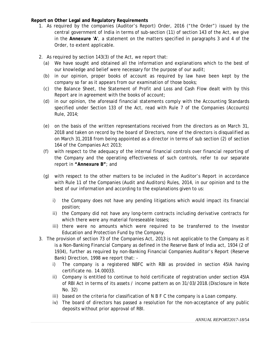# **Report on Other Legal and Regulatory Requirements**

- 1. As required by the companies (Auditor's Report) Order, 2016 ("the Order") issued by the central government of India in terms of sub-section (11) of section 143 of the Act, we give in the **Annexure 'A'**, a statement on the matters specified in paragraphs 3 and 4 of the Order, to extent applicable.
- 2. As required by section 143(3) of the Act, we report that:
	- (a) We have sought and obtained all the information and explanations which to the best of our knowledge and belief were necessary for the purpose of our audit;
	- (b) in our opinion, proper books of account as required by law have been kept by the company so far as it appears from our examination of those books;
	- (c) the Balance Sheet, the Statement of Profit and Loss and Cash Flow dealt with by this Report are in agreement with the books of account;
	- (d) in our opinion, the aforesaid financial statements comply with the Accounting Standards specified under Section 133 of the Act, read with Rule 7 of the Companies (Accounts) Rule, 2014;
	- (e) on the basis of the written representations received from the directors as on March 31, 2018 and taken on record by the board of Directors, none of the directors is disqualified as on March 31,2018 from being appointed as a director in terms of sub section (2) of section 164 of the Companies Act 2013;
	- (f) with respect to the adequacy of the internal financial controls over financial reporting of the Company and the operating effectiveness of such controls, refer to our separate report in **"Annexure B"**; and
	- (g) with respect to the other matters to be included in the Auditor's Report in accordance with Rule 11 of the Companies (Audit and Auditors) Rules, 2014, in our opinion and to the best of our information and according to the explanations given to us:
		- i) the Company does not have any pending litigations which would impact its financial position;
		- ii) the Company did not have any long-term contracts including derivative contracts for which there were any material foreseeable losses;
		- iii) there were no amounts which were required to be transferred to the Investor Education and Protection Fund by the Company.
- 3. The provision of section 73 of the Companies Act, 2013 is not applicable to the Company as it is a Non-Banking Financial Company as defined in the Reserve Bank of India act, 1934 (2 of 1934), further as required by non-Banking Financial Companies Auditor's Report (Reserve Bank) Direction, 1998 we report that:
	- i) The company is a registered NBFC with RBI as provided in section 45IA having certificate no. 14.00033.
	- ii) Company is entitled to continue to hold certificate of registration under section 45IA of RBI Act in terms of its assets / income pattern as on 31/03/2018.(Disclosure in Note No. 32)
	- iii) based on the criteria for classification of N B F C the company is a Loan company.
	- iv) The board of directors has passed a resolution for the non-acceptance of any public deposits without prior approval of RBI.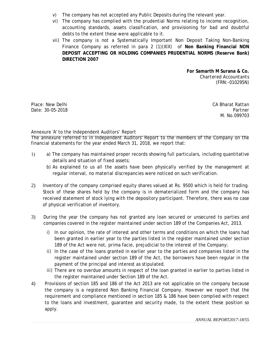- v) The company has not accepted any Public Deposits during the relevant year.
- vi) The company has complied with the prudential Norms relating to income recognition, accounting standards, assets classification, and provisioning for bad and doubtful debts to the extent these were applicable to it.
- vii) The company is not a Systematically Important Non Deposit Taking Non-Banking Finance Company as referred in para 2 (1)(XIX) of **Non Banking Financial NON DEPOSIT ACCEPTING OR HOLDING COMPANIES PRUDENTIAL NORMS (Reserve Bank) DIRECTION 2007**

**For Samarth M Surana & Co.**  *Chartered Accountants*  (FRN:-010295N)

Place: New Delhi Date: 30-05-2018 CA Bharat Rattan *Partner*  M. No.099703

Annexure 'A' to the Independent Auditors' Report

The annexure referred to in Independent Auditors' Report to the members of the Company on the financial statements for the year ended March 31, 2018, we report that:

- 1) a) The company has maintained proper records showing full particulars, including quantitative details and situation of fixed assets;
	- b) As explained to us all the assets have been physically verified by the management at regular interval, no material discrepancies were noticed on such verification.
- 2) Inventory of the company comprised equity shares valued at Rs. 9500 which is held for trading. Stock of these shares held by the company is in dematerialized form and the company has received statement of stock lying with the depository participant. Therefore, there was no case of physical verification of inventory.
- 3) During the year the company has not granted any loan secured or unsecured to parties and companies covered in the register maintained under section 189 of the Companies Act, 2013.
	- i) In our opinion, the rate of interest and other terms and conditions on which the loans had been granted in earlier year to the parties listed in the register maintained under section 189 of the Act were not, prima facie, prejudicial to the interest of the Company;
	- ii) In the case of the loans granted in earlier year to the parties and companies listed in the register maintained under section 189 of the Act, the borrowers have been regular in the payment of the principal and interest as stipulated.
	- iii) There are no overdue amounts in respect of the loan granted in earlier to parties listed in the register maintained under Section 189 of the Act.
- 4) Provisions of section 185 and 186 of the Act 2013 are not applicable on the company because the company is a registered Non Banking Financial Company. However we report that the requirement and compliance mentioned in section 185 & 186 have been complied with respect to the loans and investment, guarantee and security made, to the extent these position so apply.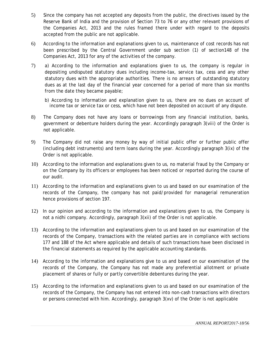- 5) Since the company has not accepted any deposits from the public, the directives issued by the Reserve Bank of India and the provision of Section 73 to 76 or any other relevant provisions of the Companies Act, 2013 and the rules framed there under with regard to the deposits accepted from the public are not applicable.
- 6) According to the information and explanations given to us, maintenance of cost records has not been prescribed by the Central Government under sub section (1) of section148 of the Companies Act, 2013 for any of the activities of the company.
- 7) a) According to the information and explanations given to us, the company is regular in depositing undisputed statutory dues including income-tax, service tax, cess and any other statutory dues with the appropriate authorities. There is no arrears of outstanding statutory dues as at the last day of the financial year concerned for a period of more than six months from the date they became payable;
	- b) According to information and explanation given to us, there are no dues on account of income tax or service tax or cess, which have not been deposited on account of any dispute.
- 8) The Company does not have any loans or borrowings from any financial institution, banks, government or debenture holders during the year. Accordingly paragraph 3(viii) of the Order is not applicable.
- 9) The Company did not raise any money by way of initial public offer or further public offer (including debt instruments) and term loans during the year. Accordingly paragraph 3(ix) of the Order is not applicable.
- 10) According to the information and explanations given to us, no material fraud by the Company or on the Company by its officers or employees has been noticed or reported during the course of our audit.
- 11) According to the information and explanations given to us and based on our examination of the records of the Company, the company has not paid/provided for managerial remuneration hence provisions of section 197.
- 12) In our opinion and according to the information and explanations given to us, the Company is not a nidhi company. Accordingly, paragraph 3(xii) of the Order is not applicable.
- 13) According to the information and explanations given to us and based on our examination of the records of the Company, transactions with the related parties are in compliance with sections 177 and 188 of the Act where applicable and details of such transactions have been disclosed in the financial statements as required by the applicable accounting standards.
- 14) According to the information and explanations give to us and based on our examination of the records of the Company, the Company has not made any preferential allotment or private placement of shares or fully or partly convertible debentures during the year.
- 15) According to the information and explanations given to us and based on our examination of the records of the Company, the Company has not entered into non-cash transactions with directors or persons connected with him. Accordingly, paragraph 3(xv) of the Order is not applicable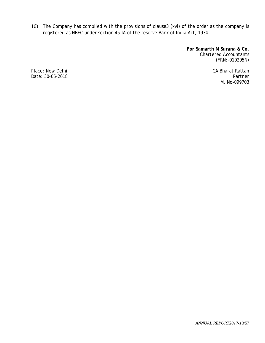16) The Company has complied with the provisions of clause3 (xvi) of the order as the company is registered as NBFC under section 45-IA of the reserve Bank of India Act, 1934.

> **For Samarth M Surana & Co.**  *Chartered Accountants*  (FRN:-010295N)

Place: New Delhi Date: 30-05-2018 CA Bharat Rattan *Partner*  M. No-099703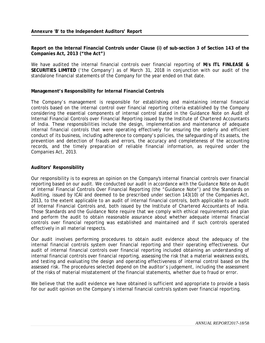**Report on the Internal Financial Controls under Clause (i) of sub-section 3 of Section 143 of the Companies Act, 2013 ("the Act")** 

We have audited the internal financial controls over financial reporting of **M/s ITL FINLEASE & SECURITIES LIMITED** ('the Company') as of March 31, 2018 in conjunction with our audit of the standalone financial statements of the Company for the year ended on that date.

# **Management's Responsibility for Internal Financial Controls**

The Company's management is responsible for establishing and maintaining internal financial controls based on the internal control over financial reporting criteria established by the Company considering the essential components of internal control stated in the Guidance Note on Audit of Internal Financial Controls over Financial Reporting issued by the Institute of Chartered Accountants of India. These responsibilities include the design, implementation and maintenance of adequate internal financial controls that were operating effectively for ensuring the orderly and efficient conduct of its business, including adherence to company's policies, the safeguarding of its assets, the prevention and detection of frauds and errors, the accuracy and completeness of the accounting records, and the timely preparation of reliable financial information, as required under the Companies Act, 2013.

#### **Auditors' Responsibility**

Our responsibility is to express an opinion on the Company's internal financial controls over financial reporting based on our audit. We conducted our audit in accordance with the Guidance Note on Audit of Internal Financial Controls Over Financial Reporting (the "Guidance Note") and the Standards on Auditing, issued by ICAI and deemed to be prescribed under section 143(10) of the Companies Act, 2013, to the extent applicable to an audit of internal financial controls, both applicable to an audit of Internal Financial Controls and, both issued by the Institute of Chartered Accountants of India. Those Standards and the Guidance Note require that we comply with ethical requirements and plan and perform the audit to obtain reasonable assurance about whether adequate internal financial controls over financial reporting was established and maintained and if such controls operated effectively in all material respects.

Our audit involves performing procedures to obtain audit evidence about the adequacy of the internal financial controls system over financial reporting and their operating effectiveness. Our audit of internal financial controls over financial reporting included obtaining an understanding of internal financial controls over financial reporting, assessing the risk that a material weakness exists, and testing and evaluating the design and operating effectiveness of internal control based on the assessed risk. The procedures selected depend on the auditor's judgement, including the assessment of the risks of material misstatement of the financial statements, whether due to fraud or error.

We believe that the audit evidence we have obtained is sufficient and appropriate to provide a basis for our audit opinion on the Company's internal financial controls system over financial reporting.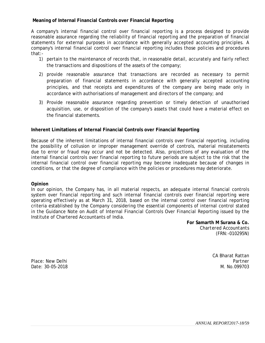# **Meaning of Internal Financial Controls over Financial Reporting**

A company's internal financial control over financial reporting is a process designed to provide reasonable assurance regarding the reliability of financial reporting and the preparation of financial statements for external purposes in accordance with generally accepted accounting principles. A company's internal financial control over financial reporting includes those policies and procedures that:-

- 1) pertain to the maintenance of records that, in reasonable detail, accurately and fairly reflect the transactions and dispositions of the assets of the company;
- 2) provide reasonable assurance that transactions are recorded as necessary to permit preparation of financial statements in accordance with generally accepted accounting principles, and that receipts and expenditures of the company are being made only in accordance with authorisations of management and directors of the company; and
- 3) Provide reasonable assurance regarding prevention or timely detection of unauthorised acquisition, use, or disposition of the company's assets that could have a material effect on the financial statements.

# **Inherent Limitations of Internal Financial Controls over Financial Reporting**

Because of the inherent limitations of internal financial controls over financial reporting, including the possibility of collusion or improper management override of controls, material misstatements due to error or fraud may occur and not be detected. Also, projections of any evaluation of the internal financial controls over financial reporting to future periods are subject to the risk that the internal financial control over financial reporting may become inadequate because of changes in conditions, or that the degree of compliance with the policies or procedures may deteriorate.

#### **Opinion**

In our opinion, the Company has, in all material respects, an adequate internal financial controls system over financial reporting and such internal financial controls over financial reporting were operating effectively as at March 31, 2018, based on the internal control over financial reporting criteria established by the Company considering the essential components of internal control stated in the Guidance Note on Audit of Internal Financial Controls Over Financial Reporting issued by the Institute of Chartered Accountants of India.

> **For Samarth M Surana & Co.**  *Chartered Accountants*  (FRN:-010295N)

Place: New Delhi Date: 30-05-2018 CA Bharat Rattan *Partner*  M. No.099703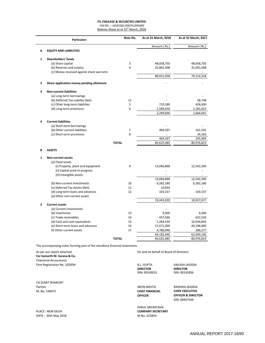CIN NO. :‐ L65910DL1991PLC045090

Balance Sheet as at 31<sup>st</sup> March, 2018

|              |                                           |                | Amount (Rs.) | Amount (Rs.) |
|--------------|-------------------------------------------|----------------|--------------|--------------|
| А            | <b>EQUITY AND LIABILITIES</b>             |                |              |              |
| 1            | <b>Shareholders' funds</b>                |                |              |              |
|              | (a) Share capital                         | 3              | 48,058,750   | 48,058,750   |
|              | (b) Reserves and surplus                  | $\overline{a}$ | 32,862,308   | 31,055,568   |
|              | (c) Money received against share warrants |                |              |              |
|              |                                           |                | 80,921,058   | 79,114,318   |
| 2            | Share application money pending allotment |                |              |              |
| 3            | <b>Non-current liabilities</b>            |                |              |              |
|              | (a) Long-term borrowings                  |                |              |              |
|              | (b) Deferred Tax Liability (Net)          | 11             |              | 58,748       |
|              | (c) Other long-term liabilities           | 5              | 710,180      | 426,830      |
|              | (d) Long-term provisions                  | 6              | 1,589,650    | 1,181,023    |
|              |                                           |                | 2,299,830    | 1,666,601    |
|              | <b>Current liabilities</b>                |                |              |              |
|              | (a) Short-term borrowings                 |                |              |              |
|              | (b) Other current liabilities             | 7              | 404,597      | 161,541      |
|              | (c) Short-term provisions                 | 8              |              | 34,363       |
|              |                                           |                | 404,597      | 195,904      |
|              |                                           | <b>TOTAL</b>   | 83,625,485   | 80,976,823   |
| В            | <b>ASSETS</b>                             |                |              |              |
| 1            | <b>Non-current assets</b>                 |                |              |              |
|              | (a) Fixed assets                          |                |              |              |
|              | (i) Property, plant and equipment         | 9              | 13,046,868   | 12,542,340   |
|              | (ii) Capital work-in-progress             |                |              |              |
|              | (iii) Intangible assets                   |                |              |              |
|              |                                           |                | 13,046,868   | 12,542,340   |
|              | (b) Non-current investments               | 10             | 6,282,180    | 6,282,180    |
|              | (c) Deferred Tax Assets (Net)             | 11             | 10,834       |              |
|              | (d) Long-term loans and advances          | 12             | 103,157      | 103,157      |
|              | (e) Other non-current assets              |                | $\sim$       |              |
|              |                                           |                | 19,443,039   | 18,927,677   |
| $\mathbf{2}$ | <b>Current assets</b>                     |                |              |              |
|              | (a) Current investments                   |                |              |              |
|              | (b) Inventories                           | 13             | 9,500        | 9,500        |
|              | (c) Trade receivables                     | 14             | 437,566      | 622,526      |
|              | (d) Cash and cash equivalents             | 15             | 1,284,334    | 16,934,843   |
|              | (e) Short-term loans and advances         | 16             | 57,671,000   | 44,196,000   |
|              | (f) Other current assets                  | 17             | 4,780,046    | 286,277      |
|              |                                           |                | 64,182,446   | 62,049,146   |
|              |                                           | <b>TOTAL</b>   | 83,625,485   | 80,976,823   |

**For Samarth M. Surana & Co.** Firm Registration No. 10295N Chartered Accountants

CA SUMIT BHARUNT Partner ARUN MEHTA RADHIKA JAJODIA RADHIKA RADHIKA RADHIKA JAJODIA M. No. 538472 **CHIEF FINANCIAL**

DATE : 30th May 2018

As per our report attached. The state of  $\sim$  60 and on behalf of Board of Directors

B.L. GUPTA KAILASH JAJODIA<br> **DIRECTOR DIRECTOR DIRECTOR DIRECTOR**<br>DIN: 00143031 **DIN: 00142836** DIN: 00143031

**OFFICER**

**CHIEF EXECUTIVE OFFICER & DIRECTOR** DIN: 06957544

PARUL SRIVASTAVA PLACE : NEW DELHI **COMPANY SECRETARY** M.No. A25854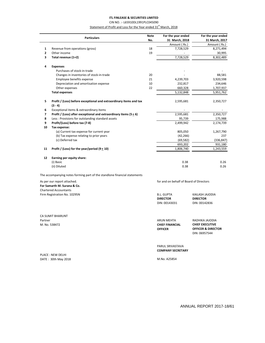CIN NO. :‐ L65910DL1991PLC045090 Statement of Profit and Loss for the Year ended 31<sup>st</sup> March, 2018

|              |                                                                                 | <b>Note</b> | For the year ended                           | For the year ended                                                       |
|--------------|---------------------------------------------------------------------------------|-------------|----------------------------------------------|--------------------------------------------------------------------------|
|              | <b>Particulars</b>                                                              | No.         | 31 March, 2018                               | 31 March, 2017                                                           |
|              |                                                                                 |             | Amount (Rs.)                                 | Amount (Rs.)                                                             |
| 1            | Revenue from operations (gross)                                                 | 18          | 7,728,529                                    | 8,271,494                                                                |
| $\mathbf{z}$ | Other income                                                                    | 19          |                                              | 30,995                                                                   |
| 3            | Total revenue (1+2)                                                             |             | 7,728,529                                    | 8,302,489                                                                |
| 4            | <b>Expenses</b>                                                                 |             |                                              |                                                                          |
|              | Purchases of stock-in-trade                                                     |             |                                              |                                                                          |
|              | Changes in inventories of stock-in-trade                                        | 20          |                                              | 88,581                                                                   |
|              | Employee benefits expense                                                       | 21          | 4,239,703                                    | 3,920,598                                                                |
|              | Depreciation and amortisation expense                                           | 10          | 232,817                                      | 234,646                                                                  |
|              | Other expenses                                                                  | 22          | 660,328                                      | 1,707,937                                                                |
|              | <b>Total expenses</b>                                                           |             | 5,132,848                                    | 5,951,762                                                                |
| 5            | Profit / (Loss) before exceptional and extraordinary items and tax<br>$(3 - 4)$ |             | 2,595,681                                    | 2,350,727                                                                |
| 6            | Exceptional items & extraordinary items                                         |             |                                              |                                                                          |
| 7            | Profit / (Loss) after exceptional and extraordinary items $(5 + 6)$             |             | 2,595,681                                    | 2,350,727                                                                |
| 8            | Less: Provisions for outstanding standard assets                                |             | 95,739                                       | 175,988                                                                  |
| 9            | Profit/(Loss) before tax (7-8)                                                  |             | 2,499,942                                    | 2,174,739                                                                |
| 10           | Tax expense:                                                                    |             |                                              |                                                                          |
|              | (a) Current tax expense for current year                                        |             | 805,050                                      | 1,267,790                                                                |
|              | (b) Tax expense relating to prior years                                         |             | (42, 266)                                    | 237                                                                      |
|              | (c) Deferred tax                                                                |             | (69, 582)                                    | (336, 847)                                                               |
|              |                                                                                 |             | 693,202                                      | 931,180                                                                  |
| 11           | Profit / (Loss) for the year/period $(9 + 10)$                                  |             | 1,806,740                                    | 1,243,559                                                                |
| 12           | Earning per equity share:                                                       |             |                                              |                                                                          |
|              | (i) Basic                                                                       |             | 0.38                                         | 0.26                                                                     |
|              | (ii) Diluted                                                                    |             | 0.38                                         | 0.26                                                                     |
|              | The accompanying notes forming part of the standlone financial statements       |             |                                              |                                                                          |
|              | As per our report attached.                                                     |             | for and on behalf of Board of Directors      |                                                                          |
|              | For Samarth M. Surana & Co.                                                     |             |                                              |                                                                          |
|              | <b>Chartered Accountants</b>                                                    |             |                                              |                                                                          |
|              | Firm Registration No. 10295N                                                    |             | <b>B.L. GUPTA</b>                            | KAILASH JAJODIA                                                          |
|              |                                                                                 |             | <b>DIRECTOR</b>                              | <b>DIRECTOR</b>                                                          |
|              |                                                                                 |             | DIN: 00143031                                | DIN: 00142836                                                            |
|              |                                                                                 |             |                                              |                                                                          |
|              | <b>CA SUMIT BHARUNT</b>                                                         |             |                                              |                                                                          |
| Partner      |                                                                                 |             | <b>ARUN MEHTA</b>                            | RADHIKA JAJODIA                                                          |
|              | M. No. 538472                                                                   |             | <b>CHIEF FINANCIAL</b><br><b>OFFICER</b>     | <b>CHIEF EXECUTIVE</b><br><b>OFFICER &amp; DIRECTOR</b><br>DIN: 06957544 |
|              |                                                                                 |             | PARUL SRIVASTAVA<br><b>COMPANY SECRETARY</b> |                                                                          |
|              | <b>PLACE: NEW DELHI</b>                                                         |             |                                              |                                                                          |
|              | DATE: 30th May 2018                                                             |             | M.No. A25854                                 |                                                                          |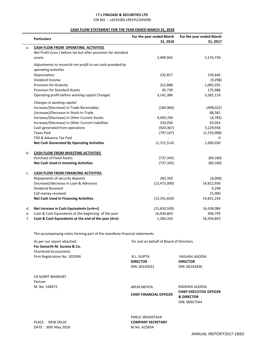CIN NO. :‐ L65910DL1991PLC045090

#### **CASH FLOW STATEMENT FOR THE YEAR ENDED MARCH 31, 2018**

|    | <b>Particulars</b>                                            | For the year ended March | For the year ended March |
|----|---------------------------------------------------------------|--------------------------|--------------------------|
|    |                                                               | 31, 2018                 | 31, 2017                 |
| a. | CASH FLOW FROM OPERATING ACTIVITIES                           |                          |                          |
|    | Net Profit (Loss) before tax but after provision for standard |                          |                          |
|    | assets                                                        | 2,499,942                | 2,174,739                |
|    | Adjustments to reconcile net profit to net cash provided by   |                          |                          |
|    | operating activities                                          |                          |                          |
|    | Depreciation                                                  | 232,817                  | 234,646                  |
|    | Dividend Income                                               |                          | (9, 298)                 |
|    | Provision for Gratuity                                        | 312,888                  | 1,005,035                |
|    | <b>Provision for Standard Assets</b>                          | 95,739                   | 175,988                  |
|    | Operating profit before working capital Changes               | 3,141,386                | 3,581,110                |
|    | Changes in working capital                                    |                          |                          |
|    | Increase/(Decrease) in Trade Receivables                      | (184, 960)               | (498, 022)               |
|    | (Increase)/Decrease in Stock-in-Trade                         |                          | 88,581                   |
|    | Increase/(Decrease) in Other Current Assets                   | 4,493,769                | (4, 785)                 |
|    | Increase/(Decrease) in Other Current Liabilities              | 243,056                  | 63,054                   |
|    | Cash generated from operations                                | (924, 367)               | 3,229,938                |
|    | <b>Taxes Paid</b>                                             | (797, 147)               | (1,533,908)              |
|    | TDS & Advance Tax Paid                                        |                          | 0                        |
|    | <b>Net Cash Generated By Operating Activities</b>             | (1,721,514)              | 1,696,030                |
| b. | <b>CASH FLOW FROM INVESTING ACTIVITIES</b>                    |                          |                          |
|    | <b>Purchase of Fixed Assets</b>                               | (737, 345)               | (89, 180)                |
|    | <b>Net Cash Used In Investing Activities</b>                  | (737, 345)               | (89, 180)                |
| c. | CASH FLOW FROM FINANCING ACTIVITIES                           |                          |                          |
|    | Repayments of security deposits                               | 283,350                  | (6,000)                  |
|    | (Increase)/decrease in Loan & Advances                        | (13, 475, 000)           | 14,812,936               |
|    | Dividend Received                                             |                          | 9,298                    |
|    | Call money received                                           |                          | 15,000                   |
|    | <b>Net Cash Used In Financing Activities</b>                  | (13, 191, 650)           | 14,831,234               |
| d. | Net Increase in Cash Equivalents (a+b+c)                      | (15,650,509)             | 16,438,084               |
| e. | Cash & Cash Equivalents at the beginning of the year          | 16,934,843               | 496,759                  |
| f. | Cash & Cash Equivalents at the end of the year (d+e)          | 1,284,334                | 16,934,843               |
|    |                                                               |                          |                          |

The accompanying notes forming part of the standlone financial statements

| As per our report attached.<br>For Samarth M. Surana & Co. | for and on behalf of Board of Directors |                 |  |
|------------------------------------------------------------|-----------------------------------------|-----------------|--|
| <b>Chartered Accountants</b>                               |                                         |                 |  |
| Firm Registration No. 10295N                               | <b>B.L. GUPTA</b>                       | KAILASH JAJODIA |  |
|                                                            | <b>DIRECTOR</b>                         | <b>DIRECTOR</b> |  |
|                                                            | DIN: 00143031                           | DIN: 00142836   |  |
| CA SUMIT BHARUNT                                           |                                         |                 |  |

Partner M. No. 538472 ARUN MEHTA RADHIKA JAJODIA

**CHIEF FINANCIAL OFFICER**

**CHIEF EXECUTIVE OFFICER & DIRECTOR** DIN: 06957544

PARUL SRIVASTAVA PLACE : NEW DELHI **COMPANY SECRETARY**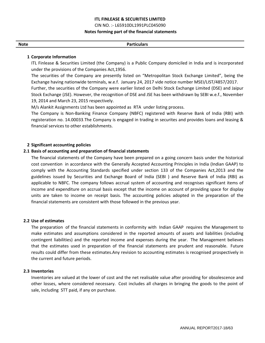#### CIN NO. :‐ L65910DL1991PLC045090

#### **Notes forming part of the financial statements**

#### **Note** Particulars

#### **1 Corporate Information**

ITL Finlease & Securities Limited (the Company) is a Public Company domiciled in India and is incorporated under the provisions of the Companies Act,1956.

The securities of the Company are presently listed on "Metropolitan Stock Exchange Limited", being the Exchange having nationwide terminals, w.e.f. January 24, 2017 vide notice number MSEI/LIST/4857/2017. Further, the securities of the Company were earlier listed on Delhi Stock Exchange Limited (DSE) and Jaipur Stock Exchange (JSE). However, the recognition of DSE and JSE has been withdrawn by SEBI w.e.f., November 19, 2014 and March 23, 2015 respectively.

M/s Alankit Assignments Ltd has been appointed as RTA under listing process.

The Company is Non‐Banking Finance Company (NBFC) registered with Reserve Bank of India (RBI) with registeration no. 14.00033.The Company is engaged in trading in securites and provides loans and leasing & financial services to other establishments.

#### **2 Significant accounting policies**

#### **2.1 Basis of accounting and preparation of financial statements**

The financial statements of the Company have been prepared on a going concern basis under the historical cost convention in accordance with the Generally Accepted Accounting Principles in India (Indian GAAP) to comply with the Accounting Standards specified under section 133 of the Companies Act,2013 and the guidelines issued by Securities and Exchange Board of India (SEBI ) and Reserve Bank of India (RBI) as applicable to NBFC. The company follows accrual system of accounting and recognises significant items of income and expenditure on accrual basis except that the income on account of providing space for display units are taken to income on receipt basis. The accounting policies adopted in the preparation of the financial statements are consistent with those followed in the previous year.

#### **2.2 Use of estimates**

The preparation of the financial statements in conformity with Indian GAAP requires the Management to make estimates and assumptions considered in the reported amounts of assets and liabilities (including contingent liabilities) and the reported income and expenses during the year. The Management believes that the estimates used in preparation of the financial statements are prudent and reasonable. Future results could differ from these estimates.Any revision to accounting estimates is recognised prospectively in the current and future periods.

#### **2.3 Inventories**

Inventories are valued at the lower of cost and the net realisable value after providing for obsolescence and other losses, where considered necessary. Cost includes all charges in bringing the goods to the point of sale, including STT paid, if any on purchase.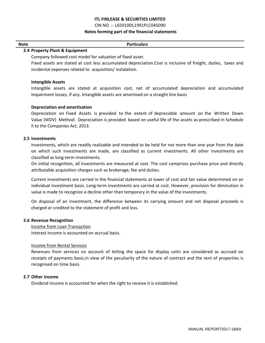#### CIN NO. :‐ L65910DL1991PLC045090

#### **Notes forming part of the financial statements**

# **Note** Particulars

#### **2.4 Property Plant & Equipment**

Company followed cost model for valuation of fixed asset.

Fixed assets are stated at cost less accumulated depreciation.Cost is inclusive of freight, duties, taxes and incidental expenses related to acquisition/ instalation.

#### **Intangible Assets**

Intangible assets are stated at acquisition cost, net of accumulated depreciation and accumulated impairment losses, if any. Intangible assets are amortised on a straight line basis

#### **Depreciation and amortisation**

Depreciation on Fixed Assets is provided to the extent of depreciable amount on the Written Down Value (WDV) Method. Depreciation is provided based on useful life of the assets as prescribed in Schedule II to the Companies Act, 2013.

#### **2.5 Investments**

Investments, which are readily realizable and intended to be held for not more than one year from the date on which such investments are made, are classified as current investments. All other investments are classified as long‐term investments.

On initial recognition, all investments are measured at cost. The cost comprises purchase price and directly attributable acquisition charges such as brokerage, fee and duties.

Current investments are carried in the financial statements at lower of cost and fair value determined on an individual investment basis. Long-term investments are carried at cost. However, provision for diminution in value is made to recognize a decline other than temporary in the value of the investments.

On disposal of an investment, the difference between its carrying amount and net disposal proceeds is charged or credited to the statement of profit and loss.

#### **2.6 Revenue Recognition**

Income from Loan Transaction Interest income is accounted on accrual basis.

#### Income from Rental Services

Revenues from services on account of letting the space for display units are considered as accrued on receipts of payments basis,in view of the peculiarity of the nature of contract and the rent of properties is recognised on time basis.

#### **2.7 Other income**

Dividend income is accounted for when the right to receive it is established.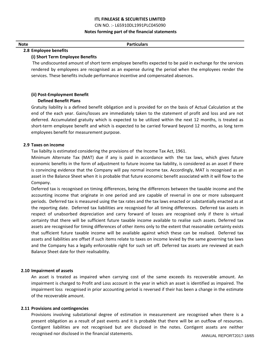#### CIN NO. :‐ L65910DL1991PLC045090

#### **Notes forming part of the financial statements**

| <b>Note</b> | <b>Particulars</b><br>- - - - |
|-------------|-------------------------------|
|             |                               |

#### **2.8 Employee benefits**

#### **(i) Short Term Employee Benefits**

The undiscounted amount of short term employee benefits expected to be paid in exchange for the services rendered by employees are recognised as an expense during the period when the employees render the services. These benefits include performance incentive and compensated absences.

# **(ii) Post‐Employment Benefit**

#### **Defined Benefit Plans**

Gratuity liability is a defined benefit obligation and is provided for on the basis of Actual Calculation at the end of the each year. Gains/losses are immediately taken to the statement of profit and loss and are not deferred. Accumulated gratuity which is expected to be utilized within the next 12 months, is treated as short-term employee benefit and which is expected to be carried forward beyond 12 months, as long term employees benefit for measurement purpose.

#### **2.9 Taxes on income**

Tax liabilty is estimated considering the provisions of the Income Tax Act, 1961.

Minimum Alternate Tax (MAT) due if any is paid in accordance with the tax laws, which gives future economic benefits in the form of adjustment to future income tax liability, is considered as an asset if there is convincing evidence that the Company will pay normal income tax. Accordingly, MAT is recognised as an asset in the Balance Sheet when it is probable that future economic benefit associated with it will flow to the Company.

Deferred tax is recognised on timing differences, being the differences between the taxable income and the accounting income that originate in one period and are capable of reversal in one or more subsequent periods. Deferred tax is measured using the tax rates and the tax laws enacted or substantially enacted as at the reporting date. Deferred tax liabilities are recognised for all timing differences. Deferred tax assets in respect of unabsorbed depreciation and carry forward of losses are recognised only if there is virtual certainty that there will be sufficient future taxable income available to realise such assets. Deferred tax assets are recognised for timing differences of other items only to the extent that reasonable certainty exists that sufficient future taxable income will be available against which these can be realised. Deferred tax assets and liabilities are offset if such items relate to taxes on income levied by the same governing tax laws and the Company has a legally enforceable right for such set off. Deferred tax assets are reviewed at each Balance Sheet date for their realisability.

#### **2.10 Impairment of assets**

An asset is treated as impaired when carrying cost of the same exceeds its recoverable amount. An impairment is charged to Profit and Loss account in the year in which an asset is identified as impaired. The impairment loss recognised in prior accounting period is reversed if their has been a change in the estimate of the recoverable amount.

#### **2.11 Provisions and contingencies**

Provisions involving substational degree of estimation in measurement are recognised when there is a present obligation as a result of past events and it is probable that there will be an outflow of resourses. Contigent liabilities are not recognised but are disclosed in the notes. Contigent assets are neither recognised nor disclosed in the financial statements.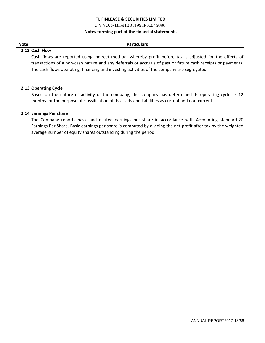#### CIN NO. :‐ L65910DL1991PLC045090

#### **Notes forming part of the financial statements**

# **Note** Particulars

# **2.12 Cash Flow**

Cash flows are reported using indirect method, whereby profit before tax is adjusted for the effects of transactions of a non‐cash nature and any deferrals or accruals of past or future cash receipts or payments. The cash flows operating, financing and investing activities of the company are segregated.

#### **2.13 Operating Cycle**

Based on the nature of activity of the company, the company has determined its operating cycle as 12 months for the purpose of classification of its assets and liabilities as current and non‐current.

#### **2.14 Earnings Per share**

The Company reports basic and diluted earnings per share in accordance with Accounting standard‐20 Earnings Per Share. Basic earnings per share is computed by dividing the net profit after tax by the weighted average number of equity shares outstanding during the period.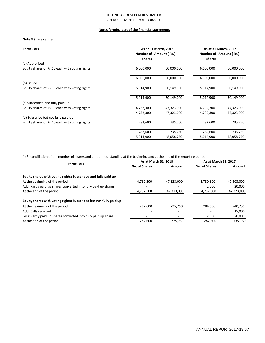CIN NO. :‐ L65910DL1991PLC045090

#### **Notes forming part of the financial statements**

#### **Note 3 Share capital**

|           | As at 31 March, 2017 |                                                |                        |
|-----------|----------------------|------------------------------------------------|------------------------|
|           |                      |                                                |                        |
| shares    |                      | shares                                         |                        |
|           |                      |                                                |                        |
| 6,000,000 | 60,000,000           | 6,000,000                                      | 60,000,000             |
| 6,000,000 | 60,000,000           | 6,000,000                                      | 60,000,000             |
|           |                      |                                                |                        |
| 5,014,900 | 50,149,000           | 5,014,900                                      | 50,149,000             |
| 5,014,900 | 50,149,000           | 5,014,900                                      | 50,149,000             |
|           |                      |                                                |                        |
| 4,732,300 | 47,323,000           | 4,732,300                                      | 47,323,000             |
| 4,732,300 | 47,323,000           | 4,732,300                                      | 47,323,000             |
|           |                      |                                                |                        |
| 282,600   | 735,750              | 282,600                                        | 735,750                |
| 282,600   | 735,750              | 282,600                                        | 735,750                |
| 5,014,900 | 48,058,750           | 5,014,900                                      | 48,058,750             |
|           |                      | As at 31 March, 2018<br>Number of Amount (Rs.) | Number of Amount (Rs.) |

(i) Reconciliation of the number of shares and amount outstanding at the beginning and at the end of the reporting period:

| <b>Particulars</b>                                                 |                      | As at March 31, 2018 |                      | As at March 31, 2017 |  |
|--------------------------------------------------------------------|----------------------|----------------------|----------------------|----------------------|--|
|                                                                    | <b>No. of Shares</b> | Amount               | <b>No. of Shares</b> | Amount               |  |
| Equity shares with voting rights: Subscribed and fully paid up     |                      |                      |                      |                      |  |
| At the beginning of the period                                     | 4,732,300            | 47,323,000           | 4,730,300            | 47,303,000           |  |
| Add: Partly paid up shares converted into fully paid up shares     |                      |                      | 2,000                | 20,000               |  |
| At the end of the period                                           | 4,732,300            | 47,323,000           | 4,732,300            | 47,323,000           |  |
| Equity shares with voting rights: Subscribed but not fully paid up |                      |                      |                      |                      |  |
| At the beginning of the period                                     | 282.600              | 735.750              | 284.600              | 740,750              |  |
| Add: Calls received                                                |                      |                      |                      | 15,000               |  |
| Less: Partly paid up shares converted into fully paid up shares    |                      |                      | 2,000                | 20,000               |  |
| At the end of the period                                           | 282.600              | 735,750              | 282,600              | 735,750              |  |
|                                                                    |                      |                      |                      |                      |  |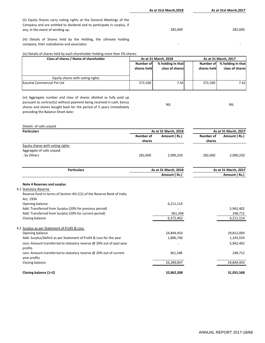|                                                                                                                                                                                                                                                                                     |                                 | As at 31st March, 2018               |                          | As at 31st March, 2017               |
|-------------------------------------------------------------------------------------------------------------------------------------------------------------------------------------------------------------------------------------------------------------------------------------|---------------------------------|--------------------------------------|--------------------------|--------------------------------------|
| (ii) Equity Shares carry voting rights at the General Meetings of the<br>Company and are entitled to dividend and to participate in surplus, if<br>any, in the event of winding up.                                                                                                 |                                 | 282,600                              |                          | 282,600                              |
| (iii) Details of Shares held by the Holding, the ultimate holding<br>company, their subsidiaries and associates:                                                                                                                                                                    |                                 |                                      |                          |                                      |
| (iv) Details of shares held by each shareholder holding more than 5% shares:                                                                                                                                                                                                        |                                 |                                      |                          |                                      |
| Class of shares / Name of shareholder                                                                                                                                                                                                                                               |                                 | As at 31 March, 2018                 |                          | As at 31 March, 2017                 |
|                                                                                                                                                                                                                                                                                     | <b>Number of</b><br>shares held | % holding in that<br>class of shares | Number of<br>shares held | % holding in that<br>class of shares |
| Equity shares with voting rights                                                                                                                                                                                                                                                    |                                 |                                      |                          |                                      |
| Kaushal Commercial Pvt Ltd                                                                                                                                                                                                                                                          | 372,100                         | 7.42                                 | 372,100                  | 7.42                                 |
| (vi) Aggregate number and class of shares allotted as fully paid up<br>pursuant to contract(s) without payment being received in cash, bonus<br>shares and shares bought back for the period of 5 years immediately<br>preceding the Balance Sheet date:                            |                                 | <b>NIL</b>                           |                          | <b>NIL</b>                           |
| Details of calls unpaid                                                                                                                                                                                                                                                             |                                 |                                      |                          |                                      |
| <b>Particulars</b>                                                                                                                                                                                                                                                                  | Number of                       | As at 31 March, 2018<br>Amount (Rs.) | Number of                | As at 31 March, 2017<br>Amount (Rs.) |
|                                                                                                                                                                                                                                                                                     | shares                          |                                      | shares                   |                                      |
| Equity shares with voting rights<br>Aggregate of calls unpaid                                                                                                                                                                                                                       |                                 |                                      |                          |                                      |
| - by Others                                                                                                                                                                                                                                                                         | 282,600                         | 2,090,250                            | 282,600                  | 2,090,250                            |
| <b>Particulars</b>                                                                                                                                                                                                                                                                  |                                 | As at 31 March, 2018                 |                          | As at 31 March, 2017                 |
|                                                                                                                                                                                                                                                                                     |                                 | Amount (Rs.)                         |                          | Amount (Rs.)                         |
| Note 4 Reserves and surplus<br>4.1 Statutory Reserve<br>Reserve fund in terms of Section 45I C(1) of the Reserve Bank of India<br>Act, 1934<br>Opening balance<br>Add: Transferred from Surplus (20% for previous period)<br>Add: Transferred from Surplus (20% for current period) |                                 | 6,211,114<br>361,348                 |                          | 5,962,402<br>248,712                 |
| Closing balance                                                                                                                                                                                                                                                                     |                                 | 6,572,462                            |                          | 6,211,114                            |
| 4.2 Surplus as per Statement of Profit & Loss<br>Opening balance                                                                                                                                                                                                                    |                                 | 24,844,454                           |                          | 29,812,009                           |
| Add: Surplus/Deficit as per Statement of Profit & Loss for the year                                                                                                                                                                                                                 |                                 | 1,806,740                            |                          | 1,243,559                            |
| Less: Amount transferred to statutory reserve @ 20% out of past year<br>profits                                                                                                                                                                                                     |                                 |                                      |                          | 5,962,402                            |
| Less: Amount transferred to statutory reserve @ 20% out of current<br>year profits                                                                                                                                                                                                  |                                 | 361,348                              |                          | 248,712                              |
| Closing balance                                                                                                                                                                                                                                                                     |                                 | 26,289,847                           |                          | 24,844,454                           |
| Closing balance (1+2)                                                                                                                                                                                                                                                               |                                 | 32,862,308                           |                          | 31,055,568                           |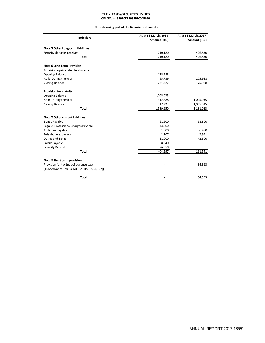#### **ITL FINLEASE & SECURITIES LIMITED CIN NO. :‐ L65910DL1991PLC045090**

**Notes forming part of the financial statements**

| <b>Particulars</b>                             | As at 31 March, 2018 | As at 31 March, 2017 |
|------------------------------------------------|----------------------|----------------------|
|                                                | Amount (Rs.)         | Amount (Rs.)         |
| Note 5 Other Long-term liabilities             |                      |                      |
| Security deposits received                     | 710,180              | 426,830              |
| Total                                          | 710,180              | 426,830              |
|                                                |                      |                      |
| Note 6 Long Term Provision                     |                      |                      |
| Provision against standard assets              |                      |                      |
| <b>Opening Balance</b>                         | 175,988              |                      |
| Add:- During the year                          | 95,739               | 175,988              |
| <b>Closing Balance</b>                         | 271,727              | 175,988              |
| <b>Provision for gratuity</b>                  |                      |                      |
| <b>Opening Balance</b>                         | 1,005,035            |                      |
| Add:- During the year                          | 312,888              | 1,005,035            |
| <b>Closing Balance</b>                         | 1,317,923            | 1,005,035            |
| <b>Total</b>                                   | 1,589,650            | 1,181,023            |
| Note 7 Other current liabilities               |                      |                      |
| <b>Bonus Payable</b>                           | 61,600               | 58,800               |
| Legal & Professional charges Payable           | 43,200               |                      |
| Audit fee payable                              | 51,000               | 56,950               |
| Telephone expenses                             | 2,207                | 2,991                |
| <b>Duties and Taxes</b>                        | 11,900               | 42,800               |
| Salary Payable                                 | 158,040              |                      |
| <b>Security Deposit</b>                        | 76,650               |                      |
| <b>Total</b>                                   |                      | 161,541              |
|                                                | 404,597              |                      |
| Note 8 Short term provisions                   |                      |                      |
| Provision for tax (net of advance tax)         |                      | 34,363               |
| [TDS/Advance Tax Rs. Nil (P.Y. Rs. 12,33,427)] |                      |                      |
| <b>Total</b>                                   |                      | 34,363               |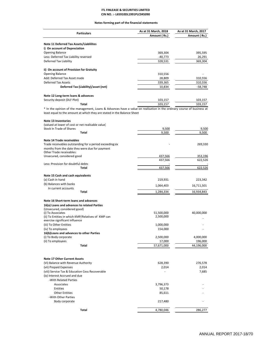# **ITL FINLEASE & SECURITIES LIMITED CIN NO. :‐ L65910DL1991PLC045090**

| <b>Particulars</b>                                                                                                                                                                                | As at 31 March, 2018 | As at 31 March, 2017 |
|---------------------------------------------------------------------------------------------------------------------------------------------------------------------------------------------------|----------------------|----------------------|
|                                                                                                                                                                                                   | Amount (Rs.)         | Amount (Rs.)         |
| Note 11 Deferred Tax Assets/Liablilites                                                                                                                                                           |                      |                      |
| i) On account of Depreciation                                                                                                                                                                     |                      |                      |
| <b>Opening Balance</b>                                                                                                                                                                            | 369,304              | 395,595              |
| Less: Deferred Tax Liability reversed                                                                                                                                                             | $-40,773$            | 26,291               |
| Deferred Tax Liability                                                                                                                                                                            | 328,531              | 369,304              |
| ii) On account of Provision for Gratuity                                                                                                                                                          |                      |                      |
| <b>Opening Balance</b>                                                                                                                                                                            | 310,556              |                      |
| Add: Deferred Tax Asset made                                                                                                                                                                      | 28,809               | 310,556              |
| <b>Deferred Tax Assets</b>                                                                                                                                                                        | 339,365              | 310,556              |
| Deferred Tax (Liability)/asset (net)                                                                                                                                                              | 10,834               | -58,748              |
|                                                                                                                                                                                                   |                      |                      |
| Note 12 Long-term loans & advances                                                                                                                                                                |                      |                      |
| Security deposit (DLF Plot)                                                                                                                                                                       | 103,157              | 103,157              |
| Total                                                                                                                                                                                             | 103,157              | 103,157              |
| * In the opinion of the management, Loans & Advances have a value on realisation in the ordinary course of business at<br>least equal to the amount at which they are stated in the Balance Sheet |                      |                      |
|                                                                                                                                                                                                   |                      |                      |
| <b>Note 13 Inventories</b><br>(valued at lower of cost or net realisable value)                                                                                                                   |                      |                      |
| Stock In Trade of Shares                                                                                                                                                                          | 9,500                | 9,500                |
| Total                                                                                                                                                                                             | 9.500                | 9,500                |
| Note 14 Trade receivables                                                                                                                                                                         |                      |                      |
| Trade receivables outstanding for a period exceedingsix                                                                                                                                           |                      | 269,330              |
| months from the date they were due for payment                                                                                                                                                    |                      |                      |
| Other Trade receivables:                                                                                                                                                                          |                      |                      |
| Unsecured, considered good                                                                                                                                                                        | 437,566              | 353,196              |
|                                                                                                                                                                                                   | 437,566              | 622,526              |
| Less: Provision for doubtful debts<br>Total                                                                                                                                                       | 437,566              | 622,526              |
|                                                                                                                                                                                                   |                      |                      |
| Note 15 Cash and cash equivalents                                                                                                                                                                 |                      |                      |
| (a) Cash in hand                                                                                                                                                                                  | 219,931              | 223,342              |
| (b) Balances with banks                                                                                                                                                                           | 1,064,403            | 16,711,501           |
| In current accounts                                                                                                                                                                               |                      |                      |
| Total                                                                                                                                                                                             | 1,284,334            | 16,934,843           |
| Note 16 Short-term loans and advances                                                                                                                                                             |                      |                      |
| 16(a) Loans and advances to related Parties                                                                                                                                                       |                      |                      |
| (Unsecured, considered good)                                                                                                                                                                      |                      |                      |
| (i) To Associates                                                                                                                                                                                 | 51,500,000           | 40,000,000           |
| (ii) To Entities in which KMP/Relatives of KMP can                                                                                                                                                | 2,500,000            |                      |
| exercise significant influence                                                                                                                                                                    |                      |                      |
| (iii) To Other Entities                                                                                                                                                                           | 1,000,000            |                      |
| (iv) To employees                                                                                                                                                                                 | 154,000              |                      |
| 16(b) Loans and advances to other Parties<br>(i) To Body corporate                                                                                                                                | 2,500,000            | 4,000,000            |
| (ii) To employees                                                                                                                                                                                 | 17,000               | 196,000              |
| Total                                                                                                                                                                                             | 57,671,000           | 44,196,000           |
|                                                                                                                                                                                                   |                      |                      |
|                                                                                                                                                                                                   |                      |                      |
| Note 17 Other Current Assets                                                                                                                                                                      |                      |                      |
| (Vi) Balance with Revenue Authority                                                                                                                                                               | 628,390              | 276,578              |
| (vii) Prepaid Expenses                                                                                                                                                                            | 2,014                | 2,014                |
| (viii) Service Tax & Education Cess Recoverable<br>(ix) Interest Accrued and due                                                                                                                  |                      | 7,685                |
| -With Related Parties                                                                                                                                                                             |                      |                      |
| Associates                                                                                                                                                                                        | 3,796,373            |                      |
| Entities                                                                                                                                                                                          | 50,178               |                      |
| <b>Other Entities</b>                                                                                                                                                                             | 85,611               |                      |
| -With Other Parties                                                                                                                                                                               |                      |                      |
| Body corporate                                                                                                                                                                                    | 217,480              |                      |
|                                                                                                                                                                                                   |                      |                      |
| Total                                                                                                                                                                                             | 4,780,046            | 286,277              |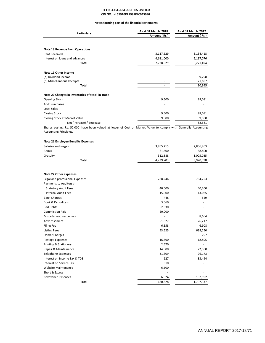# **ITL FINLEASE & SECURITIES LIMITED CIN NO. :‐ L65910DL1991PLC045090**

| <b>Particulars</b>                                                                                                                               | As at 31 March, 2018 | As at 31 March, 2017 |
|--------------------------------------------------------------------------------------------------------------------------------------------------|----------------------|----------------------|
|                                                                                                                                                  | Amount (Rs.)         | Amount (Rs.)         |
|                                                                                                                                                  |                      |                      |
| <b>Note 18 Revenue from Operations</b>                                                                                                           |                      |                      |
| <b>Rent Received</b>                                                                                                                             | 3,117,529            | 3,134,418            |
| Interest on loans and advances                                                                                                                   | 4,611,000            | 5,137,076            |
| <b>Total</b>                                                                                                                                     | 7,728,529            | 8,271,494            |
| Note 19 Other Income                                                                                                                             |                      |                      |
| (a) Dividend Income                                                                                                                              |                      | 9,298                |
| (b) Miscellaneous Receipts                                                                                                                       |                      | 21,697               |
| <b>Total</b>                                                                                                                                     |                      | 30,995               |
| Note 20 Changes in inventories of stock-in-trade                                                                                                 |                      |                      |
| <b>Opening Stock</b>                                                                                                                             | 9,500                | 98,081               |
| Add: Purchases                                                                                                                                   |                      |                      |
| Less: Sales                                                                                                                                      |                      |                      |
| <b>Closing Stock</b>                                                                                                                             | 9,500                | 98,081               |
| Closing Stock at Market Value                                                                                                                    | 9,500                | 9,500                |
| Net (increase) / decrease                                                                                                                        |                      | 88,581               |
| Shares costing Rs. 52,000 have been valued at lower of Cost or Market Value to comply with Generally Accounting<br><b>Accounting Principles.</b> |                      |                      |
| Note 21 Employee Benefits Expenses                                                                                                               |                      |                      |
| Salaries and wages                                                                                                                               | 3,865,215            | 2,856,763            |
| <b>Bonus</b>                                                                                                                                     | 61,600               | 58,800               |
| Gratuity                                                                                                                                         | 312,888              | 1,005,035            |
| <b>Total</b>                                                                                                                                     | 4,239,703            | 3,920,598            |
|                                                                                                                                                  |                      |                      |
| Note 22 Other expenses                                                                                                                           |                      |                      |
| Legal and professional Expenses                                                                                                                  | 288,246              | 764,253              |

| Payments to Auditors :-<br>40,200<br><b>Statutory Audit Fees</b><br>40,000<br><b>Internal Audit Fees</b><br>15,000<br>13,065<br><b>Bank Charges</b><br>448<br>529<br><b>Book &amp; Periodicals</b><br>3,560<br><b>Bad Debts</b><br>62,330<br>60,000<br><b>Commission Paid</b><br>Miscellaneous expenses<br>8,664<br>Advertisement<br>26,217<br>51,627<br>6,358<br>6,908<br><b>Filing Fee</b><br>53,525<br>638,250<br><b>Listing Fees</b><br><b>Demat Charges</b><br>797<br>Postage Expenses<br>16,590<br>18,895<br>Printing & Stationery<br>2,570<br>Repair & Maintainence<br>14,500<br>22,500<br><b>Telephone Expenses</b><br>31,309<br>26,173<br>Interest on Income Tax & TDS<br>627<br>33,494<br>Interest on Service Tax<br>310<br><b>Website Maintenance</b><br>6,500<br>Short & Excess<br>4<br>6,824<br>107,992<br>Coveyance Expenses<br>Total<br>660,328<br>1,707,937 | Legal and professional expenses | 200,240 | 704,233 |
|-----------------------------------------------------------------------------------------------------------------------------------------------------------------------------------------------------------------------------------------------------------------------------------------------------------------------------------------------------------------------------------------------------------------------------------------------------------------------------------------------------------------------------------------------------------------------------------------------------------------------------------------------------------------------------------------------------------------------------------------------------------------------------------------------------------------------------------------------------------------------------|---------------------------------|---------|---------|
|                                                                                                                                                                                                                                                                                                                                                                                                                                                                                                                                                                                                                                                                                                                                                                                                                                                                             |                                 |         |         |
|                                                                                                                                                                                                                                                                                                                                                                                                                                                                                                                                                                                                                                                                                                                                                                                                                                                                             |                                 |         |         |
|                                                                                                                                                                                                                                                                                                                                                                                                                                                                                                                                                                                                                                                                                                                                                                                                                                                                             |                                 |         |         |
|                                                                                                                                                                                                                                                                                                                                                                                                                                                                                                                                                                                                                                                                                                                                                                                                                                                                             |                                 |         |         |
|                                                                                                                                                                                                                                                                                                                                                                                                                                                                                                                                                                                                                                                                                                                                                                                                                                                                             |                                 |         |         |
|                                                                                                                                                                                                                                                                                                                                                                                                                                                                                                                                                                                                                                                                                                                                                                                                                                                                             |                                 |         |         |
|                                                                                                                                                                                                                                                                                                                                                                                                                                                                                                                                                                                                                                                                                                                                                                                                                                                                             |                                 |         |         |
|                                                                                                                                                                                                                                                                                                                                                                                                                                                                                                                                                                                                                                                                                                                                                                                                                                                                             |                                 |         |         |
|                                                                                                                                                                                                                                                                                                                                                                                                                                                                                                                                                                                                                                                                                                                                                                                                                                                                             |                                 |         |         |
|                                                                                                                                                                                                                                                                                                                                                                                                                                                                                                                                                                                                                                                                                                                                                                                                                                                                             |                                 |         |         |
|                                                                                                                                                                                                                                                                                                                                                                                                                                                                                                                                                                                                                                                                                                                                                                                                                                                                             |                                 |         |         |
|                                                                                                                                                                                                                                                                                                                                                                                                                                                                                                                                                                                                                                                                                                                                                                                                                                                                             |                                 |         |         |
|                                                                                                                                                                                                                                                                                                                                                                                                                                                                                                                                                                                                                                                                                                                                                                                                                                                                             |                                 |         |         |
|                                                                                                                                                                                                                                                                                                                                                                                                                                                                                                                                                                                                                                                                                                                                                                                                                                                                             |                                 |         |         |
|                                                                                                                                                                                                                                                                                                                                                                                                                                                                                                                                                                                                                                                                                                                                                                                                                                                                             |                                 |         |         |
|                                                                                                                                                                                                                                                                                                                                                                                                                                                                                                                                                                                                                                                                                                                                                                                                                                                                             |                                 |         |         |
|                                                                                                                                                                                                                                                                                                                                                                                                                                                                                                                                                                                                                                                                                                                                                                                                                                                                             |                                 |         |         |
|                                                                                                                                                                                                                                                                                                                                                                                                                                                                                                                                                                                                                                                                                                                                                                                                                                                                             |                                 |         |         |
|                                                                                                                                                                                                                                                                                                                                                                                                                                                                                                                                                                                                                                                                                                                                                                                                                                                                             |                                 |         |         |
|                                                                                                                                                                                                                                                                                                                                                                                                                                                                                                                                                                                                                                                                                                                                                                                                                                                                             |                                 |         |         |
|                                                                                                                                                                                                                                                                                                                                                                                                                                                                                                                                                                                                                                                                                                                                                                                                                                                                             |                                 |         |         |
|                                                                                                                                                                                                                                                                                                                                                                                                                                                                                                                                                                                                                                                                                                                                                                                                                                                                             |                                 |         |         |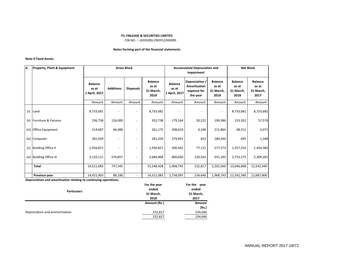CIN NO. :‐ L65910DL1991PLC045090

### **Notes forming part of the financial statements**

#### **Note 9 Fixed Assets**

| A.   | Property, Plant & Equipment | <b>Gross Block</b>                       |                  |                          | <b>Accumulated Depreciation and</b><br>Impairment |                                          |                                                                  | <b>Net Block</b>                             |                                              |                                              |
|------|-----------------------------|------------------------------------------|------------------|--------------------------|---------------------------------------------------|------------------------------------------|------------------------------------------------------------------|----------------------------------------------|----------------------------------------------|----------------------------------------------|
|      |                             | <b>Balance</b><br>as at<br>1 April, 2017 | <b>Additions</b> | <b>Disposals</b>         | <b>Balance</b><br>as at<br>31 March,<br>2018      | <b>Balance</b><br>as at<br>1 April, 2017 | Depreciation /<br><b>Amortisation</b><br>expense for<br>the year | <b>Balance</b><br>as at<br>31 March,<br>2018 | <b>Balance</b><br>as at<br>31 March,<br>2018 | <b>Balance</b><br>as at<br>31 March,<br>2017 |
|      |                             | Amount                                   | Amount           | Amount                   | Amount                                            | Amount                                   | Amount                                                           | Amount                                       | Amount                                       | Amount                                       |
| (i)  | Land                        | 8,733,681                                |                  | $\overline{\phantom{a}}$ | 8,733,681                                         |                                          |                                                                  | $\overline{\phantom{a}}$                     | 8,733,681                                    | 8,733,681                                    |
| (ii) | Furniture & Fixtures        | 236,738                                  | 116,000          | $\overline{\phantom{a}}$ | 352,738                                           | 179,164                                  | 20,222                                                           | 199,386                                      | 153,352                                      | 57,574                                       |
|      | (iii) Office Equipment      | 214,687                                  | 46,488           | $\blacksquare$           | 261,175                                           | 208,616                                  | 4,248                                                            | 212,864                                      | 48,311                                       | 6,071                                        |
|      | (iv) Computer               | 281,039                                  |                  | $\overline{\phantom{a}}$ | 281,039                                           | 279,691                                  | 653                                                              | 280,344                                      | 695                                          | 1,348                                        |
| (v)  | <b>Building Office II</b>   | 1,934,827                                |                  | $\overline{\phantom{a}}$ | 1,934,827                                         | 500,442                                  | 77,131                                                           | 577,573                                      | 1,357,254                                    | 1,434,385                                    |
|      | (vi) Building Office III    | 3,110,111                                | 574,857          | $\overline{\phantom{a}}$ | 3,684,968                                         | 800,830                                  | 130,563                                                          | 931,393                                      | 2,753,575                                    | 2,309,281                                    |
|      | <b>Total</b>                | 14,511,083                               | 737,345          | $\sim$                   | 15,248,428                                        | 1,968,743                                | 232,817                                                          | 2,201,560                                    | 13,046,868                                   | 12,542,340                                   |
|      | <b>Previous year</b>        | 14,421,903                               | 89,180           | $\sim$                   | 14,511,083                                        | 1,734,097                                | 234,646                                                          | 1,968,743                                    | 12,542,340                                   | 12,687,806                                   |

**Depreciation and amortisation relating to continuing operations:**

|                                | For the year | For the year |
|--------------------------------|--------------|--------------|
| <b>Particulars</b>             | ended        | ended        |
|                                | 31 March,    | 31 March,    |
|                                | 2018         | 2017         |
|                                | Amount (Rs.) | Amount       |
|                                |              | (Rs.)        |
| Depreciation and ammortisation | 232,817      | 234,646      |
|                                | 232,817      | 234,646      |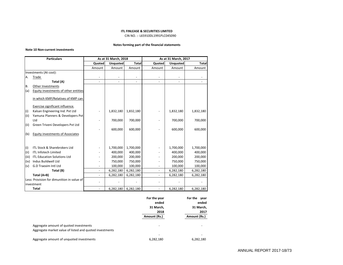CIN NO. :‐ L65910DL1991PLC045090

#### **Notes forming part of the financial statements**

#### **Note 10 Non‐current investments**

|       | <b>Particulars</b>                         | As at 31 March, 2018 |                 |              | As at 31 March, 2017 |                 |              |
|-------|--------------------------------------------|----------------------|-----------------|--------------|----------------------|-----------------|--------------|
|       |                                            | Quoted               | <b>Unquoted</b> | <b>Total</b> | Quoted               | <b>Unquoted</b> | <b>Total</b> |
|       |                                            | Amount               | Amount          | Amount       | Amount               | Amount          | Amount       |
|       | Investments (At cost):                     |                      |                 |              |                      |                 |              |
| А.    | Trade                                      |                      |                 |              |                      |                 |              |
|       | Total (A)                                  | ٠                    |                 | ÷,           |                      |                 |              |
| В.    | Other Investments                          |                      |                 |              |                      |                 |              |
| (a)   | Equity investments of other entities       |                      |                 |              |                      |                 |              |
|       | in which KMP/Relatives of KMP can          |                      |                 |              |                      |                 |              |
|       | Exercise significant influence.            |                      |                 |              |                      |                 |              |
| (i)   | Kalsan Engineering Ind. Pvt Ltd            |                      | 1,832,180       | 1,832,180    |                      | 1,832,180       | 1,832,180    |
| (iii) | Yamuna Planners & Developers Pvt           |                      |                 |              |                      |                 |              |
|       | Ltd                                        |                      | 700,000         | 700,000      |                      | 700.000         | 700,000      |
| (ii)  | Green Triveni Developers Pvt Ltd           |                      |                 |              |                      |                 |              |
|       |                                            |                      | 600,000         | 600,000      |                      | 600,000         | 600,000      |
| (b)   | Equity investments of Associates           |                      |                 |              |                      |                 |              |
| (i)   | ITL Stock & Sharebrokers Ltd               |                      | 1,700,000       | 1,700,000    |                      | 1,700,000       | 1,700,000    |
| (ii)  | <b>ITL Infotech Limited</b>                |                      | 400,000         | 400,000      |                      | 400,000         | 400,000      |
| (iii) | <b>ITL Education Solutions Ltd</b>         |                      | 200,000         | 200,000      |                      | 200,000         | 200,000      |
| (iv)  | Indus Buildwell Ltd                        |                      | 750,000         | 750,000      |                      | 750,000         | 750,000      |
| (v)   | G.D Traexim Intl Ltd                       |                      | 100,000         | 100,000      |                      | 100,000         | 100,000      |
|       | Total (B)                                  |                      | 6,282,180       | 6,282,180    |                      | 6,282,180       | 6,282,180    |
|       | Total (A+B)                                |                      | 6,282,180       | 6,282,180    |                      | 6,282,180       | 6,282,180    |
|       | Less: Provision for dimunition in value of |                      |                 |              |                      |                 |              |
|       | investment                                 |                      |                 |              |                      |                 |              |
|       | Total                                      |                      | 6,282,180       | 6,282,180    |                      | 6,282,180       | 6,282,180    |

|                                                         | For the year | For the<br>year |
|---------------------------------------------------------|--------------|-----------------|
|                                                         | ended        | ended           |
|                                                         | 31 March,    | 31 March,       |
|                                                         | 2018         | 2017            |
|                                                         | Amount (Rs.) | Amount (Rs.)    |
|                                                         |              |                 |
| Aggregate amount of quoted investments                  |              |                 |
| Aggregate market value of listed and quoted investments |              |                 |
|                                                         |              |                 |
| Aggregate amount of unquoted investments                | 6,282,180    | 6,282,180       |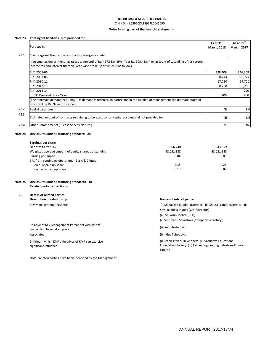CIN NO. :‐ L65910DL1991PLC045090

### **Notes forming part of the financial statements**

# **Note 23 Contingent liabilities ( Not provided for )**

|      | <b>Particualrs</b>                                                                                                                                                                                               | As at 31 <sup>st</sup><br><b>March, 2018</b> | As at 31 <sup>st</sup><br><b>March, 2017</b> |
|------|------------------------------------------------------------------------------------------------------------------------------------------------------------------------------------------------------------------|----------------------------------------------|----------------------------------------------|
| 23.1 | Claims against the company not acknowledged as debt                                                                                                                                                              |                                              |                                              |
|      | i) Income tax department has raised a demand of Rs. 497,383/- (Prv. Year Rs. 505,483/-) on account of Late filing of tds return/<br>income tax and interest thereon. Year-wise break-up of which is as follows : |                                              |                                              |
|      | F.Y. 2005-06                                                                                                                                                                                                     | 338,409                                      | 346,309                                      |
|      | F.Y. 2007-08                                                                                                                                                                                                     | 60,774                                       | 60,774                                       |
|      | F.Y. 2010-11                                                                                                                                                                                                     | 67,720                                       | 67,720                                       |
|      | F.Y. 2012-13                                                                                                                                                                                                     | 30,280                                       | 30,280                                       |
|      | F. Y. 2013-14                                                                                                                                                                                                    |                                              | 200                                          |
|      | ii) TDS Demand (Prior Years)                                                                                                                                                                                     | 200                                          | 200                                          |
|      | (The aforesaid demand excluding TDS demand is technical in nature and in the opinion of management the ultimate outgo of<br>funds will be Rs. Nil in this respect)                                               |                                              |                                              |
| 23.2 | <b>Bank Guarantees</b>                                                                                                                                                                                           | Nil                                          | Nil                                          |
| 23.3 | Estimated amount of contracts remaining to be executed on capital account and not provided for                                                                                                                   | Nil                                          | Nil                                          |
| 23.4 | Other Commitments (Please Specify Nature)                                                                                                                                                                        | Nil                                          | Nil                                          |

### **Note 24 Disclosures under Accounting Standard ‐ 20**

| Earnings per share                                   |            |            |
|------------------------------------------------------|------------|------------|
| Net profit after Tax                                 | 1,806,740  | 1,243,559  |
| Weighted average amount of equity shares outstanding | 48,051,188 | 48,051,188 |
| Earning per Rupee                                    | 0.04       | 0.03       |
| EPS from continuing operations - Basic & Diluted     |            |            |
| on fully paid up share                               | 0.38       | 0.26       |
| on partly paid up share                              | 0.10       | 0.07       |

## **Note 25 Disclosures under Accounting Standards ‐ 18 Related party transactions**

### 25.1 **Details of related parties: Description of relationship**

Key Management Personnel

Relative of Key Management Personnel with whom transaction have taken place Associates

Entities in which KMP / Relatives of KMP can exercise significant influence

Note: Related parties have been identified by the Management.

### **Names of related parties**

(i) Sh.Kailash Jajodia‐ (Director), (ii) Sh. B.L. Gupta (Director), (iii) Smt. Radhika Jajodia (CEO/Director) (iv) Sh. Arun Mehta‐(CFO) (v) Smt. Parul Srivastava (Company Secretary )

(i) Smt. Shikha Jain

(i) Indus Tubes Ltd.

(i) Green Triveni Developers (ii) Vasudeva Educational Foundation Society (iii) Kalsan Engineering Industries Private Limited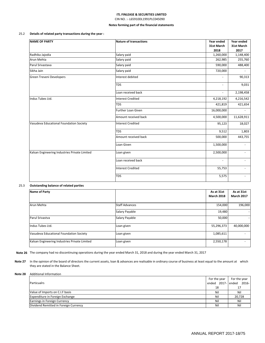CIN NO. :‐ L65910DL1991PLC045090

### **Notes forming part of the financial statements**

#### 25.2 **Details of related party transactions during the year :**

| <b>NAME OF PARTY</b>                          | <b>Nature of transactions</b> | Year ended<br>31st March<br>2018 | Year ended<br>31st March<br>2017 |
|-----------------------------------------------|-------------------------------|----------------------------------|----------------------------------|
| Radhika Jajodia                               | Salary paid                   | 1,260,000                        | 1,148,400                        |
| Arun Mehta                                    | Salary paid                   | 262,985                          | 255,760                          |
| Parul Srivastava                              | Salary paid                   | 590,000                          | 488,400                          |
| Sikha Jain                                    | Salary paid                   | 720,000                          | $\sim$                           |
| Green Treveni Developers                      | Interest debited              |                                  | 90,313                           |
|                                               | <b>TDS</b>                    | ä,                               | 9,031                            |
|                                               | Loan received back            | L.                               | 2,198,458                        |
| Indus Tubes Ltd.                              | <b>Interest Credited</b>      | 4,218,192                        | 4,216,542                        |
|                                               | <b>TDS</b>                    | 421,819                          | 421,654                          |
|                                               | <b>Further Loan Given</b>     | 16,000,000                       | $\sim$                           |
|                                               | Amount received back          | 4,500,000                        | 11,628,911                       |
| Vasudeva Educational Foundation Society       | <b>Interest Credited</b>      | 95,123                           | 18,027                           |
|                                               | <b>TDS</b>                    | 9,512                            | 1,803                            |
|                                               | Amount received back          | 500,000                          | 443,755                          |
|                                               | Loan Given                    | 1,500,000                        | ÷.                               |
| Kalsan Engineering Industries Private Limited | Loan given                    | 2,500,000                        |                                  |
|                                               | Loan received back            | ÷                                | ÷.                               |
|                                               | <b>Interest Credited</b>      | 55,753                           | $\sim$                           |
|                                               | <b>TDS</b>                    | 5,575                            | $\sim$                           |

# 25.3 **Outstanding balance of related parties**

| Name of Party                                 |                       | As at 31st<br><b>March 2018</b> | As at 31st<br><b>March 2017</b> |
|-----------------------------------------------|-----------------------|---------------------------------|---------------------------------|
| Arun Mehta                                    | <b>Staff Advances</b> | 154,000                         | 196,000                         |
|                                               | Salary Payable        | 19,480                          |                                 |
| Parul Srivastva                               | Salary Payable        | 50,000                          |                                 |
| Indus Tubes Ltd.                              | Loan given            | 55,296,373                      | 40,000,000                      |
| Vasudeva Educational Foundation Society       | Loan given            | 1,085,611                       |                                 |
| Kalsan Engineering Industries Private Limited | Loan given            | 2,550,178                       | ٠                               |

**Note 26** The company had no discontinuing operations during the year ended March 31, 2018 and during the year ended March 31, 2017

**Note 27** In the opinion of the board of directors the current assets, loan & advances are realisable in ordinary course of business at least equal to the amount at which they are stated in the Balance Sheet.

### **Note 28** Additional Information

|                                       | For the year            |  | For the year |  |
|---------------------------------------|-------------------------|--|--------------|--|
| <b>Particualrs</b>                    | ended 2017- ended 2016- |  |              |  |
|                                       | 18                      |  |              |  |
| Value of Imports on C.I.F basis       | Nil                     |  | Nil          |  |
| Expenditure in Foreign Exchange       | Nil                     |  | 20,728       |  |
| Earnings in Foreign Currency          | Nil                     |  | Nil          |  |
| Dividend Remitted in Foreign Currency | Nil                     |  | Nil          |  |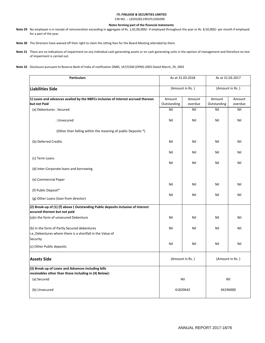CIN NO. :‐ L65910DL1991PLC045090

- **Note 29** No employee is in receipt of remuneration exceeding in aggregate of Rs. 1,02,00,000/‐ if employed throughout the year or Rs. 8,50,000/‐ per month if employed for a part of the year.
- **Note 30** The Directors have waived off their right to claim the sitting fees for the Board Meeting attended by them.
- Note 31 There are no indications of impairment on any individual cash generating assets or on cash generating units in the opinion of management and therefore no test of impairment is carried out.
- **Note 32** Disclosure pursuant to Reserve Bank of India of notification DNBS, 167/CGM (OPM)‐2003 Dated March, 29, 2003

| <b>Particulars</b>                                                                                                      | As at 31.03.2018      |                   | As at 31.03.2017      |                   |
|-------------------------------------------------------------------------------------------------------------------------|-----------------------|-------------------|-----------------------|-------------------|
| <b>Liabilities Side</b>                                                                                                 | (Amount in Rs.)       |                   | (Amount in Rs.)       |                   |
| 1) Loans and advances availed by the NBFCs inclusive of interest accrued thereon<br>but not Paid                        | Amount<br>Outstanding | Amount<br>overdue | Amount<br>Outstanding | Amount<br>overdue |
| (a) Debentures : Secured                                                                                                | Nil                   | Nil               | Nil                   | Nil               |
| : Unsecured                                                                                                             | Nil                   | Nil               | Nil                   | Nil               |
| (Other than falling within the meaning of public Deposits *)                                                            |                       |                   |                       |                   |
| (b) Deferred Credits                                                                                                    | Nil                   | Nil               | Nil                   | Nil               |
|                                                                                                                         | Nil                   | Nil               | Nil                   | Nil               |
| (c) Term Loans                                                                                                          | Nil                   | Nil               | Nil                   | Nil               |
| (d) Inter-Corporate loans and borrowing                                                                                 |                       |                   |                       |                   |
| (e) Commercial Paper                                                                                                    | Nil                   | Nil               | Nil                   | Nil               |
| (f) Public Deposit*                                                                                                     | Nil                   | Nil               | Nil                   | Nil               |
| (g) Other Loans (loan from director)                                                                                    |                       |                   |                       |                   |
| (2) Break-up of (1) (f) above (Outstanding Public deposits inclusive of interest<br>accured thereon but not paid        |                       |                   |                       |                   |
| (a)in the form of unsecured Debenture                                                                                   | Nil                   | Nil               | Nil                   | Nil               |
| (b) In the form of Partly Secured debentures<br>i.e., Debentures where there is a shortfall in the Value of<br>Security | Nil                   | Nil               | Nil                   | Nil               |
| (c) Other Public deposits                                                                                               | Nil                   | Nil               | Nil                   | Nil               |
| <b>Assets Side</b>                                                                                                      | (Amount in Rs.)       |                   | (Amount in Rs.)       |                   |
| (3) Break-up of Loans and Advances including bills<br>receivables other than those including in (4) Below):             |                       |                   |                       |                   |
| (a) Secured                                                                                                             | Nil                   |                   | Nil                   |                   |
| (b) Unsecured                                                                                                           | 61820642              |                   | 44196000              |                   |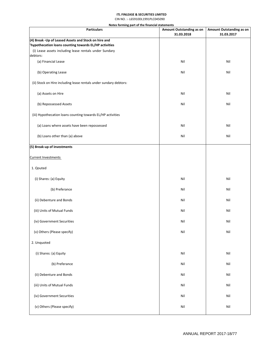# CIN NO. :‐ L65910DL1991PLC045090 **ITL FINLEASE & SECURITIES LIMITED**

| <b>Particulars</b>                                                 | Amount Outstanding as on<br>31.03.2018 | Amount Outstanding as on<br>31.03.2017 |  |
|--------------------------------------------------------------------|----------------------------------------|----------------------------------------|--|
| (4) Break - Up of Leased Assets and Stock on hire and              |                                        |                                        |  |
| 'hypothecation loans counting towards EL/HP activities             |                                        |                                        |  |
| (i) Lease assets including lease rentals under Sundary<br>debtors: |                                        |                                        |  |
| (a) Financial Lease                                                | Nil                                    | Nil                                    |  |
| (b) Operating Lease                                                | Nil                                    | Nil                                    |  |
| (ii) Stock on Hire including lease rentals under sundary debtors:  |                                        |                                        |  |
| (a) Assets on Hire                                                 | Nil                                    | Nil                                    |  |
| (b) Repossessed Assets                                             | Nil                                    | Nil                                    |  |
| (iii) Hypothecation loans counting towards EL/HP activities        |                                        |                                        |  |
| (a) Loans where assets have been repossessed                       | Nil                                    | Nil                                    |  |
| (b) Loans other than (a) above                                     | Nil                                    | Nil                                    |  |
| (5) Break-up of investments                                        |                                        |                                        |  |
| <b>Current Investments</b>                                         |                                        |                                        |  |
| 1. Qouted                                                          |                                        |                                        |  |
| (i) Shares: (a) Equity                                             | Nil                                    | Nil                                    |  |
| (b) Preferance                                                     | Nil                                    | Nil                                    |  |
| (ii) Debenture and Bonds                                           | Nil                                    | Nil                                    |  |
| (iii) Units of Mutual Funds                                        | Nil                                    | Nil                                    |  |
| (iv) Government Securities                                         | Nil                                    | Nil                                    |  |
| (v) Others (Please specify)                                        | Nil                                    | Nil                                    |  |
| 2. Unquoted                                                        |                                        |                                        |  |
| (i) Shares: (a) Equity                                             | Nil                                    | Nil                                    |  |
| (b) Preferance                                                     | Nil                                    | Nil                                    |  |
| (ii) Debenture and Bonds                                           | Nil                                    | Nil                                    |  |
| (iii) Units of Mutual Funds                                        | Nil                                    | Nil                                    |  |
| (iv) Government Securities                                         | Nil                                    | $\mathsf{Nil}$                         |  |
| (v) Others (Please specify)                                        | $\mathsf{Nil}$                         | Nil                                    |  |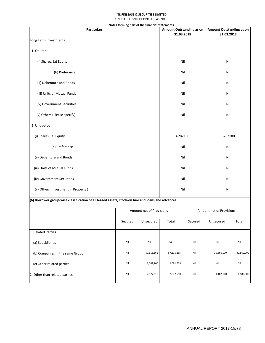# CIN NO. :‐ L65910DL1991PLC045090 **ITL FINLEASE & SECURITIES LIMITED**

| Notes forming part of the financial statements<br><b>Particulars</b>                              |                          |            | Amount Outstanding as on<br>31.03.2018 |                          | Amount Outstanding as on<br>31.03.2017 |            |
|---------------------------------------------------------------------------------------------------|--------------------------|------------|----------------------------------------|--------------------------|----------------------------------------|------------|
| Long Term Investments                                                                             |                          |            |                                        |                          |                                        |            |
| 1. Qouted                                                                                         |                          |            |                                        |                          |                                        |            |
|                                                                                                   |                          |            |                                        |                          |                                        |            |
| (i) Shares: (a) Equity                                                                            |                          |            | Nil                                    |                          | Nil                                    |            |
| (b) Preferance                                                                                    |                          |            | Nil                                    |                          | Nil                                    |            |
| (ii) Debenture and Bonds                                                                          |                          |            | Nil                                    |                          | Nil                                    |            |
| (iii) Units of Mutual Funds                                                                       |                          |            | Nil                                    |                          | Nil                                    |            |
| (iv) Government Securities                                                                        |                          | Nil        |                                        | Nil                      |                                        |            |
| (v) Others (Please specify)                                                                       |                          | Nil        |                                        | Nil                      |                                        |            |
| 2. Unquoted                                                                                       |                          |            |                                        |                          |                                        |            |
| (i) Shares: (a) Equity                                                                            |                          |            | 6282180                                |                          | 6282180                                |            |
| (b) Preferance                                                                                    |                          | Nil        |                                        | Nil                      |                                        |            |
| (ii) Debenture and Bonds                                                                          |                          | Nil        |                                        | Nil                      |                                        |            |
| (iii) Units of Mutual Funds                                                                       |                          | Nil        |                                        | Nil                      |                                        |            |
| (iv) Government Securities                                                                        |                          |            | Nil                                    |                          | Nil                                    |            |
| (v) Others (Investment in Property)                                                               |                          |            | Nil                                    |                          | Nil                                    |            |
| (6) Borrower group-wise classification of all leased assets, stock-on hire and loans and advances |                          |            |                                        |                          |                                        |            |
|                                                                                                   | Amount net of Provisions |            |                                        | Amount net of Provisions |                                        |            |
|                                                                                                   |                          |            |                                        |                          |                                        |            |
|                                                                                                   | Secured                  | Unsecured  | Total                                  | Secured                  | Unsecured                              | Total      |
| 1. Related Parties                                                                                |                          |            |                                        |                          |                                        |            |
| (a) Subsidiaries                                                                                  | Nil                      | Nil        | Nil                                    | Nil                      | Nil                                    | Nil        |
| (b) Companies in the same Group                                                                   | Nil                      | 57,615,165 | 57,615,165                             | Nil                      | 39,860,000                             | 39,860,000 |
| (c) Other related parties                                                                         | Nil                      | 1,081,269  | 1,081,269                              | Nil                      | Nil                                    | Nil        |
| 2. Other than related parties                                                                     | Nil                      | 2,877,610  | 2,877,610                              | Nil                      | 4,182,000                              | 4,182,000  |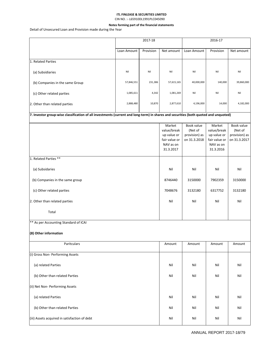CIN NO. :‐ L65910DL1991PLC045090

# **Notes forming part of the financial statements**

Detail of Unsecured Loan and Provision made during the Year

|                                                                                                                                      | 2017-18     |           |                                                                                 | 2016-17                                                |                                                                                 |                                                        |
|--------------------------------------------------------------------------------------------------------------------------------------|-------------|-----------|---------------------------------------------------------------------------------|--------------------------------------------------------|---------------------------------------------------------------------------------|--------------------------------------------------------|
|                                                                                                                                      | Loan Amount | Provision | Net amount                                                                      | Loan Amount                                            | Provision                                                                       | Net amount                                             |
| 1. Related Parties                                                                                                                   |             |           |                                                                                 |                                                        |                                                                                 |                                                        |
| (a) Subsidiaries                                                                                                                     | Nil         | Nil       | Nil                                                                             | Nil                                                    | Nil                                                                             | Nil                                                    |
| (b) Companies in the same Group                                                                                                      | 57,846,551  | 231,386   | 57,615,165                                                                      | 40,000,000                                             | 140,000                                                                         | 39,860,000                                             |
| (c) Other related parties                                                                                                            | 1,085,611   | 4,342     | 1,081,269                                                                       | Nil                                                    | Nil                                                                             | Nil                                                    |
| 2. Other than related parties                                                                                                        | 2,888,480   | 10,870    | 2,877,610                                                                       | 4,196,000                                              | 14,000                                                                          | 4,182,000                                              |
| 7. Investor group-wise classification of all investments (current and long-term) in shares and securities (both quoted and unquoted) |             |           |                                                                                 |                                                        |                                                                                 |                                                        |
|                                                                                                                                      |             |           | Market<br>value/break<br>up value or<br>fair value or<br>NAV as on<br>31.3.2017 | Book value<br>(Net of<br>provision) as<br>on 31.3.2018 | Market<br>value/break<br>up value or<br>fair value or<br>NAV as on<br>31.3.2016 | Book value<br>(Net of<br>provision) as<br>on 31.3.2017 |
| 1. Related Parties **                                                                                                                |             |           |                                                                                 |                                                        |                                                                                 |                                                        |
| (a) Subsidaries                                                                                                                      |             |           | Nil                                                                             | Nil                                                    | Nil                                                                             | Nil                                                    |
| (b) Companies in the same group                                                                                                      |             |           | 8746440                                                                         | 3150000                                                | 7902359                                                                         | 3150000                                                |
| (c) Other related parties                                                                                                            |             |           | 7048676                                                                         | 3132180                                                | 6317752                                                                         | 3132180                                                |
| 2. Other than related parties                                                                                                        |             |           | Nil                                                                             | Nil                                                    | Nil                                                                             | Nil                                                    |
| Total                                                                                                                                |             |           |                                                                                 |                                                        |                                                                                 |                                                        |
| ** As per Accounting Standard of ICAI                                                                                                |             |           |                                                                                 |                                                        |                                                                                 |                                                        |
| (8) Other information                                                                                                                |             |           |                                                                                 |                                                        |                                                                                 |                                                        |
| Paritculars                                                                                                                          |             |           | Amount                                                                          | Amount                                                 | Amount                                                                          | Amount                                                 |
| (i) Gross Non- Performing Assets                                                                                                     |             |           |                                                                                 |                                                        |                                                                                 |                                                        |
| (a) related Parties                                                                                                                  |             |           | Nil                                                                             | Nil                                                    | Nil                                                                             | Nil                                                    |
| (b) Other than related Parties                                                                                                       |             |           | Nil                                                                             | Nil                                                    | Nil                                                                             | Nil                                                    |
| (ii) Net Non- Performing Assets                                                                                                      |             |           |                                                                                 |                                                        |                                                                                 |                                                        |
| (a) related Parties                                                                                                                  |             |           | Nil                                                                             | Nil                                                    | Nil                                                                             | Nil                                                    |
| (b) Other than related Parties                                                                                                       |             |           | Nil                                                                             | Nil                                                    | Nil                                                                             | Nil                                                    |
| (iii) Assets acquired in satisfaction of debt                                                                                        |             |           | Nil                                                                             | Nil                                                    | Nil                                                                             | Nil                                                    |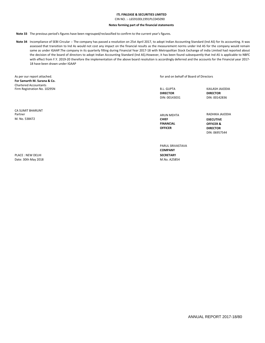CIN NO. :‐ L65910DL1991PLC045090

### **Notes forming part of the financial statements**

- **Note 33** The previous period's figures have been regrouped/reclassified to confirm to the current year's figures.
- **Note 34** Incompliance of SEBI Circular :‐ The company has passed a resolution on 25st April 2017, to adopt Indian Accounting Standard (Ind AS) for its accounting. It was assessed that transition to Ind As would not cost any impact on the financial results as the measurement norms under Ind AS for the company would remain same as under IGAAP.The company in its quarterly filling during Financial Year 2017-18 with Metropolitan Stock Exchange of india Limited had reported about the decision of the board of directors to adopt Indian Accounting Standard (Ind AS).However, it has been found subsequently that Ind AS is applicable to NBFC with effect from F.Y. 2019-20 therefore the implementation of the above board resolution is accordingly deferred and the accounts for the Financial year 2017-18 have been drawn under IGAAP

**For Samarth M. Surana & Co.** Chartered Accountants Firm Registration No. 10295N

CA SUMIT BHARUNT Partner ARUN MEHTA RADHIKA JAJODIA ARUN MEHTA RADHIKA JAJODIA M. No. 538472 **CHIEF**

As per our report attached. The state of Board of Directors of Birectors and on behalf of Board of Directors

**DIRECTOR DIRECTOR**<br>DIN: 00143031 **DIN: 00142836** DIN: 00143031

B.L. GUPTA KAILASH JAJODIA<br>DIRECTOR DIRECTOR

**FINANCIAL OFFICER**

**EXECUTIVE OFFICER & DIRECTOR** DIN: 06957544

PARUL SRIVASTAVA **COMPANY SECRETARY**<br>M.No. A25854

PLACE : NEW DELHI Date: 30th May 2018